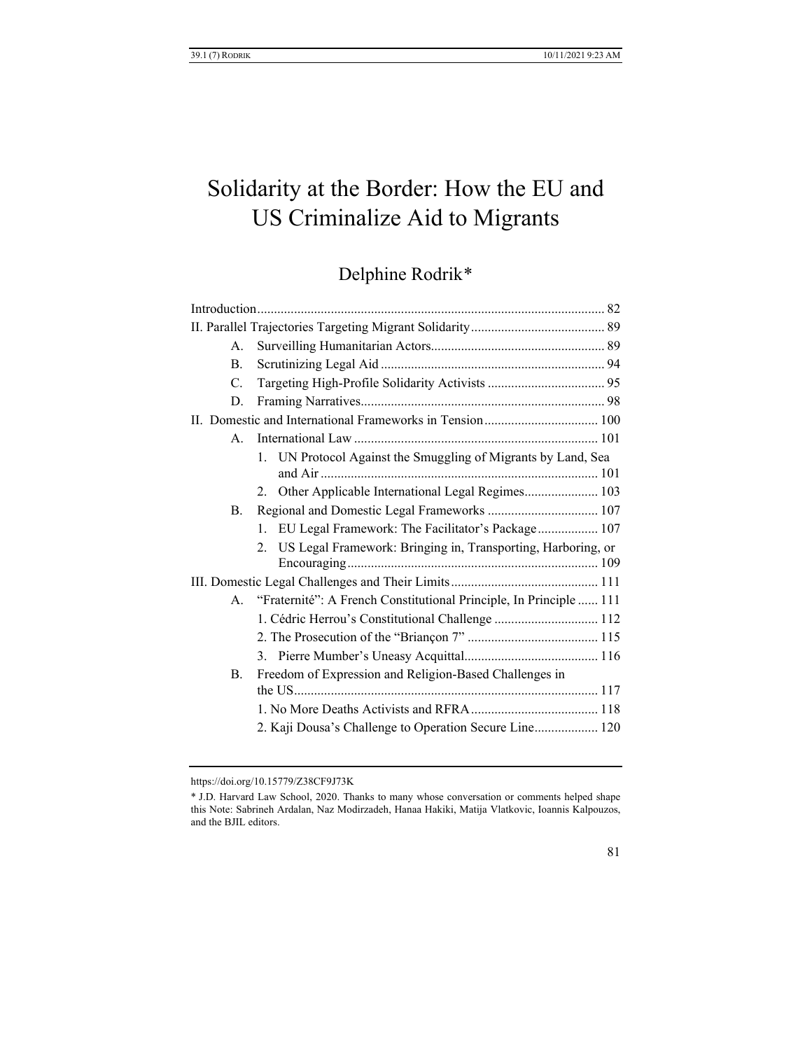# Solidarity at the Border: How the EU and US Criminalize Aid to Migrants

Delphine Rodrik[\\*](#page-0-0)

| 2.                                                     |                                                                                                                                                                                                                                                                                                                                                                                                                                                                                  |
|--------------------------------------------------------|----------------------------------------------------------------------------------------------------------------------------------------------------------------------------------------------------------------------------------------------------------------------------------------------------------------------------------------------------------------------------------------------------------------------------------------------------------------------------------|
|                                                        |                                                                                                                                                                                                                                                                                                                                                                                                                                                                                  |
|                                                        |                                                                                                                                                                                                                                                                                                                                                                                                                                                                                  |
|                                                        |                                                                                                                                                                                                                                                                                                                                                                                                                                                                                  |
|                                                        |                                                                                                                                                                                                                                                                                                                                                                                                                                                                                  |
|                                                        |                                                                                                                                                                                                                                                                                                                                                                                                                                                                                  |
| Freedom of Expression and Religion-Based Challenges in |                                                                                                                                                                                                                                                                                                                                                                                                                                                                                  |
|                                                        |                                                                                                                                                                                                                                                                                                                                                                                                                                                                                  |
|                                                        |                                                                                                                                                                                                                                                                                                                                                                                                                                                                                  |
| B.<br>Β.                                               | $A_{\cdot}$<br>$\mathsf{A}$ .<br>1. UN Protocol Against the Smuggling of Migrants by Land, Sea<br>2. Other Applicable International Legal Regimes 103<br>1. EU Legal Framework: The Facilitator's Package 107<br>US Legal Framework: Bringing in, Transporting, Harboring, or<br>"Fraternité": A French Constitutional Principle, In Principle  111<br>$A_{\cdot}$<br>1. Cédric Herrou's Constitutional Challenge  112<br>2. Kaji Dousa's Challenge to Operation Secure Line 120 |

<span id="page-0-0"></span>https://doi.org/10.15779/Z38CF9J73K

<sup>\*</sup> J.D. Harvard Law School, 2020. Thanks to many whose conversation or comments helped shape this Note: Sabrineh Ardalan, Naz Modirzadeh, Hanaa Hakiki, Matija Vlatkovic, Ioannis Kalpouzos, and the BJIL editors.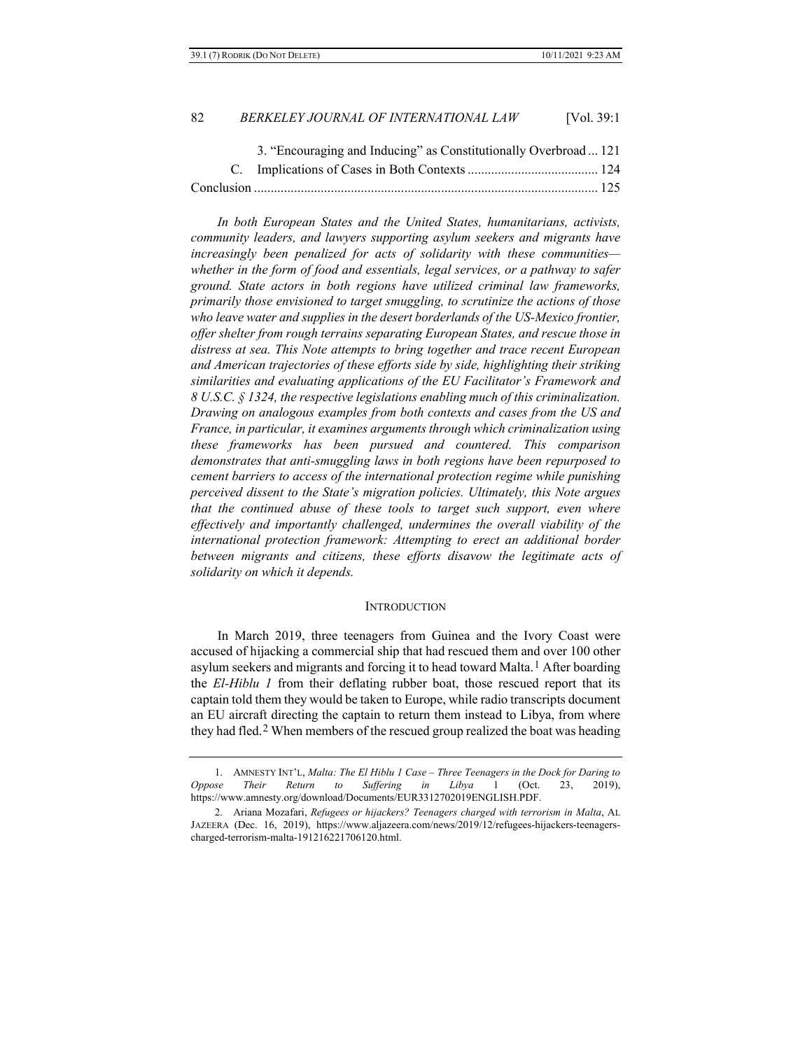| 82 | BERKELEY JOURNAL OF INTERNATIONAL LAW | <b>IVol. 39:1</b> |
|----|---------------------------------------|-------------------|
|----|---------------------------------------|-------------------|

| 3. "Encouraging and Inducing" as Constitutionally Overbroad  121 |  |
|------------------------------------------------------------------|--|
|                                                                  |  |
|                                                                  |  |

*In both European States and the United States, humanitarians, activists, community leaders, and lawyers supporting asylum seekers and migrants have increasingly been penalized for acts of solidarity with these communities whether in the form of food and essentials, legal services, or a pathway to safer ground. State actors in both regions have utilized criminal law frameworks, primarily those envisioned to target smuggling, to scrutinize the actions of those who leave water and supplies in the desert borderlands of the US-Mexico frontier, offer shelter from rough terrains separating European States, and rescue those in distress at sea. This Note attempts to bring together and trace recent European and American trajectories of these efforts side by side, highlighting their striking similarities and evaluating applications of the EU Facilitator's Framework and 8 U.S.C. § 1324, the respective legislations enabling much of this criminalization. Drawing on analogous examples from both contexts and cases from the US and France, in particular, it examines arguments through which criminalization using these frameworks has been pursued and countered. This comparison demonstrates that anti-smuggling laws in both regions have been repurposed to cement barriers to access of the international protection regime while punishing perceived dissent to the State's migration policies. Ultimately, this Note argues that the continued abuse of these tools to target such support, even where effectively and importantly challenged, undermines the overall viability of the international protection framework: Attempting to erect an additional border between migrants and citizens, these efforts disavow the legitimate acts of solidarity on which it depends.*

#### **INTRODUCTION**

In March 2019, three teenagers from Guinea and the Ivory Coast were accused of hijacking a commercial ship that had rescued them and over 100 other asylum seekers and migrants and forcing it to head toward Malta.[1](#page-1-0) After boarding the *El-Hiblu 1* from their deflating rubber boat, those rescued report that its captain told them they would be taken to Europe, while radio transcripts document an EU aircraft directing the captain to return them instead to Libya, from where they had fled.[2](#page-1-1) When members of the rescued group realized the boat was heading

<span id="page-1-0"></span><sup>1.</sup> AMNESTY INT'L, *Malta: The El Hiblu 1 Case – Three Teenagers in the Dock for Daring to Oppose Their Return to Suffering in Libya* 1 (Oct. 23, 2019), https://www.amnesty.org/download/Documents/EUR3312702019ENGLISH.PDF.

<span id="page-1-1"></span><sup>2.</sup> Ariana Mozafari, *Refugees or hijackers? Teenagers charged with terrorism in Malta*, AL JAZEERA (Dec. 16, 2019), https://www.aljazeera.com/news/2019/12/refugees-hijackers-teenagerscharged-terrorism-malta-191216221706120.html.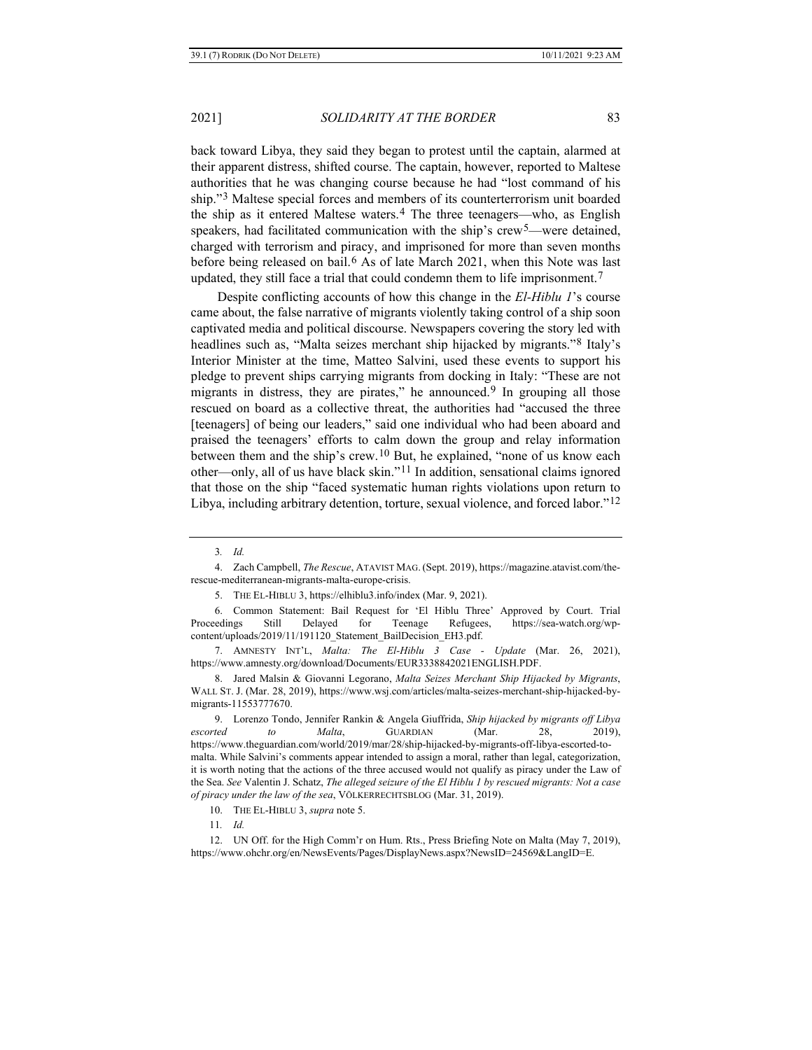back toward Libya, they said they began to protest until the captain, alarmed at their apparent distress, shifted course. The captain, however, reported to Maltese authorities that he was changing course because he had "lost command of his ship."[3](#page-2-1) Maltese special forces and members of its counterterrorism unit boarded the ship as it entered Maltese waters.[4](#page-2-2) The three teenagers—who, as English speakers, had facilitated communication with the ship's crew<sup>5</sup>—were detained, charged with terrorism and piracy, and imprisoned for more than seven months before being released on bail.<sup>[6](#page-2-4)</sup> As of late March 2021, when this Note was last updated, they still face a trial that could condemn them to life imprisonment.[7](#page-2-5)

Despite conflicting accounts of how this change in the *El-Hiblu 1*'s course came about, the false narrative of migrants violently taking control of a ship soon captivated media and political discourse. Newspapers covering the story led with headlines such as, "Malta seizes merchant ship hijacked by migrants."[8](#page-2-6) Italy's Interior Minister at the time, Matteo Salvini, used these events to support his pledge to prevent ships carrying migrants from docking in Italy: "These are not migrants in distress, they are pirates," he announced.[9](#page-2-7) In grouping all those rescued on board as a collective threat, the authorities had "accused the three [teenagers] of being our leaders," said one individual who had been aboard and praised the teenagers' efforts to calm down the group and relay information between them and the ship's crew.<sup>[10](#page-2-8)</sup> But, he explained, "none of us know each other—only, all of us have black skin."<sup>[11](#page-2-9)</sup> In addition, sensational claims ignored that those on the ship "faced systematic human rights violations upon return to Libya, including arbitrary detention, torture, sexual violence, and forced labor."[12](#page-2-10)

<span id="page-2-0"></span>

<sup>3</sup>*. Id.* 

<span id="page-2-2"></span><span id="page-2-1"></span><sup>4.</sup> Zach Campbell, *The Rescue*, ATAVIST MAG. (Sept. 2019), https://magazine.atavist.com/therescue-mediterranean-migrants-malta-europe-crisis.

<sup>5.</sup> THE EL-HIBLU 3, https://elhiblu3.info/index (Mar. 9, 2021).

<span id="page-2-4"></span><span id="page-2-3"></span><sup>6.</sup> Common Statement: Bail Request for 'El Hiblu Three' Approved by Court. Trial Proceedings Still Delayed for Teenage Refugees, https://sea-watch.org/wpcontent/uploads/2019/11/191120\_Statement\_BailDecision\_EH3.pdf.

<span id="page-2-5"></span><sup>7.</sup> AMNESTY INT'L, *Malta: The El-Hiblu 3 Case - Update* (Mar. 26, 2021), https://www.amnesty.org/download/Documents/EUR3338842021ENGLISH.PDF.

<span id="page-2-6"></span><sup>8.</sup> Jared Malsin & Giovanni Legorano, *Malta Seizes Merchant Ship Hijacked by Migrants*, WALL ST. J. (Mar. 28, 2019), https://www.wsj.com/articles/malta-seizes-merchant-ship-hijacked-bymigrants-11553777670.

<span id="page-2-7"></span><sup>9.</sup> Lorenzo Tondo, Jennifer Rankin & Angela Giuffrida, *Ship hijacked by migrants off Libya escorted to Malta*, GUARDIAN (Mar. 28, 2019), https://www.theguardian.com/world/2019/mar/28/ship-hijacked-by-migrants-off-libya-escorted-tomalta. While Salvini's comments appear intended to assign a moral, rather than legal, categorization, it is worth noting that the actions of the three accused would not qualify as piracy under the Law of the Sea. *See* Valentin J. Schatz, *The alleged seizure of the El Hiblu 1 by rescued migrants: Not a case of piracy under the law of the sea*, VÖLKERRECHTSBLOG (Mar. 31, 2019).

<sup>10.</sup> THE EL-HIBLU 3, *supra* not[e 5.](#page-2-0)

<sup>11</sup>*. Id.*

<span id="page-2-10"></span><span id="page-2-9"></span><span id="page-2-8"></span><sup>12.</sup> UN Off. for the High Comm'r on Hum. Rts., Press Briefing Note on Malta (May 7, 2019), https://www.ohchr.org/en/NewsEvents/Pages/DisplayNews.aspx?NewsID=24569&LangID=E.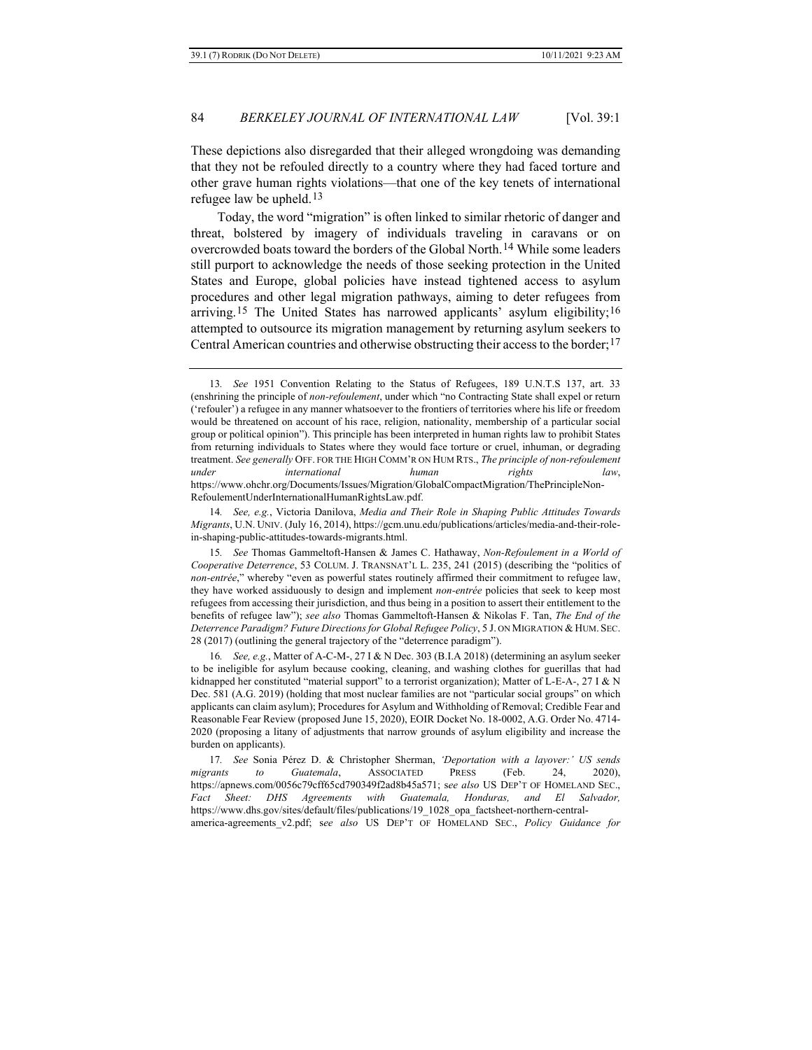These depictions also disregarded that their alleged wrongdoing was demanding that they not be refouled directly to a country where they had faced torture and other grave human rights violations—that one of the key tenets of international refugee law be upheld.[13](#page-3-0)

Today, the word "migration" is often linked to similar rhetoric of danger and threat, bolstered by imagery of individuals traveling in caravans or on overcrowded boats toward the borders of the Global North.[14](#page-3-1) While some leaders still purport to acknowledge the needs of those seeking protection in the United States and Europe, global policies have instead tightened access to asylum procedures and other legal migration pathways, aiming to deter refugees from arriving.<sup>[15](#page-3-2)</sup> The United States has narrowed applicants' asylum eligibility;<sup>[16](#page-3-3)</sup> attempted to outsource its migration management by returning asylum seekers to Central American countries and otherwise obstructing their access to the border;  $17$ 

<span id="page-3-1"></span>14*. See, e.g.*, Victoria Danilova, *Media and Their Role in Shaping Public Attitudes Towards Migrants*, U.N. UNIV. (July 16, 2014), https://gcm.unu.edu/publications/articles/media-and-their-rolein-shaping-public-attitudes-towards-migrants.html.

<span id="page-3-2"></span>15*. See* Thomas Gammeltoft-Hansen & James C. Hathaway, *Non-Refoulement in a World of Cooperative Deterrence*, 53 COLUM. J. TRANSNAT'L L. 235, 241 (2015) (describing the "politics of *non-entrée*," whereby "even as powerful states routinely affirmed their commitment to refugee law, they have worked assiduously to design and implement *non-entrée* policies that seek to keep most refugees from accessing their jurisdiction, and thus being in a position to assert their entitlement to the benefits of refugee law"); *see also* Thomas Gammeltoft-Hansen & Nikolas F. Tan, *The End of the Deterrence Paradigm? Future Directions for Global Refugee Policy*, 5 J. ON MIGRATION & HUM. SEC. 28 (2017) (outlining the general trajectory of the "deterrence paradigm").

<span id="page-3-3"></span>16*. See, e.g.*, Matter of A-C-M-, 27 I & N Dec. 303 (B.I.A 2018) (determining an asylum seeker to be ineligible for asylum because cooking, cleaning, and washing clothes for guerillas that had kidnapped her constituted "material support" to a terrorist organization); Matter of L-E-A*-*, 27 I & N Dec. 581 (A.G. 2019) (holding that most nuclear families are not "particular social groups" on which applicants can claim asylum); Procedures for Asylum and Withholding of Removal; Credible Fear and Reasonable Fear Review (proposed June 15, 2020), EOIR Docket No. 18-0002, A.G. Order No. 4714- 2020 (proposing a litany of adjustments that narrow grounds of asylum eligibility and increase the burden on applicants).

<span id="page-3-4"></span>17*. See* Sonia Pérez D. & Christopher Sherman, *'Deportation with a layover:' US sends migrants to Guatemala*, ASSOCIATED PRESS (Feb. 24, 2020), https://apnews.com/0056c79cff65cd790349f2ad8b45a571; s*ee also* US DEP'T OF HOMELAND SEC., *Fact Sheet: DHS Agreements with Guatemala, Honduras, and El Salvador,*  https://www.dhs.gov/sites/default/files/publications/19\_1028\_opa\_factsheet-northern-centralamerica-agreements\_v2.pdf; s*ee also* US DEP'T OF HOMELAND SEC., *Policy Guidance for* 

<span id="page-3-0"></span><sup>13</sup>*. See* 1951 Convention Relating to the Status of Refugees, 189 U.N.T.S 137, art. 33 (enshrining the principle of *non-refoulement*, under which "no Contracting State shall expel or return ('refouler') a refugee in any manner whatsoever to the frontiers of territories where his life or freedom would be threatened on account of his race, religion, nationality, membership of a particular social group or political opinion"). This principle has been interpreted in human rights law to prohibit States from returning individuals to States where they would face torture or cruel, inhuman, or degrading treatment. *See generally* OFF. FOR THE HIGH COMM'R ON HUM RTS., *The principle of non-refoulement under international human rights law*, https://www.ohchr.org/Documents/Issues/Migration/GlobalCompactMigration/ThePrincipleNon-RefoulementUnderInternationalHumanRightsLaw.pdf.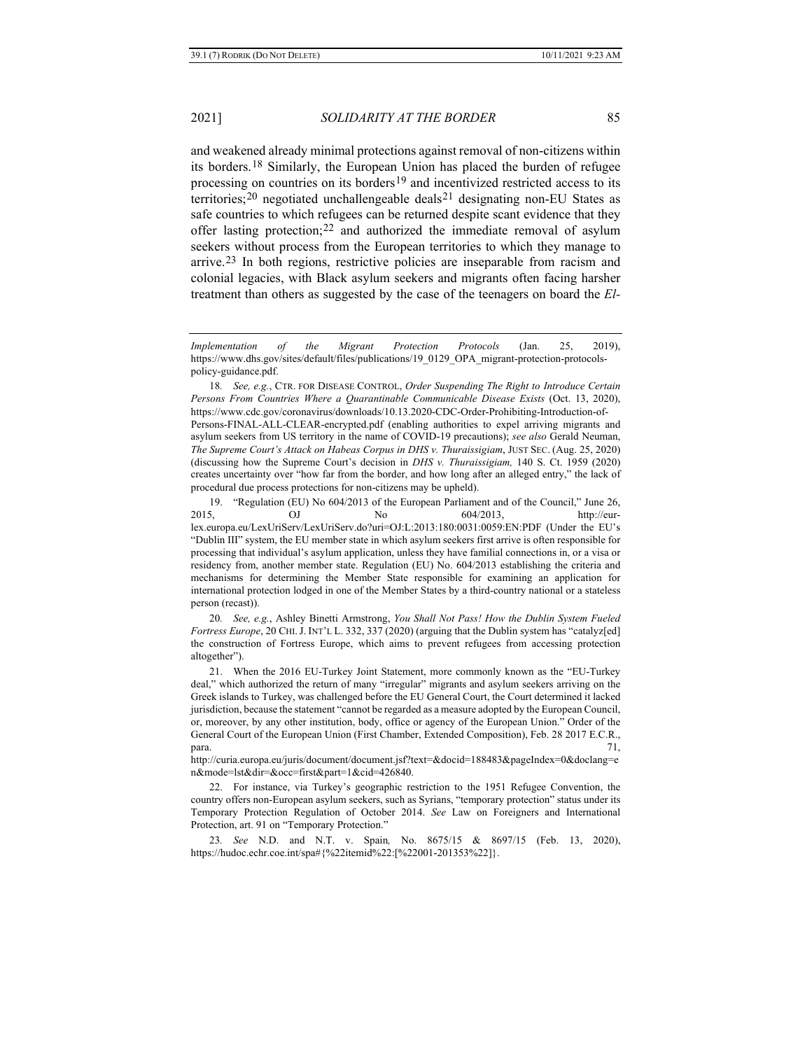and weakened already minimal protections against removal of non-citizens within its borders.[18](#page-4-0) Similarly, the European Union has placed the burden of refugee processing on countries on its borders<sup>[19](#page-4-1)</sup> and incentivized restricted access to its territories;[20](#page-4-2) negotiated unchallengeable deals[21](#page-4-3) designating non-EU States as safe countries to which refugees can be returned despite scant evidence that they offer lasting protection;  $22$  and authorized the immediate removal of asylum seekers without process from the European territories to which they manage to arrive.[23](#page-4-5) In both regions, restrictive policies are inseparable from racism and colonial legacies, with Black asylum seekers and migrants often facing harsher treatment than others as suggested by the case of the teenagers on board the *El-*

<span id="page-4-1"></span>19. "Regulation (EU) No 604/2013 of the European Parliament and of the Council," June 26, 2015, CJ No 604/2013, http://eurlex.europa.eu/LexUriServ/LexUriServ.do?uri=OJ:L:2013:180:0031:0059:EN:PDF (Under the EU's "Dublin III" system, the EU member state in which asylum seekers first arrive is often responsible for processing that individual's asylum application, unless they have familial connections in, or a visa or residency from, another member state. Regulation (EU) No. 604/2013 establishing the criteria and mechanisms for determining the Member State responsible for examining an application for international protection lodged in one of the Member States by a third-country national or a stateless person (recast)).

<span id="page-4-2"></span>20*. See, e.g.*, Ashley Binetti Armstrong, *You Shall Not Pass! How the Dublin System Fueled Fortress Europe*, 20 CHI.J. INT'L L. 332, 337 (2020) (arguing that the Dublin system has "catalyz[ed] the construction of Fortress Europe, which aims to prevent refugees from accessing protection altogether").

*Implementation of the Migrant Protection Protocols* (Jan. 25, 2019), https://www.dhs.gov/sites/default/files/publications/19\_0129\_OPA\_migrant-protection-protocolspolicy-guidance.pdf.

<span id="page-4-0"></span><sup>18</sup>*. See, e.g.*, CTR. FOR DISEASE CONTROL, *Order Suspending The Right to Introduce Certain Persons From Countries Where a Quarantinable Communicable Disease Exists* (Oct. 13, 2020), https://www.cdc.gov/coronavirus/downloads/10.13.2020-CDC-Order-Prohibiting-Introduction-of-Persons-FINAL-ALL-CLEAR-encrypted.pdf (enabling authorities to expel arriving migrants and asylum seekers from US territory in the name of COVID-19 precautions); *see also* Gerald Neuman, *The Supreme Court's Attack on Habeas Corpus in DHS v. Thuraissigiam*, JUST SEC. (Aug. 25, 2020) (discussing how the Supreme Court's decision in *DHS v. Thuraissigiam,* 140 S. Ct. 1959 (2020) creates uncertainty over "how far from the border, and how long after an alleged entry," the lack of procedural due process protections for non-citizens may be upheld).

<span id="page-4-3"></span><sup>21.</sup> When the 2016 EU-Turkey Joint Statement, more commonly known as the "EU-Turkey deal," which authorized the return of many "irregular" migrants and asylum seekers arriving on the Greek islands to Turkey, was challenged before the EU General Court, the Court determined it lacked jurisdiction, because the statement "cannot be regarded as a measure adopted by the European Council, or, moreover, by any other institution, body, office or agency of the European Union." Order of the General Court of the European Union (First Chamber, Extended Composition), Feb. 28 2017 E.C.R.,  $p_{\text{area}}$ . 71,

http://curia.europa.eu/juris/document/document.jsf?text=&docid=188483&pageIndex=0&doclang=e n&mode=lst&dir=&occ=first&part=1&cid=426840.

<span id="page-4-4"></span><sup>22.</sup> For instance, via Turkey's geographic restriction to the 1951 Refugee Convention, the country offers non-European asylum seekers, such as Syrians, "temporary protection" status under its Temporary Protection Regulation of October 2014. *See* Law on Foreigners and International Protection, art. 91 on "Temporary Protection."

<span id="page-4-5"></span><sup>23</sup>*. See* N.D. and N.T. v. Spain*,* No. 8675/15 & 8697/15 (Feb. 13, 2020), https://hudoc.echr.coe.int/spa#{%22itemid%22:[%22001-201353%22]}.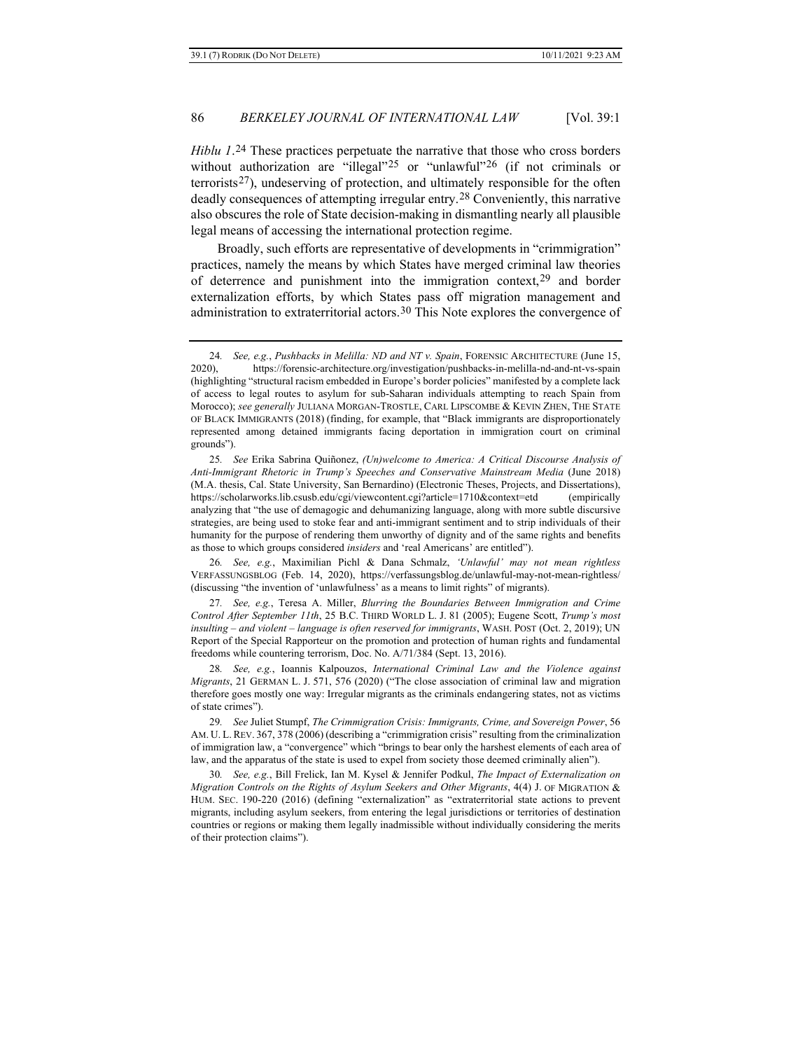*Hiblu 1*.[24](#page-5-0) These practices perpetuate the narrative that those who cross borders without authorization are "illegal"<sup>[25](#page-5-1)</sup> or "unlawful"<sup>[26](#page-5-2)</sup> (if not criminals or terrorists[27](#page-5-3)), undeserving of protection, and ultimately responsible for the often deadly consequences of attempting irregular entry.[28](#page-5-4) Conveniently, this narrative also obscures the role of State decision-making in dismantling nearly all plausible legal means of accessing the international protection regime.

Broadly, such efforts are representative of developments in "crimmigration" practices, namely the means by which States have merged criminal law theories of deterrence and punishment into the immigration context,[29](#page-5-5) and border externalization efforts, by which States pass off migration management and administration to extraterritorial actors.[30](#page-5-6) This Note explores the convergence of

<span id="page-5-2"></span>26*. See, e.g.*, Maximilian Pichl & Dana Schmalz, *'Unlawful' may not mean rightless* VERFASSUNGSBLOG (Feb. 14, 2020), https://verfassungsblog.de/unlawful-may-not-mean-rightless/ (discussing "the invention of 'unlawfulness' as a means to limit rights" of migrants).

<span id="page-5-3"></span>27*. See, e.g.*, Teresa A. Miller, *Blurring the Boundaries Between Immigration and Crime Control After September 11th*, 25 B.C. THIRD WORLD L. J. 81 (2005); Eugene Scott, *Trump's most insulting – and violent – language is often reserved for immigrants*, WASH. POST (Oct. 2, 2019); UN Report of the Special Rapporteur on the promotion and protection of human rights and fundamental freedoms while countering terrorism, Doc. No. A/71/384 (Sept. 13, 2016).

<span id="page-5-4"></span>28*. See, e.g.*, Ioannis Kalpouzos, *International Criminal Law and the Violence against Migrants*, 21 GERMAN L. J. 571, 576 (2020) ("The close association of criminal law and migration therefore goes mostly one way: Irregular migrants as the criminals endangering states, not as victims of state crimes").

<span id="page-5-6"></span>30*. See, e.g.*, Bill Frelick, Ian M. Kysel & Jennifer Podkul, *The Impact of Externalization on Migration Controls on the Rights of Asylum Seekers and Other Migrants*, 4(4) J. OF MIGRATION & HUM. SEC. 190-220 (2016) (defining "externalization" as "extraterritorial state actions to prevent migrants, including asylum seekers, from entering the legal jurisdictions or territories of destination countries or regions or making them legally inadmissible without individually considering the merits of their protection claims").

<span id="page-5-0"></span><sup>24</sup>*. See, e.g.*, *Pushbacks in Melilla: ND and NT v. Spain*, FORENSIC ARCHITECTURE (June 15, 2020), https://forensic-architecture.org/investigation/pushbacks-in-melilla-nd-and-nt-vs-spain (highlighting "structural racism embedded in Europe's border policies" manifested by a complete lack of access to legal routes to asylum for sub-Saharan individuals attempting to reach Spain from Morocco); *see generally* JULIANA MORGAN-TROSTLE, CARL LIPSCOMBE & KEVIN ZHEN, THE STATE OF BLACK IMMIGRANTS (2018) (finding, for example, that "Black immigrants are disproportionately represented among detained immigrants facing deportation in immigration court on criminal grounds").

<span id="page-5-1"></span><sup>25</sup>*. See* Erika Sabrina Quiñonez, *(Un)welcome to America: A Critical Discourse Analysis of Anti-Immigrant Rhetoric in Trump's Speeches and Conservative Mainstream Media* (June 2018) (M.A. thesis, Cal. State University, San Bernardino) (Electronic Theses, Projects, and Dissertations), https://scholarworks.lib.csusb.edu/cgi/viewcontent.cgi?article=1710&context=etd (empirically analyzing that "the use of demagogic and dehumanizing language, along with more subtle discursive strategies, are being used to stoke fear and anti-immigrant sentiment and to strip individuals of their humanity for the purpose of rendering them unworthy of dignity and of the same rights and benefits as those to which groups considered *insiders* and 'real Americans' are entitled").

<span id="page-5-5"></span><sup>29</sup>*. See* Juliet Stumpf, *The Crimmigration Crisis: Immigrants, Crime, and Sovereign Power*, 56 AM. U. L.REV. 367, 378 (2006) (describing a "crimmigration crisis" resulting from the criminalization of immigration law, a "convergence" which "brings to bear only the harshest elements of each area of law, and the apparatus of the state is used to expel from society those deemed criminally alien").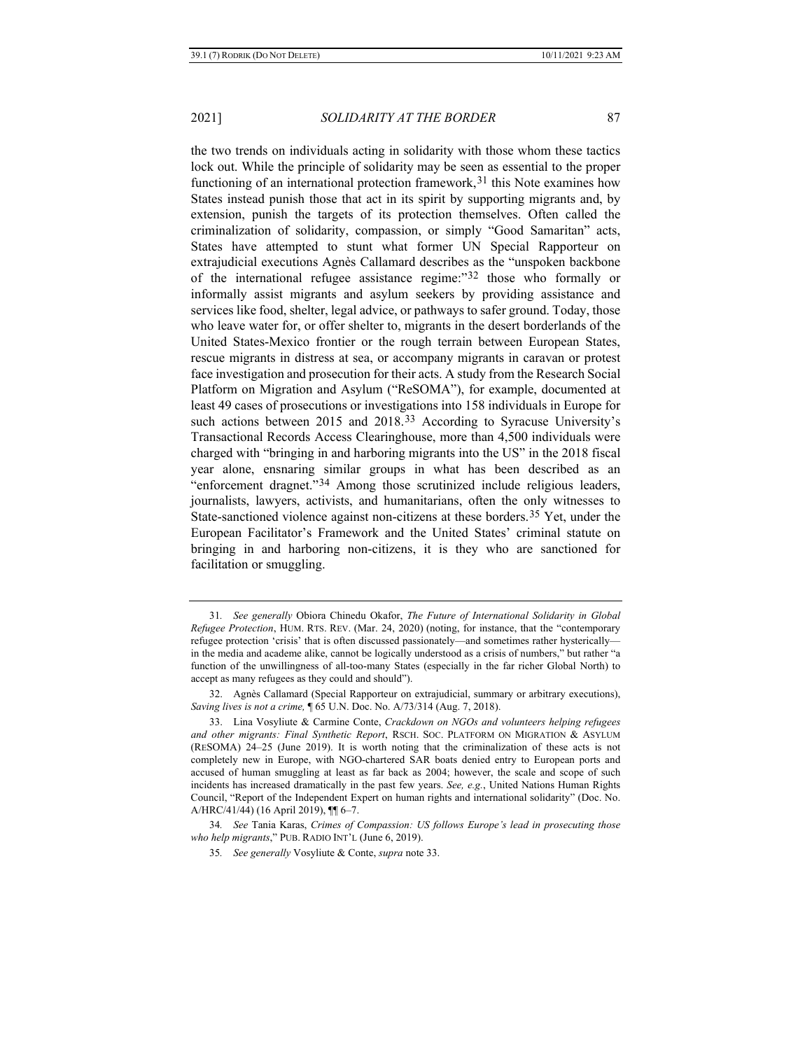<span id="page-6-6"></span>the two trends on individuals acting in solidarity with those whom these tactics lock out. While the principle of solidarity may be seen as essential to the proper functioning of an international protection framework,  $31$  this Note examines how States instead punish those that act in its spirit by supporting migrants and, by extension, punish the targets of its protection themselves. Often called the criminalization of solidarity, compassion, or simply "Good Samaritan" acts, States have attempted to stunt what former UN Special Rapporteur on extrajudicial executions Agnès Callamard describes as the "unspoken backbone of the international refugee assistance regime:"[32](#page-6-2) those who formally or informally assist migrants and asylum seekers by providing assistance and services like food, shelter, legal advice, or pathways to safer ground. Today, those who leave water for, or offer shelter to, migrants in the desert borderlands of the United States-Mexico frontier or the rough terrain between European States, rescue migrants in distress at sea, or accompany migrants in caravan or protest face investigation and prosecution for their acts. A study from the Research Social Platform on Migration and Asylum ("ReSOMA"), for example, documented at least 49 cases of prosecutions or investigations into 158 individuals in Europe for such actions between 2015 and 2018.<sup>[33](#page-6-3)</sup> According to Syracuse University's Transactional Records Access Clearinghouse, more than 4,500 individuals were charged with "bringing in and harboring migrants into the US" in the 2018 fiscal year alone, ensnaring similar groups in what has been described as an "enforcement dragnet."[34](#page-6-4) Among those scrutinized include religious leaders, journalists, lawyers, activists, and humanitarians, often the only witnesses to State-sanctioned violence against non-citizens at these borders.[35](#page-6-5) Yet, under the European Facilitator's Framework and the United States' criminal statute on bringing in and harboring non-citizens, it is they who are sanctioned for facilitation or smuggling.

<span id="page-6-1"></span><span id="page-6-0"></span><sup>31</sup>*. See generally* Obiora Chinedu Okafor, *The Future of International Solidarity in Global Refugee Protection*, HUM. RTS. REV. (Mar. 24, 2020) (noting, for instance, that the "contemporary refugee protection 'crisis' that is often discussed passionately—and sometimes rather hysterically in the media and academe alike, cannot be logically understood as a crisis of numbers," but rather "a function of the unwillingness of all-too-many States (especially in the far richer Global North) to accept as many refugees as they could and should").

<span id="page-6-2"></span><sup>32.</sup> Agnès Callamard (Special Rapporteur on extrajudicial, summary or arbitrary executions), *Saving lives is not a crime,* ¶ 65 U.N. Doc. No. A/73/314 (Aug. 7, 2018).

<span id="page-6-3"></span><sup>33.</sup> Lina Vosyliute & Carmine Conte, *Crackdown on NGOs and volunteers helping refugees and other migrants: Final Synthetic Report*, RSCH. SOC. PLATFORM ON MIGRATION & ASYLUM (RESOMA) 24–25 (June 2019). It is worth noting that the criminalization of these acts is not completely new in Europe, with NGO-chartered SAR boats denied entry to European ports and accused of human smuggling at least as far back as 2004; however, the scale and scope of such incidents has increased dramatically in the past few years. *See, e.g.*, United Nations Human Rights Council, "Report of the Independent Expert on human rights and international solidarity" (Doc. No. A/HRC/41/44) (16 April 2019), ¶¶ 6–7.

<span id="page-6-5"></span><span id="page-6-4"></span><sup>34</sup>*. See* Tania Karas, *Crimes of Compassion: US follows Europe's lead in prosecuting those who help migrants*," PUB. RADIO INT'L (June 6, 2019).

<sup>35</sup>*. See generally* Vosyliute & Conte, *supra* note [33.](#page-6-0)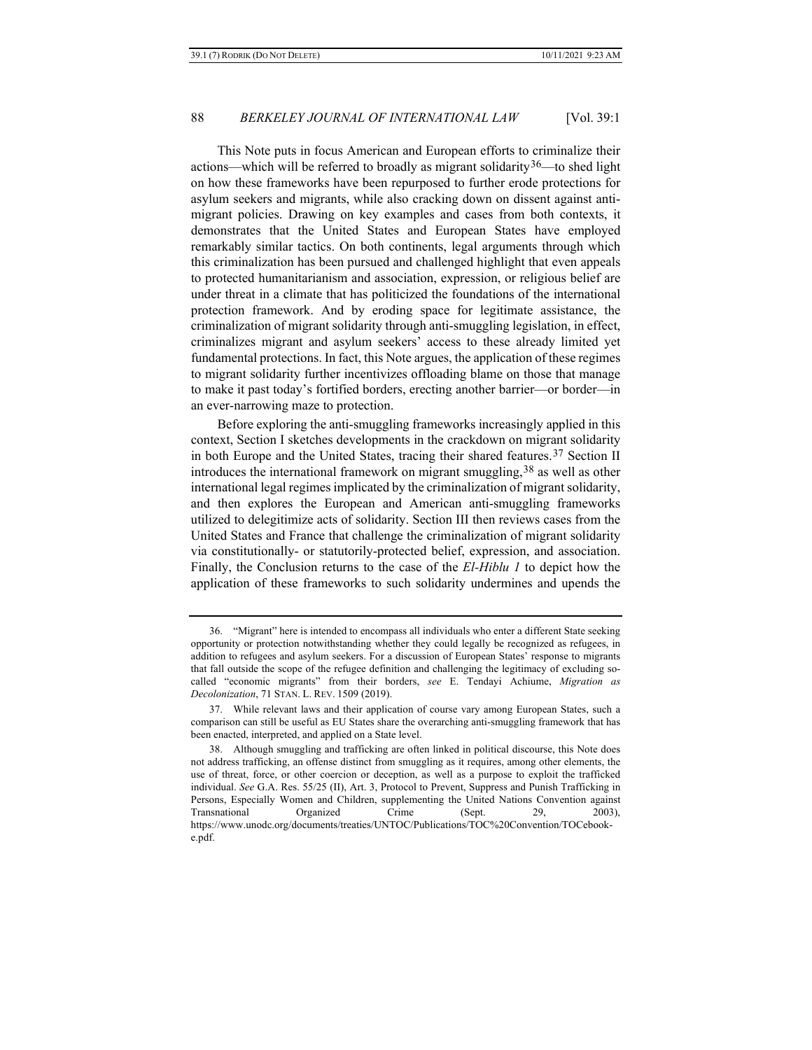This Note puts in focus American and European efforts to criminalize their actions—which will be referred to broadly as migrant solidarity<sup>[36](#page-7-0)</sup>—to shed light on how these frameworks have been repurposed to further erode protections for asylum seekers and migrants, while also cracking down on dissent against antimigrant policies. Drawing on key examples and cases from both contexts, it demonstrates that the United States and European States have employed remarkably similar tactics. On both continents, legal arguments through which this criminalization has been pursued and challenged highlight that even appeals to protected humanitarianism and association, expression, or religious belief are under threat in a climate that has politicized the foundations of the international protection framework. And by eroding space for legitimate assistance, the criminalization of migrant solidarity through anti-smuggling legislation, in effect, criminalizes migrant and asylum seekers' access to these already limited yet fundamental protections. In fact, this Note argues, the application of these regimes to migrant solidarity further incentivizes offloading blame on those that manage to make it past today's fortified borders, erecting another barrier—or border—in an ever-narrowing maze to protection.

Before exploring the anti-smuggling frameworks increasingly applied in this context, Section I sketches developments in the crackdown on migrant solidarity in both Europe and the United States, tracing their shared features.<sup>[37](#page-7-1)</sup> Section II introduces the international framework on migrant smuggling,[38](#page-7-2) as well as other international legal regimes implicated by the criminalization of migrant solidarity, and then explores the European and American anti-smuggling frameworks utilized to delegitimize acts of solidarity. Section III then reviews cases from the United States and France that challenge the criminalization of migrant solidarity via constitutionally- or statutorily-protected belief, expression, and association. Finally, the Conclusion returns to the case of the *El-Hiblu 1* to depict how the application of these frameworks to such solidarity undermines and upends the

<span id="page-7-0"></span><sup>36.</sup> "Migrant" here is intended to encompass all individuals who enter a different State seeking opportunity or protection notwithstanding whether they could legally be recognized as refugees, in addition to refugees and asylum seekers. For a discussion of European States' response to migrants that fall outside the scope of the refugee definition and challenging the legitimacy of excluding socalled "economic migrants" from their borders, *see* E. Tendayi Achiume, *Migration as Decolonization*, 71 STAN. L. REV. 1509 (2019).

<span id="page-7-1"></span><sup>37.</sup> While relevant laws and their application of course vary among European States, such a comparison can still be useful as EU States share the overarching anti-smuggling framework that has been enacted, interpreted, and applied on a State level.

<span id="page-7-2"></span><sup>38.</sup> Although smuggling and trafficking are often linked in political discourse, this Note does not address trafficking, an offense distinct from smuggling as it requires, among other elements, the use of threat, force, or other coercion or deception, as well as a purpose to exploit the trafficked individual. *See* G.A. Res. 55/25 (II), Art. 3, Protocol to Prevent, Suppress and Punish Trafficking in Persons, Especially Women and Children, supplementing the United Nations Convention against Transnational Organized Crime (Sept. 29, 2003), https://www.unodc.org/documents/treaties/UNTOC/Publications/TOC%20Convention/TOCebooke.pdf.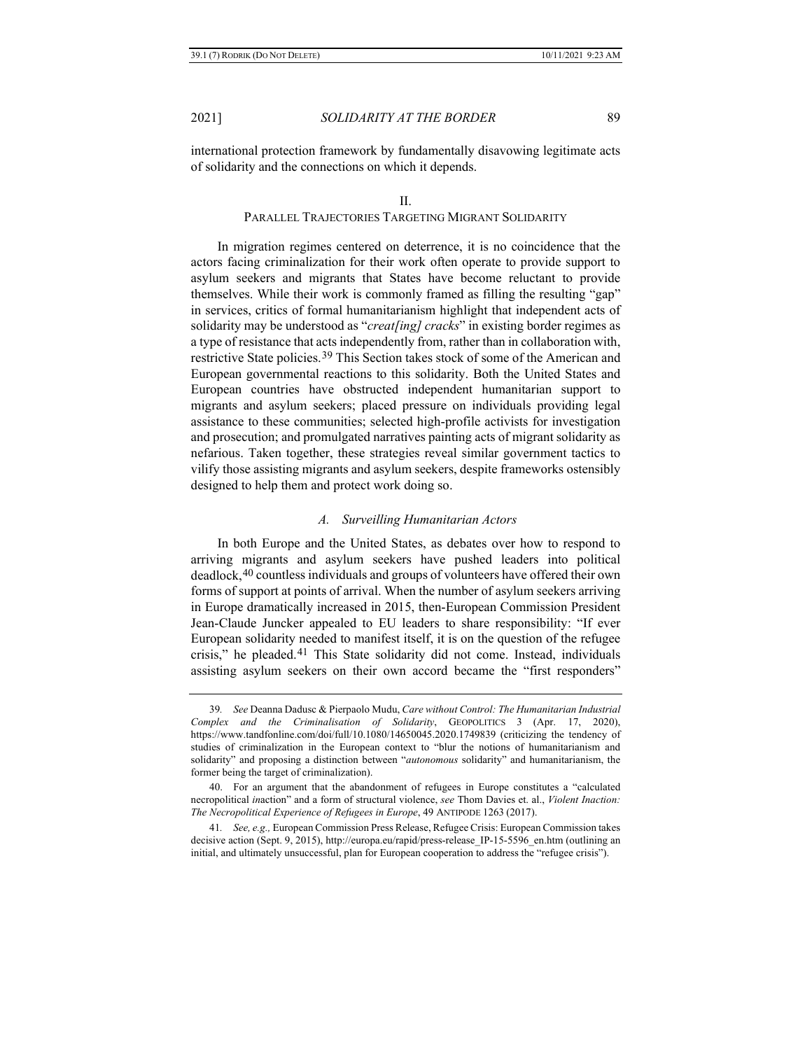international protection framework by fundamentally disavowing legitimate acts of solidarity and the connections on which it depends.

#### II.

# <span id="page-8-3"></span>PARALLEL TRAJECTORIES TARGETING MIGRANT SOLIDARITY

In migration regimes centered on deterrence, it is no coincidence that the actors facing criminalization for their work often operate to provide support to asylum seekers and migrants that States have become reluctant to provide themselves. While their work is commonly framed as filling the resulting "gap" in services, critics of formal humanitarianism highlight that independent acts of solidarity may be understood as "*creat[ing] cracks*" in existing border regimes as a type of resistance that acts independently from, rather than in collaboration with, restrictive State policies.[39](#page-8-0) This Section takes stock of some of the American and European governmental reactions to this solidarity. Both the United States and European countries have obstructed independent humanitarian support to migrants and asylum seekers; placed pressure on individuals providing legal assistance to these communities; selected high-profile activists for investigation and prosecution; and promulgated narratives painting acts of migrant solidarity as nefarious. Taken together, these strategies reveal similar government tactics to vilify those assisting migrants and asylum seekers, despite frameworks ostensibly designed to help them and protect work doing so.

#### *A. Surveilling Humanitarian Actors*

In both Europe and the United States, as debates over how to respond to arriving migrants and asylum seekers have pushed leaders into political deadlock,[40](#page-8-1) countless individuals and groups of volunteers have offered their own forms of support at points of arrival. When the number of asylum seekers arriving in Europe dramatically increased in 2015, then-European Commission President Jean-Claude Juncker appealed to EU leaders to share responsibility: "If ever European solidarity needed to manifest itself, it is on the question of the refugee crisis," he pleaded.[41](#page-8-2) This State solidarity did not come. Instead, individuals assisting asylum seekers on their own accord became the "first responders"

<span id="page-8-0"></span><sup>39</sup>*. See* Deanna Dadusc & Pierpaolo Mudu, *Care without Control: The Humanitarian Industrial Complex and the Criminalisation of Solidarity*, GEOPOLITICS 3 (Apr. 17, 2020), https://www.tandfonline.com/doi/full/10.1080/14650045.2020.1749839 (criticizing the tendency of studies of criminalization in the European context to "blur the notions of humanitarianism and solidarity" and proposing a distinction between "*autonomous* solidarity" and humanitarianism, the former being the target of criminalization).

<span id="page-8-1"></span><sup>40.</sup> For an argument that the abandonment of refugees in Europe constitutes a "calculated necropolitical *in*action" and a form of structural violence, *see* Thom Davies et. al., *Violent Inaction: The Necropolitical Experience of Refugees in Europe*, 49 ANTIPODE 1263 (2017).

<span id="page-8-2"></span><sup>41</sup>*. See, e.g.,* European Commission Press Release, Refugee Crisis: European Commission takes decisive action (Sept. 9, 2015), http://europa.eu/rapid/press-release IP-15-5596 en.htm (outlining an initial, and ultimately unsuccessful, plan for European cooperation to address the "refugee crisis").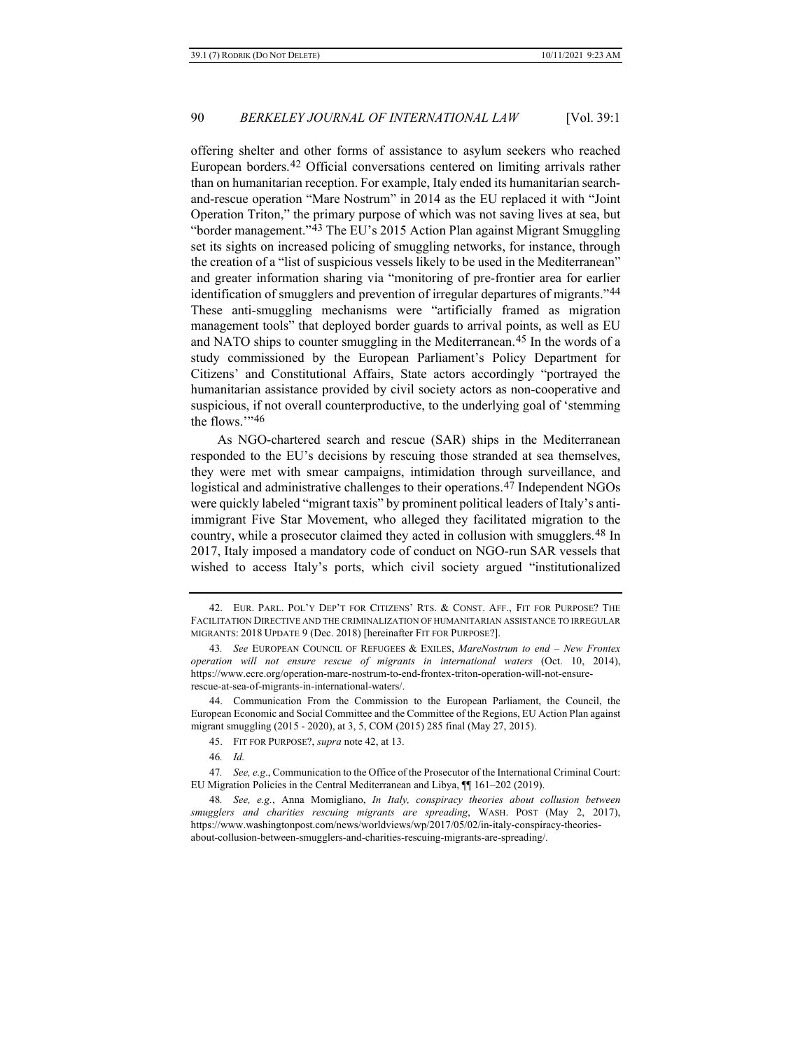<span id="page-9-0"></span>offering shelter and other forms of assistance to asylum seekers who reached European borders.[42](#page-9-1) Official conversations centered on limiting arrivals rather than on humanitarian reception. For example, Italy ended its humanitarian searchand-rescue operation "Mare Nostrum" in 2014 as the EU replaced it with "Joint Operation Triton," the primary purpose of which was not saving lives at sea, but "border management.["43](#page-9-2) The EU's 2015 Action Plan against Migrant Smuggling set its sights on increased policing of smuggling networks, for instance, through the creation of a "list of suspicious vessels likely to be used in the Mediterranean" and greater information sharing via "monitoring of pre-frontier area for earlier identification of smugglers and prevention of irregular departures of migrants."[44](#page-9-3) These anti-smuggling mechanisms were "artificially framed as migration management tools" that deployed border guards to arrival points, as well as EU and NATO ships to counter smuggling in the Mediterranean.[45](#page-9-4) In the words of a study commissioned by the European Parliament's Policy Department for Citizens' and Constitutional Affairs, State actors accordingly "portrayed the humanitarian assistance provided by civil society actors as non-cooperative and suspicious, if not overall counterproductive, to the underlying goal of 'stemming the flows.'"[46](#page-9-5)

As NGO-chartered search and rescue (SAR) ships in the Mediterranean responded to the EU's decisions by rescuing those stranded at sea themselves, they were met with smear campaigns, intimidation through surveillance, and logistical and administrative challenges to their operations.<sup>[47](#page-9-6)</sup> Independent NGOs were quickly labeled "migrant taxis" by prominent political leaders of Italy's antiimmigrant Five Star Movement, who alleged they facilitated migration to the country, while a prosecutor claimed they acted in collusion with smugglers.[48](#page-9-7) In 2017, Italy imposed a mandatory code of conduct on NGO-run SAR vessels that wished to access Italy's ports, which civil society argued "institutionalized

<span id="page-9-1"></span><sup>42.</sup> EUR. PARL. POL'Y DEP'T FOR CITIZENS' RTS. & CONST. AFF., FIT FOR PURPOSE? THE FACILITATION DIRECTIVE AND THE CRIMINALIZATION OF HUMANITARIAN ASSISTANCE TO IRREGULAR MIGRANTS: 2018 UPDATE 9 (Dec. 2018) [hereinafter FIT FOR PURPOSE?].

<span id="page-9-2"></span><sup>43</sup>*. See* EUROPEAN COUNCIL OF REFUGEES & EXILES, *MareNostrum to end – New Frontex operation will not ensure rescue of migrants in international waters* (Oct. 10, 2014), https://www.ecre.org/operation-mare-nostrum-to-end-frontex-triton-operation-will-not-ensurerescue-at-sea-of-migrants-in-international-waters/.

<span id="page-9-3"></span><sup>44.</sup> Communication From the Commission to the European Parliament, the Council, the European Economic and Social Committee and the Committee of the Regions, EU Action Plan against migrant smuggling (2015 - 2020), at 3, 5, COM (2015) 285 final (May 27, 2015).

<sup>45.</sup> FIT FOR PURPOSE?, *supra* not[e 42,](#page-9-0) at 13.

<sup>46</sup>*. Id.*

<span id="page-9-6"></span><span id="page-9-5"></span><span id="page-9-4"></span><sup>47</sup>*. See, e.g*., Communication to the Office of the Prosecutor of the International Criminal Court: EU Migration Policies in the Central Mediterranean and Libya, ¶¶ 161–202 (2019).

<span id="page-9-7"></span><sup>48</sup>*. See, e.g.*, Anna Momigliano, *In Italy, conspiracy theories about collusion between smugglers and charities rescuing migrants are spreading*, WASH. POST (May 2, 2017), https://www.washingtonpost.com/news/worldviews/wp/2017/05/02/in-italy-conspiracy-theoriesabout-collusion-between-smugglers-and-charities-rescuing-migrants-are-spreading/.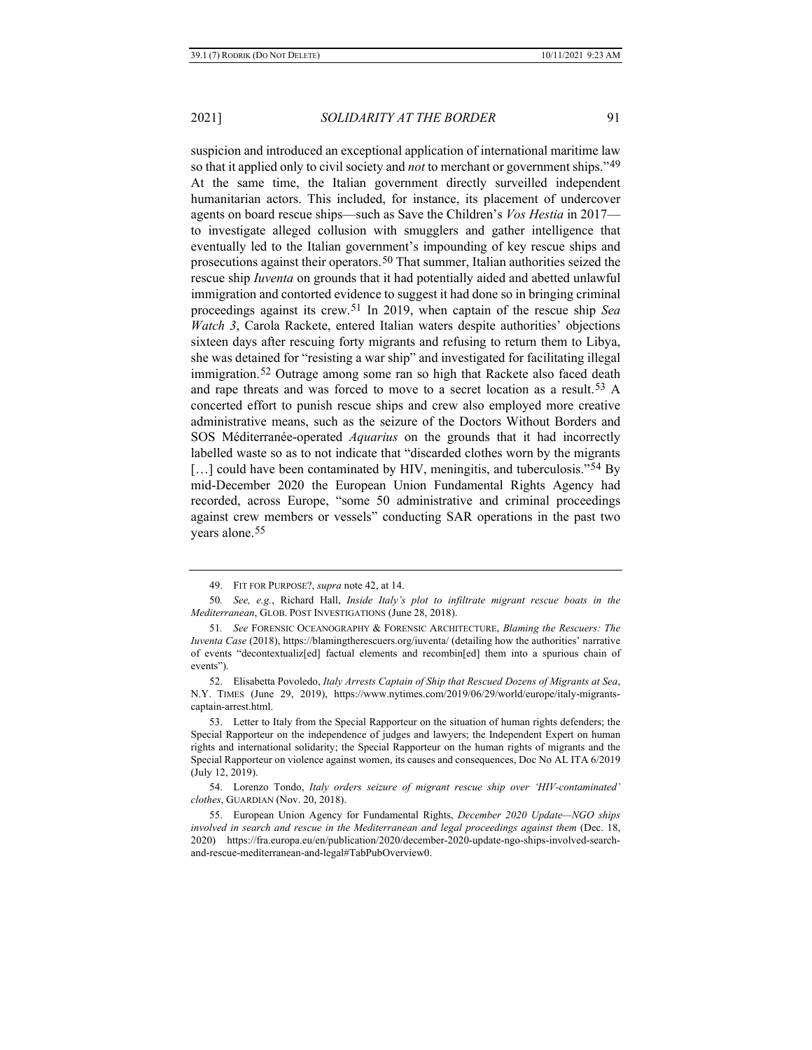suspicion and introduced an exceptional application of international maritime law so that it applied only to civil society and *not* to merchant or government ships."[49](#page-10-0) At the same time, the Italian government directly surveilled independent humanitarian actors. This included, for instance, its placement of undercover agents on board rescue ships—such as Save the Children's *Vos Hestia* in 2017 to investigate alleged collusion with smugglers and gather intelligence that eventually led to the Italian government's impounding of key rescue ships and prosecutions against their operators.[50](#page-10-1) That summer, Italian authorities seized the rescue ship *Iuventa* on grounds that it had potentially aided and abetted unlawful immigration and contorted evidence to suggest it had done so in bringing criminal proceedings against its crew.[51](#page-10-2) In 2019, when captain of the rescue ship *Sea Watch 3*, Carola Rackete, entered Italian waters despite authorities' objections sixteen days after rescuing forty migrants and refusing to return them to Libya, she was detained for "resisting a war ship" and investigated for facilitating illegal immigration.[52](#page-10-3) Outrage among some ran so high that Rackete also faced death and rape threats and was forced to move to a secret location as a result.[53](#page-10-4) A concerted effort to punish rescue ships and crew also employed more creative administrative means, such as the seizure of the Doctors Without Borders and SOS Méditerranée-operated *Aquarius* on the grounds that it had incorrectly labelled waste so as to not indicate that "discarded clothes worn by the migrants  $\left[\ldots\right]$  could have been contaminated by HIV, meningitis, and tuberculosis."<sup>[54](#page-10-5)</sup> By mid-December 2020 the European Union Fundamental Rights Agency had recorded, across Europe, "some 50 administrative and criminal proceedings against crew members or vessels" conducting SAR operations in the past two years alone.[55](#page-10-6)

<sup>49.</sup> FIT FOR PURPOSE?, *supra* not[e 42,](#page-9-0) at 14.

<span id="page-10-1"></span><span id="page-10-0"></span><sup>50</sup>*. See, e.g.*, Richard Hall, *Inside Italy's plot to infiltrate migrant rescue boats in the Mediterranean*, GLOB. POST INVESTIGATIONS (June 28, 2018).

<span id="page-10-2"></span><sup>51</sup>*. See* FORENSIC OCEANOGRAPHY & FORENSIC ARCHITECTURE, *Blaming the Rescuers: The Iuventa Case* (2018), https://blamingtherescuers.org/iuventa/ (detailing how the authorities' narrative of events "decontextualiz[ed] factual elements and recombin[ed] them into a spurious chain of events").

<span id="page-10-3"></span><sup>52.</sup> Elisabetta Povoledo, *Italy Arrests Captain of Ship that Rescued Dozens of Migrants at Sea*, N.Y. TIMES (June 29, 2019), https://www.nytimes.com/2019/06/29/world/europe/italy-migrantscaptain-arrest.html.

<span id="page-10-4"></span><sup>53.</sup> Letter to Italy from the Special Rapporteur on the situation of human rights defenders; the Special Rapporteur on the independence of judges and lawyers; the Independent Expert on human rights and international solidarity; the Special Rapporteur on the human rights of migrants and the Special Rapporteur on violence against women, its causes and consequences, Doc No AL ITA 6/2019 (July 12, 2019).

<span id="page-10-5"></span><sup>54.</sup> Lorenzo Tondo, *Italy orders seizure of migrant rescue ship over 'HIV-contaminated' clothes*, GUARDIAN (Nov. 20, 2018).

<span id="page-10-6"></span><sup>55.</sup> European Union Agency for Fundamental Rights, *December 2020 Update—NGO ships involved in search and rescue in the Mediterranean and legal proceedings against them* (Dec. 18, 2020) https://fra.europa.eu/en/publication/2020/december-2020-update-ngo-ships-involved-searchand-rescue-mediterranean-and-legal#TabPubOverview0.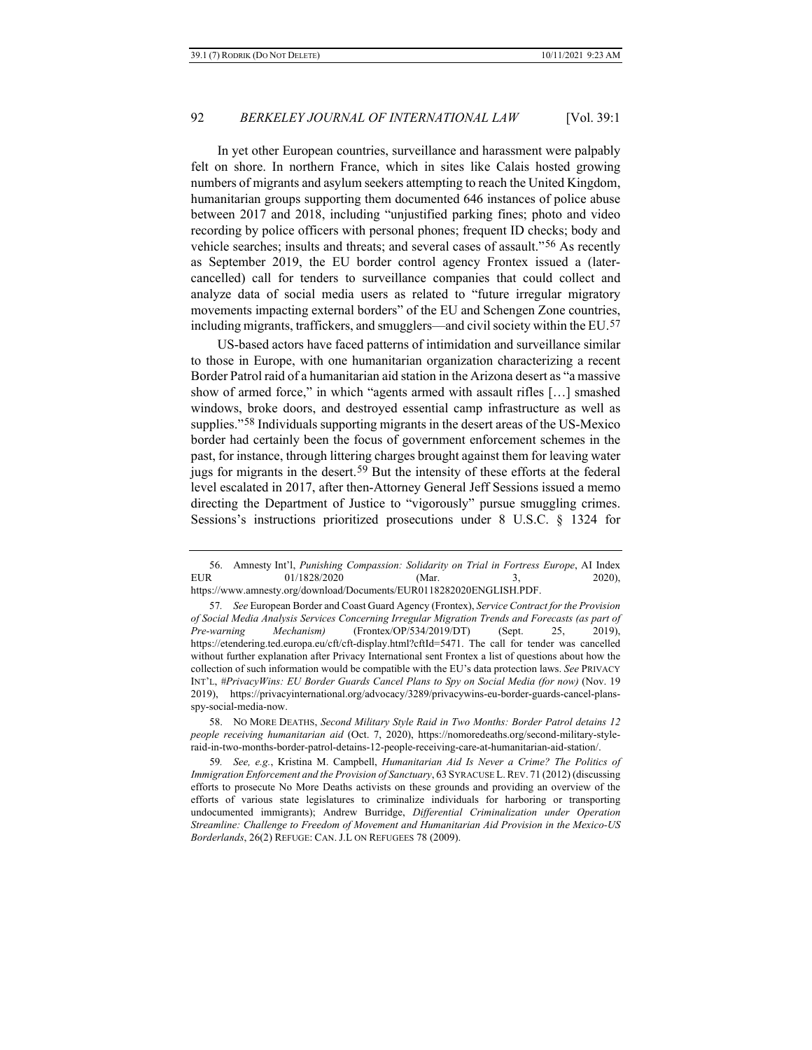<span id="page-11-4"></span>In yet other European countries, surveillance and harassment were palpably felt on shore. In northern France, which in sites like Calais hosted growing numbers of migrants and asylum seekers attempting to reach the United Kingdom, humanitarian groups supporting them documented 646 instances of police abuse between 2017 and 2018, including "unjustified parking fines; photo and video recording by police officers with personal phones; frequent ID checks; body and vehicle searches; insults and threats; and several cases of assault."[56](#page-11-0) As recently as September 2019, the EU border control agency Frontex issued a (latercancelled) call for tenders to surveillance companies that could collect and analyze data of social media users as related to "future irregular migratory movements impacting external borders" of the EU and Schengen Zone countries, including migrants, traffickers, and smugglers—and civil society within the EU.[57](#page-11-1)

US-based actors have faced patterns of intimidation and surveillance similar to those in Europe, with one humanitarian organization characterizing a recent Border Patrol raid of a humanitarian aid station in the Arizona desert as "a massive show of armed force," in which "agents armed with assault rifles […] smashed windows, broke doors, and destroyed essential camp infrastructure as well as supplies."[58](#page-11-2) Individuals supporting migrants in the desert areas of the US-Mexico border had certainly been the focus of government enforcement schemes in the past, for instance, through littering charges brought against them for leaving water jugs for migrants in the desert.[59](#page-11-3) But the intensity of these efforts at the federal level escalated in 2017, after then-Attorney General Jeff Sessions issued a memo directing the Department of Justice to "vigorously" pursue smuggling crimes. Sessions's instructions prioritized prosecutions under 8 U.S.C. § 1324 for

<span id="page-11-2"></span>58. NO MORE DEATHS, *Second Military Style Raid in Two Months: Border Patrol detains 12 people receiving humanitarian aid* (Oct. 7, 2020), https://nomoredeaths.org/second-military-styleraid-in-two-months-border-patrol-detains-12-people-receiving-care-at-humanitarian-aid-station/.

<span id="page-11-0"></span><sup>56.</sup> Amnesty Int'l, *Punishing Compassion: Solidarity on Trial in Fortress Europe*, AI Index EUR 01/1828/2020 (Mar. 3, 2020), https://www.amnesty.org/download/Documents/EUR0118282020ENGLISH.PDF.

<span id="page-11-1"></span><sup>57</sup>*. See* European Border and Coast Guard Agency (Frontex), *Service Contract for the Provision of Social Media Analysis Services Concerning Irregular Migration Trends and Forecasts (as part of Pre-warning Mechanism)* (Frontex/OP/534/2019/DT) (Sept. 25, 2019), https://etendering.ted.europa.eu/cft/cft-display.html?cftId=5471. The call for tender was cancelled without further explanation after Privacy International sent Frontex a list of questions about how the collection of such information would be compatible with the EU's data protection laws. *See* PRIVACY INT'L, *#PrivacyWins: EU Border Guards Cancel Plans to Spy on Social Media (for now)* (Nov. 19 2019), https://privacyinternational.org/advocacy/3289/privacywins-eu-border-guards-cancel-plansspy-social-media-now.

<span id="page-11-3"></span><sup>59</sup>*. See, e.g.*, Kristina M. Campbell, *Humanitarian Aid Is Never a Crime? The Politics of Immigration Enforcement and the Provision of Sanctuary*, 63 SYRACUSE L.REV. 71 (2012) (discussing efforts to prosecute No More Deaths activists on these grounds and providing an overview of the efforts of various state legislatures to criminalize individuals for harboring or transporting undocumented immigrants); Andrew Burridge, *Differential Criminalization under Operation Streamline: Challenge to Freedom of Movement and Humanitarian Aid Provision in the Mexico-US Borderlands*, 26(2) REFUGE: CAN. J.L ON REFUGEES 78 (2009).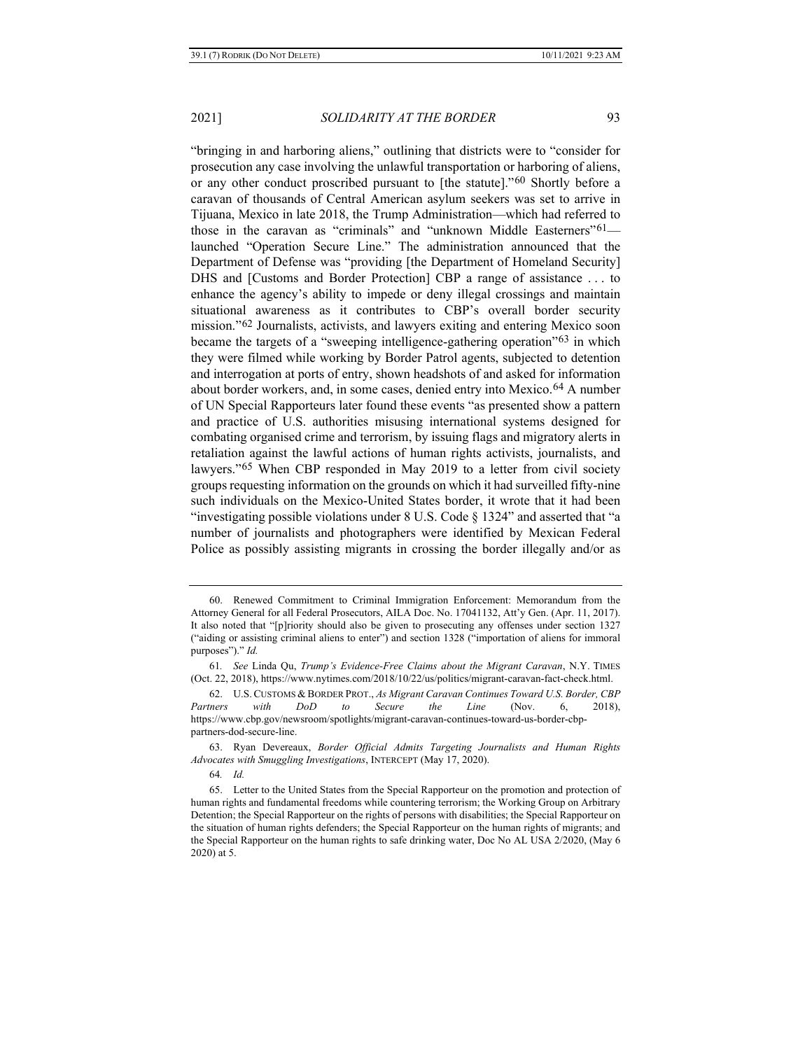"bringing in and harboring aliens," outlining that districts were to "consider for prosecution any case involving the unlawful transportation or harboring of aliens, or any other conduct proscribed pursuant to [the statute]."[60](#page-12-0) Shortly before a caravan of thousands of Central American asylum seekers was set to arrive in Tijuana, Mexico in late 2018, the Trump Administration—which had referred to those in the caravan as "criminals" and "unknown Middle Easterners"[61](#page-12-1) launched "Operation Secure Line." The administration announced that the Department of Defense was "providing [the Department of Homeland Security] DHS and [Customs and Border Protection] CBP a range of assistance . . . to enhance the agency's ability to impede or deny illegal crossings and maintain situational awareness as it contributes to CBP's overall border security mission."[62](#page-12-2) Journalists, activists, and lawyers exiting and entering Mexico soon became the targets of a "sweeping intelligence-gathering operation"[63](#page-12-3) in which they were filmed while working by Border Patrol agents, subjected to detention and interrogation at ports of entry, shown headshots of and asked for information about border workers, and, in some cases, denied entry into Mexico.[64](#page-12-4) A number of UN Special Rapporteurs later found these events "as presented show a pattern and practice of U.S. authorities misusing international systems designed for combating organised crime and terrorism, by issuing flags and migratory alerts in retaliation against the lawful actions of human rights activists, journalists, and lawyers."[65](#page-12-5) When CBP responded in May 2019 to a letter from civil society groups requesting information on the grounds on which it had surveilled fifty-nine such individuals on the Mexico-United States border, it wrote that it had been "investigating possible violations under 8 U.S. Code § 1324" and asserted that "a number of journalists and photographers were identified by Mexican Federal Police as possibly assisting migrants in crossing the border illegally and/or as

64*. Id.*

<span id="page-12-6"></span>

<span id="page-12-0"></span><sup>60.</sup> Renewed Commitment to Criminal Immigration Enforcement: Memorandum from the Attorney General for all Federal Prosecutors, AILA Doc. No. 17041132, Att'y Gen. (Apr. 11, 2017). It also noted that "[p]riority should also be given to prosecuting any offenses under section 1327 ("aiding or assisting criminal aliens to enter") and section 1328 ("importation of aliens for immoral purposes")." *Id.*

<span id="page-12-1"></span><sup>61</sup>*. See* Linda Qu, *Trump's Evidence-Free Claims about the Migrant Caravan*, N.Y. TIMES (Oct. 22, 2018), https://www.nytimes.com/2018/10/22/us/politics/migrant-caravan-fact-check.html.

<span id="page-12-2"></span><sup>62.</sup> U.S.CUSTOMS & BORDER PROT., *As Migrant Caravan Continues Toward U.S. Border, CBP Partners with DoD to Secure the Line* (Nov. 6, 2018), https://www.cbp.gov/newsroom/spotlights/migrant-caravan-continues-toward-us-border-cbppartners-dod-secure-line.

<span id="page-12-3"></span><sup>63.</sup> Ryan Devereaux, *Border Official Admits Targeting Journalists and Human Rights Advocates with Smuggling Investigations*, INTERCEPT (May 17, 2020).

<span id="page-12-5"></span><span id="page-12-4"></span><sup>65.</sup> Letter to the United States from the Special Rapporteur on the promotion and protection of human rights and fundamental freedoms while countering terrorism; the Working Group on Arbitrary Detention; the Special Rapporteur on the rights of persons with disabilities; the Special Rapporteur on the situation of human rights defenders; the Special Rapporteur on the human rights of migrants; and the Special Rapporteur on the human rights to safe drinking water, Doc No AL USA 2/2020, (May 6 2020) at 5.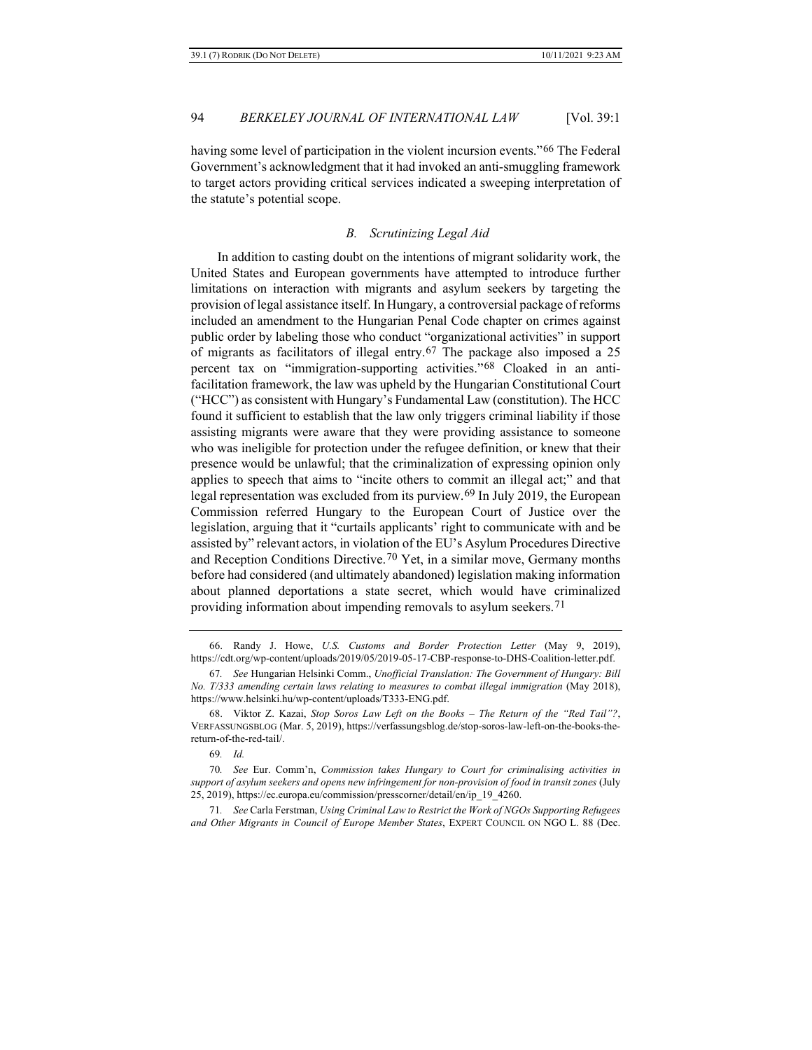having some level of participation in the violent incursion events."[66](#page-13-0) The Federal Government's acknowledgment that it had invoked an anti-smuggling framework to target actors providing critical services indicated a sweeping interpretation of the statute's potential scope.

#### *B. Scrutinizing Legal Aid*

In addition to casting doubt on the intentions of migrant solidarity work, the United States and European governments have attempted to introduce further limitations on interaction with migrants and asylum seekers by targeting the provision of legal assistance itself. In Hungary, a controversial package of reforms included an amendment to the Hungarian Penal Code chapter on crimes against public order by labeling those who conduct "organizational activities" in support of migrants as facilitators of illegal entry.[67](#page-13-1) The package also imposed a 25 percent tax on "immigration-supporting activities."[68](#page-13-2) Cloaked in an antifacilitation framework, the law was upheld by the Hungarian Constitutional Court ("HCC") as consistent with Hungary's Fundamental Law (constitution). The HCC found it sufficient to establish that the law only triggers criminal liability if those assisting migrants were aware that they were providing assistance to someone who was ineligible for protection under the refugee definition, or knew that their presence would be unlawful; that the criminalization of expressing opinion only applies to speech that aims to "incite others to commit an illegal act;" and that legal representation was excluded from its purview.[69](#page-13-3) In July 2019, the European Commission referred Hungary to the European Court of Justice over the legislation, arguing that it "curtails applicants' right to communicate with and be assisted by" relevant actors, in violation of the EU's Asylum Procedures Directive and Reception Conditions Directive.<sup>[70](#page-13-4)</sup> Yet, in a similar move, Germany months before had considered (and ultimately abandoned) legislation making information about planned deportations a state secret, which would have criminalized providing information about impending removals to asylum seekers.[71](#page-13-5)

<span id="page-13-6"></span><span id="page-13-0"></span><sup>66.</sup> Randy J. Howe, *U.S. Customs and Border Protection Letter* (May 9, 2019), https://cdt.org/wp-content/uploads/2019/05/2019-05-17-CBP-response-to-DHS-Coalition-letter.pdf.

<span id="page-13-1"></span><sup>67</sup>*. See* Hungarian Helsinki Comm., *Unofficial Translation: The Government of Hungary: Bill No. T/333 amending certain laws relating to measures to combat illegal immigration* (May 2018), https://www.helsinki.hu/wp-content/uploads/T333-ENG.pdf.

<span id="page-13-2"></span><sup>68.</sup> Viktor Z. Kazai, *Stop Soros Law Left on the Books – The Return of the "Red Tail"?*, VERFASSUNGSBLOG (Mar. 5, 2019), https://verfassungsblog.de/stop-soros-law-left-on-the-books-thereturn-of-the-red-tail/.

<sup>69</sup>*. Id.*

<span id="page-13-4"></span><span id="page-13-3"></span><sup>70</sup>*. See* Eur. Comm'n, *Commission takes Hungary to Court for criminalising activities in support of asylum seekers and opens new infringement for non-provision of food in transit zones* (July 25, 2019), https://ec.europa.eu/commission/presscorner/detail/en/ip\_19\_4260.

<span id="page-13-5"></span><sup>71</sup>*. See* Carla Ferstman, *Using Criminal Law to Restrict the Work of NGOs Supporting Refugees and Other Migrants in Council of Europe Member States*, EXPERT COUNCIL ON NGO L. 88 (Dec.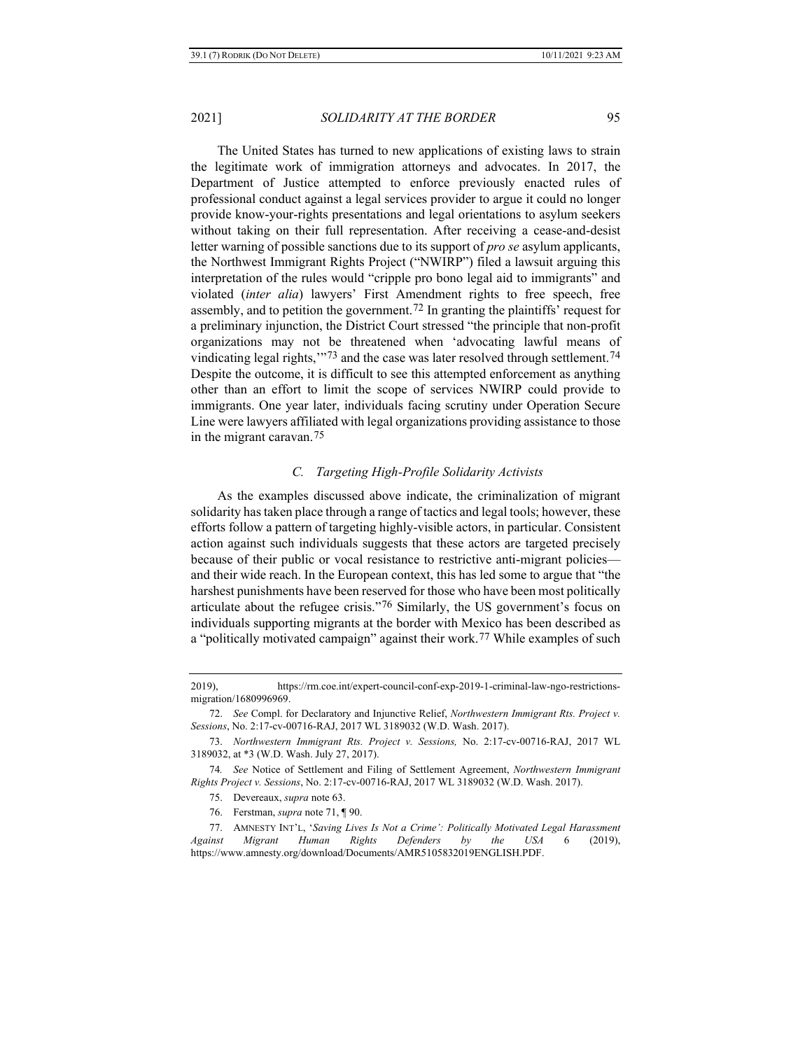The United States has turned to new applications of existing laws to strain the legitimate work of immigration attorneys and advocates. In 2017, the Department of Justice attempted to enforce previously enacted rules of professional conduct against a legal services provider to argue it could no longer provide know-your-rights presentations and legal orientations to asylum seekers without taking on their full representation. After receiving a cease-and-desist letter warning of possible sanctions due to its support of *pro se* asylum applicants, the Northwest Immigrant Rights Project ("NWIRP") filed a lawsuit arguing this interpretation of the rules would "cripple pro bono legal aid to immigrants" and violated (*inter alia*) lawyers' First Amendment rights to free speech, free assembly, and to petition the government.[72](#page-14-0) In granting the plaintiffs' request for a preliminary injunction, the District Court stressed "the principle that non-profit organizations may not be threatened when 'advocating lawful means of vindicating legal rights,"<sup>[73](#page-14-1)</sup> and the case was later resolved through settlement.<sup>[74](#page-14-2)</sup> Despite the outcome, it is difficult to see this attempted enforcement as anything other than an effort to limit the scope of services NWIRP could provide to immigrants. One year later, individuals facing scrutiny under Operation Secure Line were lawyers affiliated with legal organizations providing assistance to those in the migrant caravan.[75](#page-14-3)

#### *C. Targeting High-Profile Solidarity Activists*

As the examples discussed above indicate, the criminalization of migrant solidarity has taken place through a range of tactics and legal tools; however, these efforts follow a pattern of targeting highly-visible actors, in particular. Consistent action against such individuals suggests that these actors are targeted precisely because of their public or vocal resistance to restrictive anti-migrant policies and their wide reach. In the European context, this has led some to argue that "the harshest punishments have been reserved for those who have been most politically articulate about the refugee crisis."[76](#page-14-4) Similarly, the US government's focus on individuals supporting migrants at the border with Mexico has been described as a "politically motivated campaign" against their work.[77](#page-14-5) While examples of such

<sup>2019),</sup> https://rm.coe.int/expert-council-conf-exp-2019-1-criminal-law-ngo-restrictionsmigration/1680996969.

<span id="page-14-0"></span><sup>72.</sup> *See* Compl. for Declaratory and Injunctive Relief, *Northwestern Immigrant Rts. Project v. Sessions*, No. 2:17-cv-00716-RAJ, 2017 WL 3189032 (W.D. Wash. 2017).

<span id="page-14-1"></span><sup>73.</sup> *Northwestern Immigrant Rts. Project v. Sessions,* No. 2:17-cv-00716-RAJ, 2017 WL 3189032, at \*3 (W.D. Wash. July 27, 2017).

<span id="page-14-3"></span><span id="page-14-2"></span><sup>74</sup>*. See* Notice of Settlement and Filing of Settlement Agreement, *Northwestern Immigrant Rights Project v. Sessions*, No. 2:17-cv-00716-RAJ, 2017 WL 3189032 (W.D. Wash. 2017).

<sup>75.</sup> Devereaux, *supra* not[e 63.](#page-12-6)

<sup>76.</sup> Ferstman, *supra* note [71,](#page-13-6) ¶ 90.

<span id="page-14-5"></span><span id="page-14-4"></span><sup>77.</sup> AMNESTY INT'L, '*Saving Lives Is Not a Crime': Politically Motivated Legal Harassment Against Migrant Human Rights Defenders by the USA* 6 (2019), https://www.amnesty.org/download/Documents/AMR5105832019ENGLISH.PDF.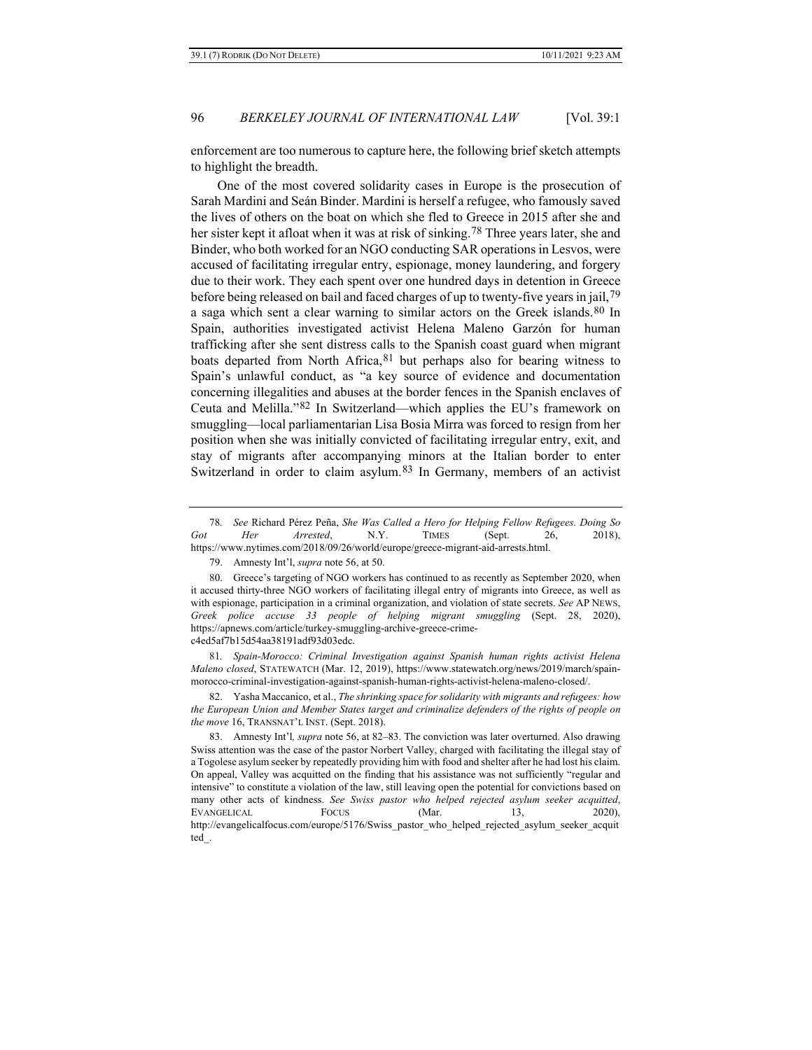enforcement are too numerous to capture here, the following brief sketch attempts to highlight the breadth.

One of the most covered solidarity cases in Europe is the prosecution of Sarah Mardini and Seán Binder. Mardini is herself a refugee, who famously saved the lives of others on the boat on which she fled to Greece in 2015 after she and her sister kept it afloat when it was at risk of sinking.<sup>[78](#page-15-0)</sup> Three years later, she and Binder, who both worked for an NGO conducting SAR operations in Lesvos, were accused of facilitating irregular entry, espionage, money laundering, and forgery due to their work. They each spent over one hundred days in detention in Greece before being released on bail and faced charges of up to twenty-five years in jail,[79](#page-15-1) a saga which sent a clear warning to similar actors on the Greek islands.<sup>[80](#page-15-2)</sup> In Spain, authorities investigated activist Helena Maleno Garzón for human trafficking after she sent distress calls to the Spanish coast guard when migrant boats departed from North Africa,  $81$  but perhaps also for bearing witness to Spain's unlawful conduct, as "a key source of evidence and documentation concerning illegalities and abuses at the border fences in the Spanish enclaves of Ceuta and Melilla."[82](#page-15-4) In Switzerland—which applies the EU's framework on smuggling—local parliamentarian Lisa Bosia Mirra was forced to resign from her position when she was initially convicted of facilitating irregular entry, exit, and stay of migrants after accompanying minors at the Italian border to enter Switzerland in order to claim asylum.<sup>83</sup> In Germany, members of an activist

<span id="page-15-3"></span>81*. Spain-Morocco: Criminal Investigation against Spanish human rights activist Helena Maleno closed*, STATEWATCH (Mar. 12, 2019), https://www.statewatch.org/news/2019/march/spainmorocco-criminal-investigation-against-spanish-human-rights-activist-helena-maleno-closed/.

<span id="page-15-4"></span>82. Yasha Maccanico, et al., *The shrinking space for solidarity with migrants and refugees: how the European Union and Member States target and criminalize defenders of the rights of people on the move* 16, TRANSNAT'L INST. (Sept. 2018).

<span id="page-15-0"></span><sup>78</sup>*. See* Richard Pérez Peña, *She Was Called a Hero for Helping Fellow Refugees. Doing So Got Her Arrested*, N.Y. TIMES (Sept. 26, 2018), [https://www.nytimes.com/2018/09/26/world/europe/greece-migrant-aid-arrests.html.](https://www.nytimes.com/2018/09/26/world/europe/greece-migrant-aid-arrests.html)

<sup>79.</sup> Amnesty Int'l, *supra* not[e 56,](#page-11-4) at 50.

<span id="page-15-2"></span><span id="page-15-1"></span><sup>80.</sup> Greece's targeting of NGO workers has continued to as recently as September 2020, when it accused thirty-three NGO workers of facilitating illegal entry of migrants into Greece, as well as with espionage, participation in a criminal organization, and violation of state secrets. *See* AP NEWS, *Greek police accuse 33 people of helping migrant smuggling* (Sept. 28, 2020), https://apnews.com/article/turkey-smuggling-archive-greece-crimec4ed5af7b15d54aa38191adf93d03edc.

<span id="page-15-5"></span><sup>83.</sup> Amnesty Int'l*, supra* note [56,](#page-11-4) at 82–83. The conviction was later overturned. Also drawing Swiss attention was the case of the pastor Norbert Valley, charged with facilitating the illegal stay of a Togolese asylum seeker by repeatedly providing him with food and shelter after he had lost his claim. On appeal, Valley was acquitted on the finding that his assistance was not sufficiently "regular and intensive" to constitute a violation of the law, still leaving open the potential for convictions based on many other acts of kindness. *See Swiss pastor who helped rejected asylum seeker acquitted*, EVANGELICAL FOCUS (Mar. 13, 2020), http://evangelicalfocus.com/europe/5176/Swiss\_pastor\_who\_helped\_rejected\_asylum\_seeker\_acquit ted\_.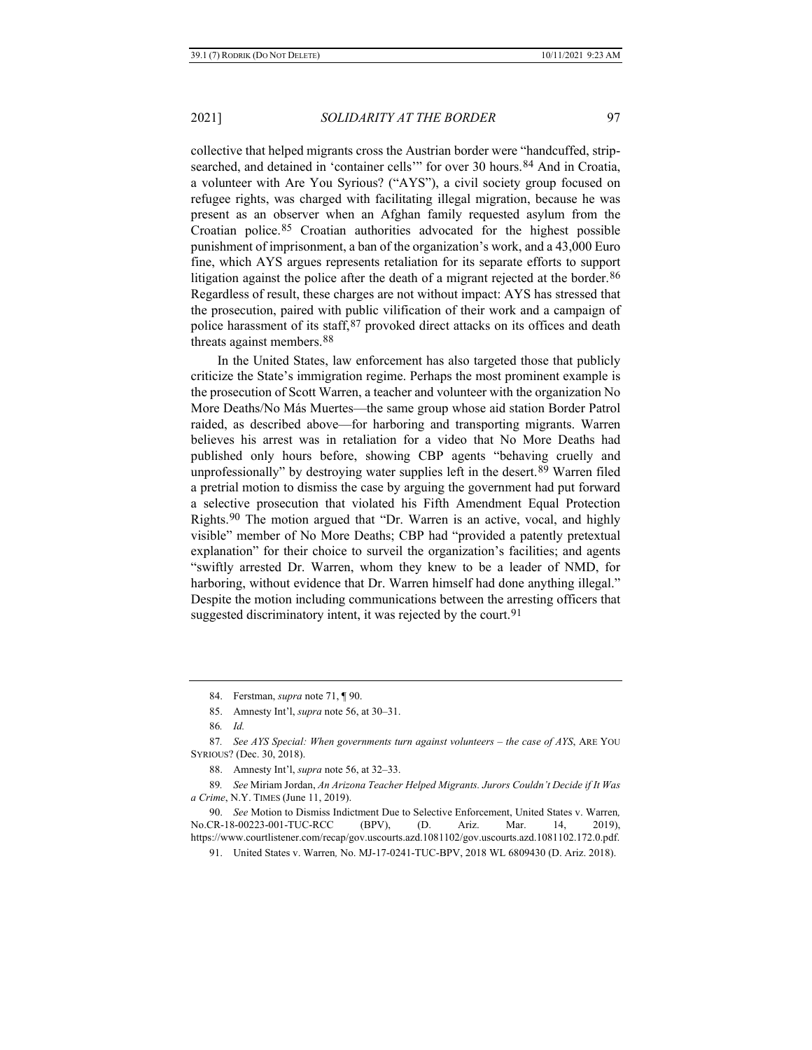collective that helped migrants cross the Austrian border were "handcuffed, strip-searched, and detained in 'container cells'" for over 30 hours.<sup>[84](#page-16-0)</sup> And in Croatia, a volunteer with Are You Syrious? ("AYS"), a civil society group focused on refugee rights, was charged with facilitating illegal migration, because he was present as an observer when an Afghan family requested asylum from the Croatian police.[85](#page-16-1) Croatian authorities advocated for the highest possible punishment of imprisonment, a ban of the organization's work, and a 43,000 Euro fine, which AYS argues represents retaliation for its separate efforts to support litigation against the police after the death of a migrant rejected at the border.<sup>[86](#page-16-2)</sup> Regardless of result, these charges are not without impact: AYS has stressed that the prosecution, paired with public vilification of their work and a campaign of police harassment of its staff, [87](#page-16-3) provoked direct attacks on its offices and death threats against members.[88](#page-16-4)

In the United States, law enforcement has also targeted those that publicly criticize the State's immigration regime. Perhaps the most prominent example is the prosecution of Scott Warren, a teacher and volunteer with the organization No More Deaths/No Más Muertes—the same group whose aid station Border Patrol raided, as described above—for harboring and transporting migrants. Warren believes his arrest was in retaliation for a video that No More Deaths had published only hours before, showing CBP agents "behaving cruelly and unprofessionally" by destroying water supplies left in the desert.<sup>[89](#page-16-5)</sup> Warren filed a pretrial motion to dismiss the case by arguing the government had put forward a selective prosecution that violated his Fifth Amendment Equal Protection Rights.[90](#page-16-6) The motion argued that "Dr. Warren is an active, vocal, and highly visible" member of No More Deaths; CBP had "provided a patently pretextual explanation" for their choice to surveil the organization's facilities; and agents "swiftly arrested Dr. Warren, whom they knew to be a leader of NMD, for harboring, without evidence that Dr. Warren himself had done anything illegal." Despite the motion including communications between the arresting officers that suggested discriminatory intent, it was rejected by the court.<sup>[91](#page-16-7)</sup>

<sup>84.</sup> Ferstman, *supra* note [71,](#page-13-6) ¶ 90.

<sup>85.</sup> Amnesty Int'l, *supra* not[e 56,](#page-11-4) at 30–31.

<sup>86</sup>*. Id.*

<span id="page-16-3"></span><span id="page-16-2"></span><span id="page-16-1"></span><span id="page-16-0"></span><sup>87</sup>*. See AYS Special: When governments turn against volunteers – the case of AYS*, ARE YOU SYRIOUS? (Dec. 30, 2018).

<sup>88.</sup> Amnesty Int'l, *supra* not[e 56,](#page-11-4) at 32–33.

<span id="page-16-5"></span><span id="page-16-4"></span><sup>89</sup>*. See* Miriam Jordan, *An Arizona Teacher Helped Migrants. Jurors Couldn't Decide if It Was a Crime*, N.Y. TIMES (June 11, 2019).

<span id="page-16-7"></span><span id="page-16-6"></span><sup>90.</sup> *See* Motion to Dismiss Indictment Due to Selective Enforcement, United States v. Warren*,*  No.CR-18-00223-001-TUC-RCC (BPV), (D. Ariz. Mar. 14, 2019), https://www.courtlistener.com/recap/gov.uscourts.azd.1081102/gov.uscourts.azd.1081102.172.0.pdf.

<sup>91.</sup> United States v. Warren*,* No. MJ-17-0241-TUC-BPV, 2018 WL 6809430 (D. Ariz. 2018).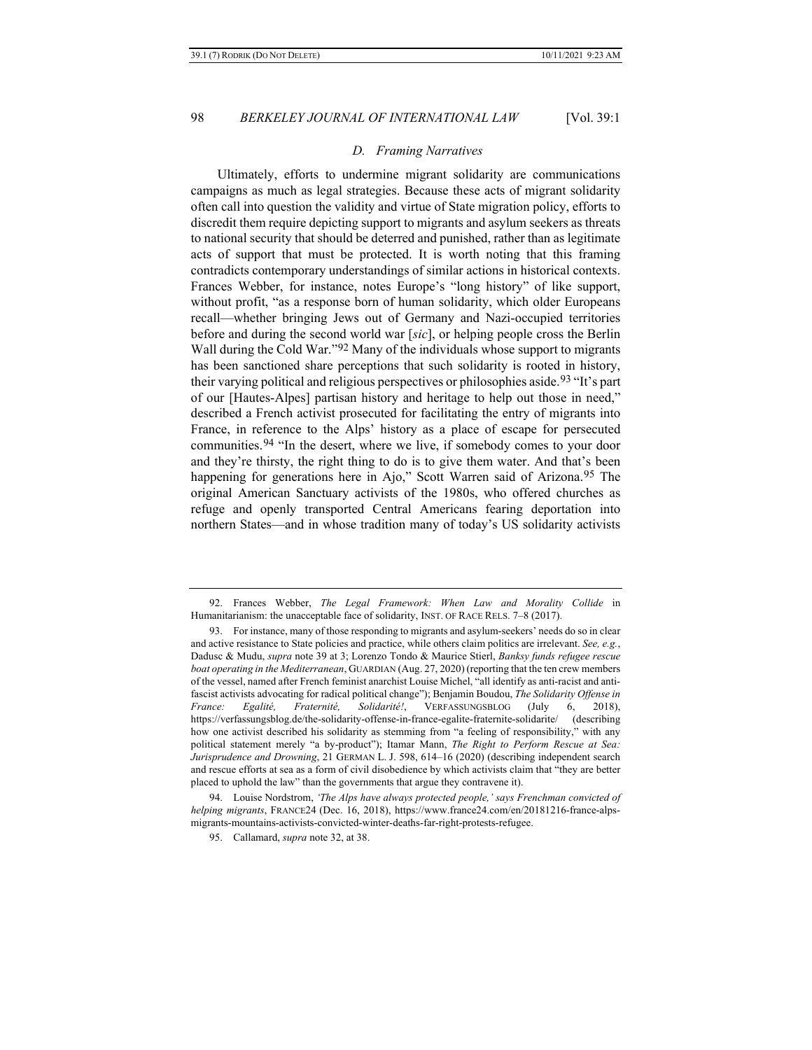#### <span id="page-17-4"></span>*D. Framing Narratives*

Ultimately, efforts to undermine migrant solidarity are communications campaigns as much as legal strategies. Because these acts of migrant solidarity often call into question the validity and virtue of State migration policy, efforts to discredit them require depicting support to migrants and asylum seekers as threats to national security that should be deterred and punished, rather than as legitimate acts of support that must be protected. It is worth noting that this framing contradicts contemporary understandings of similar actions in historical contexts. Frances Webber, for instance, notes Europe's "long history" of like support, without profit, "as a response born of human solidarity, which older Europeans recall—whether bringing Jews out of Germany and Nazi-occupied territories before and during the second world war [*sic*], or helping people cross the Berlin Wall during the Cold War."[92](#page-17-0) Many of the individuals whose support to migrants has been sanctioned share perceptions that such solidarity is rooted in history, their varying political and religious perspectives or philosophies aside.[93](#page-17-1) "It's part of our [Hautes-Alpes] partisan history and heritage to help out those in need," described a French activist prosecuted for facilitating the entry of migrants into France, in reference to the Alps' history as a place of escape for persecuted communities.[94](#page-17-2) "In the desert, where we live, if somebody comes to your door and they're thirsty, the right thing to do is to give them water. And that's been happening for generations here in Ajo," Scott Warren said of Arizona.<sup>95</sup> The original American Sanctuary activists of the 1980s, who offered churches as refuge and openly transported Central Americans fearing deportation into northern States—and in whose tradition many of today's US solidarity activists

<span id="page-17-0"></span><sup>92.</sup> Frances Webber, *The Legal Framework: When Law and Morality Collide* in Humanitarianism: the unacceptable face of solidarity, INST. OF RACE RELS. 7–8 (2017).

<span id="page-17-1"></span><sup>93.</sup> For instance, many of those responding to migrants and asylum-seekers' needs do so in clear and active resistance to State policies and practice, while others claim politics are irrelevant. *See, e.g.*, Dadusc & Mudu, *supra* not[e 39](#page-8-3) at 3; Lorenzo Tondo & Maurice Stierl, *Banksy funds refugee rescue boat operating in the Mediterranean*, GUARDIAN (Aug. 27, 2020) (reporting that the ten crew members of the vessel, named after French feminist anarchist Louise Michel, "all identify as anti-racist and antifascist activists advocating for radical political change"); Benjamin Boudou, *The Solidarity Offense in France: Egalité, Fraternité, Solidarité!*, VERFASSUNGSBLOG (July 6, 2018), https://verfassungsblog.de/the-solidarity-offense-in-france-egalite-fraternite-solidarite/ (describing how one activist described his solidarity as stemming from "a feeling of responsibility," with any political statement merely "a by-product"); Itamar Mann, *The Right to Perform Rescue at Sea: Jurisprudence and Drowning*, 21 GERMAN L. J. 598, 614–16 (2020) (describing independent search and rescue efforts at sea as a form of civil disobedience by which activists claim that "they are better placed to uphold the law" than the governments that argue they contravene it).

<span id="page-17-3"></span><span id="page-17-2"></span><sup>94.</sup> Louise Nordstrom, *'The Alps have always protected people,' says Frenchman convicted of helping migrants*, FRANCE24 (Dec. 16, 2018), https://www.france24.com/en/20181216-france-alpsmigrants-mountains-activists-convicted-winter-deaths-far-right-protests-refugee.

<sup>95.</sup> Callamard, *supra* not[e 32,](#page-6-6) at 38.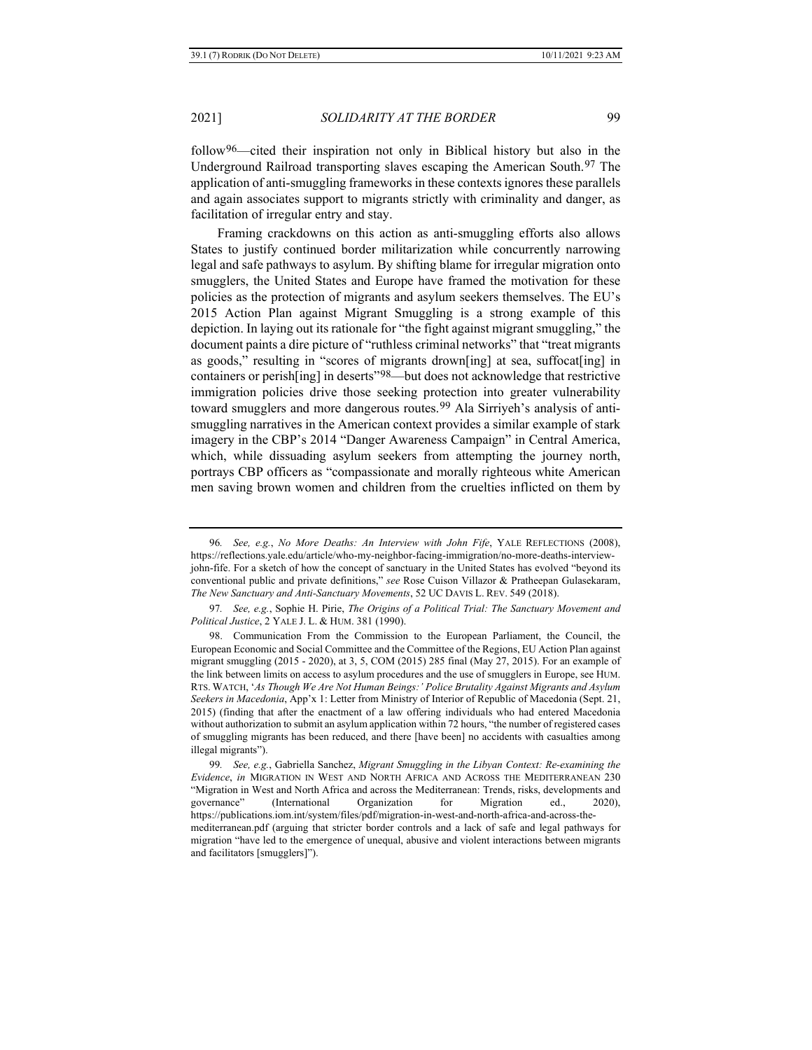follow[96—](#page-18-0)cited their inspiration not only in Biblical history but also in the Underground Railroad transporting slaves escaping the American South.[97](#page-18-1) The application of anti-smuggling frameworks in these contexts ignores these parallels and again associates support to migrants strictly with criminality and danger, as facilitation of irregular entry and stay.

Framing crackdowns on this action as anti-smuggling efforts also allows States to justify continued border militarization while concurrently narrowing legal and safe pathways to asylum. By shifting blame for irregular migration onto smugglers, the United States and Europe have framed the motivation for these policies as the protection of migrants and asylum seekers themselves. The EU's 2015 Action Plan against Migrant Smuggling is a strong example of this depiction. In laying out its rationale for "the fight against migrant smuggling," the document paints a dire picture of "ruthless criminal networks" that "treat migrants as goods," resulting in "scores of migrants drown[ing] at sea, suffocat[ing] in containers or perish[ing] in deserts"<sup>98</sup>—but does not acknowledge that restrictive immigration policies drive those seeking protection into greater vulnerability toward smugglers and more dangerous routes.<sup>[99](#page-18-3)</sup> Ala Sirriyeh's analysis of antismuggling narratives in the American context provides a similar example of stark imagery in the CBP's 2014 "Danger Awareness Campaign" in Central America, which, while dissuading asylum seekers from attempting the journey north, portrays CBP officers as "compassionate and morally righteous white American men saving brown women and children from the cruelties inflicted on them by

<span id="page-18-4"></span>

<span id="page-18-0"></span><sup>96</sup>*. See, e.g.*, *No More Deaths: An Interview with John Fife*, YALE REFLECTIONS (2008), https://reflections.yale.edu/article/who-my-neighbor-facing-immigration/no-more-deaths-interviewjohn-fife. For a sketch of how the concept of sanctuary in the United States has evolved "beyond its conventional public and private definitions," *see* Rose Cuison Villazor & Pratheepan Gulasekaram, *The New Sanctuary and Anti-Sanctuary Movements*, 52 UC DAVIS L. REV. 549 (2018).

<span id="page-18-1"></span><sup>97</sup>*. See, e.g.*, Sophie H. Pirie, *The Origins of a Political Trial: The Sanctuary Movement and Political Justice*, 2 YALE J. L. & HUM. 381 (1990).

<span id="page-18-2"></span><sup>98.</sup> Communication From the Commission to the European Parliament, the Council, the European Economic and Social Committee and the Committee of the Regions, EU Action Plan against migrant smuggling (2015 - 2020), at 3, 5, COM (2015) 285 final (May 27, 2015). For an example of the link between limits on access to asylum procedures and the use of smugglers in Europe, see HUM. RTS. WATCH, '*As Though We Are Not Human Beings:' Police Brutality Against Migrants and Asylum Seekers in Macedonia*, App'x 1: Letter from Ministry of Interior of Republic of Macedonia (Sept. 21, 2015) (finding that after the enactment of a law offering individuals who had entered Macedonia without authorization to submit an asylum application within 72 hours, "the number of registered cases of smuggling migrants has been reduced, and there [have been] no accidents with casualties among illegal migrants").

<span id="page-18-3"></span><sup>99</sup>*. See, e.g.*, Gabriella Sanchez, *Migrant Smuggling in the Libyan Context: Re-examining the Evidence*, *in* MIGRATION IN WEST AND NORTH AFRICA AND ACROSS THE MEDITERRANEAN 230 "Migration in West and North Africa and across the Mediterranean: Trends, risks, developments and governance" (International Organization for Migration ed., 2020), https://publications.iom.int/system/files/pdf/migration-in-west-and-north-africa-and-across-themediterranean.pdf (arguing that stricter border controls and a lack of safe and legal pathways for migration "have led to the emergence of unequal, abusive and violent interactions between migrants and facilitators [smugglers]").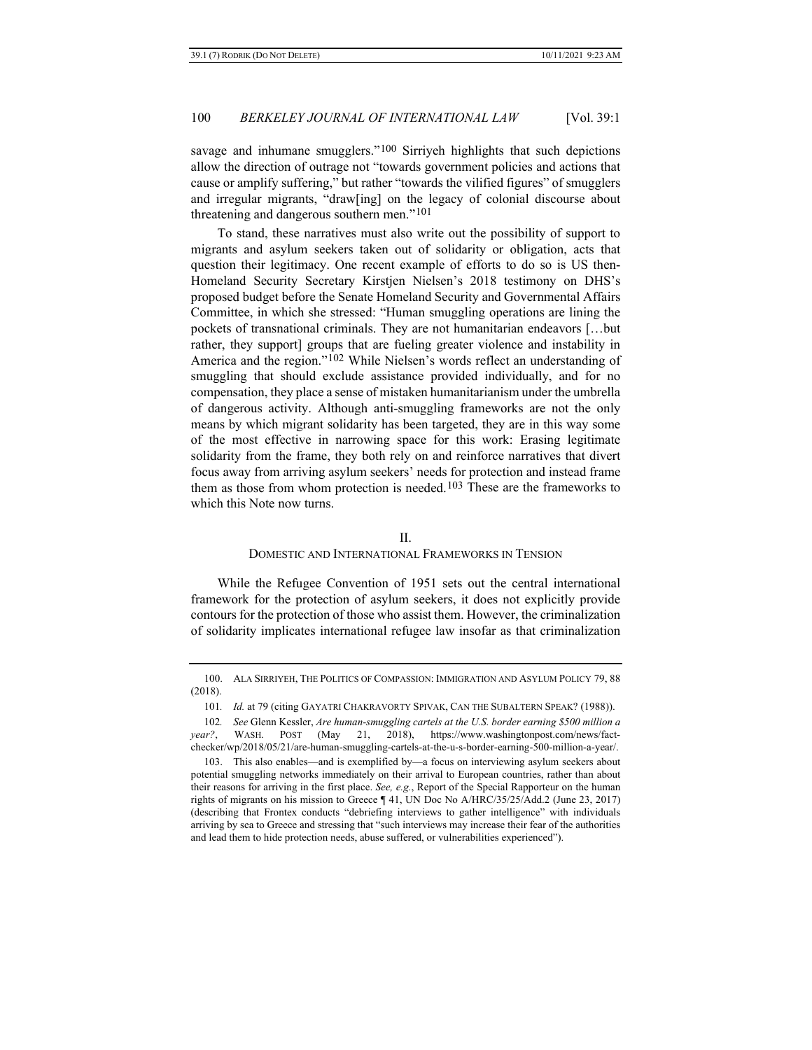savage and inhumane smugglers."<sup>[100](#page-19-0)</sup> Sirriyeh highlights that such depictions allow the direction of outrage not "towards government policies and actions that cause or amplify suffering," but rather "towards the vilified figures" of smugglers and irregular migrants, "draw[ing] on the legacy of colonial discourse about threatening and dangerous southern men."[101](#page-19-1)

To stand, these narratives must also write out the possibility of support to migrants and asylum seekers taken out of solidarity or obligation, acts that question their legitimacy. One recent example of efforts to do so is US then-Homeland Security Secretary Kirstjen Nielsen's 2018 testimony on DHS's proposed budget before the Senate Homeland Security and Governmental Affairs Committee, in which she stressed: "Human smuggling operations are lining the pockets of transnational criminals. They are not humanitarian endeavors […but rather, they support] groups that are fueling greater violence and instability in America and the region."<sup>102</sup> While Nielsen's words reflect an understanding of smuggling that should exclude assistance provided individually, and for no compensation, they place a sense of mistaken humanitarianism under the umbrella of dangerous activity. Although anti-smuggling frameworks are not the only means by which migrant solidarity has been targeted, they are in this way some of the most effective in narrowing space for this work: Erasing legitimate solidarity from the frame, they both rely on and reinforce narratives that divert focus away from arriving asylum seekers' needs for protection and instead frame them as those from whom protection is needed.<sup>[103](#page-19-3)</sup> These are the frameworks to which this Note now turns.

#### II.

#### DOMESTIC AND INTERNATIONAL FRAMEWORKS IN TENSION

While the Refugee Convention of 1951 sets out the central international framework for the protection of asylum seekers, it does not explicitly provide contours for the protection of those who assist them. However, the criminalization of solidarity implicates international refugee law insofar as that criminalization

<span id="page-19-0"></span><sup>100.</sup> ALA SIRRIYEH, THE POLITICS OF COMPASSION: IMMIGRATION AND ASYLUM POLICY 79, 88 (2018).

<sup>101</sup>*. Id.* at 79 (citing GAYATRI CHAKRAVORTY SPIVAK, CAN THE SUBALTERN SPEAK? (1988)).

<span id="page-19-2"></span><span id="page-19-1"></span><sup>102</sup>*. See* Glenn Kessler, *Are human-smuggling cartels at the U.S. border earning \$500 million a year?*, WASH. POST (May 21, 2018), https://www.washingtonpost.com/news/factchecker/wp/2018/05/21/are-human-smuggling-cartels-at-the-u-s-border-earning-500-million-a-year/.

<span id="page-19-3"></span><sup>103.</sup> This also enables—and is exemplified by—a focus on interviewing asylum seekers about potential smuggling networks immediately on their arrival to European countries, rather than about their reasons for arriving in the first place. *See, e.g.*, Report of the Special Rapporteur on the human rights of migrants on his mission to Greece ¶ 41, UN Doc No A/HRC/35/25/Add.2 (June 23, 2017) (describing that Frontex conducts "debriefing interviews to gather intelligence" with individuals arriving by sea to Greece and stressing that "such interviews may increase their fear of the authorities and lead them to hide protection needs, abuse suffered, or vulnerabilities experienced").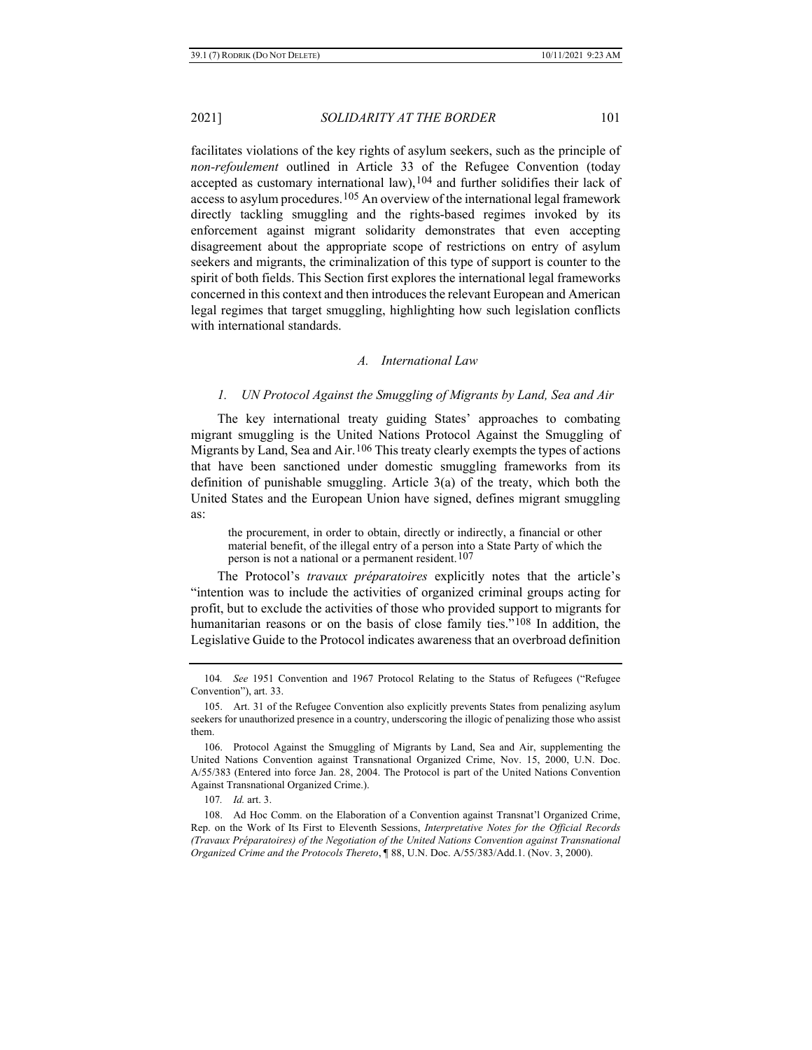facilitates violations of the key rights of asylum seekers, such as the principle of *non-refoulement* outlined in Article 33 of the Refugee Convention (today accepted as customary international law),[104](#page-20-0) and further solidifies their lack of access to asylum procedures.[105](#page-20-1) An overview of the international legal framework directly tackling smuggling and the rights-based regimes invoked by its enforcement against migrant solidarity demonstrates that even accepting disagreement about the appropriate scope of restrictions on entry of asylum seekers and migrants, the criminalization of this type of support is counter to the spirit of both fields. This Section first explores the international legal frameworks concerned in this context and then introduces the relevant European and American legal regimes that target smuggling, highlighting how such legislation conflicts with international standards.

#### *A. International Law*

#### *1. UN Protocol Against the Smuggling of Migrants by Land, Sea and Air*

The key international treaty guiding States' approaches to combating migrant smuggling is the United Nations Protocol Against the Smuggling of Migrants by Land, Sea and Air.<sup>[106](#page-20-2)</sup> This treaty clearly exempts the types of actions that have been sanctioned under domestic smuggling frameworks from its definition of punishable smuggling. Article 3(a) of the treaty, which both the United States and the European Union have signed, defines migrant smuggling as:

the procurement, in order to obtain, directly or indirectly, a financial or other material benefit, of the illegal entry of a person into a State Party of which the person is not a national or a permanent resident.<sup>[107](#page-20-3)</sup>

The Protocol's *travaux préparatoires* explicitly notes that the article's "intention was to include the activities of organized criminal groups acting for profit, but to exclude the activities of those who provided support to migrants for humanitarian reasons or on the basis of close family ties.["108](#page-20-4) In addition, the Legislative Guide to the Protocol indicates awareness that an overbroad definition

<span id="page-20-0"></span><sup>104</sup>*. See* 1951 Convention and 1967 Protocol Relating to the Status of Refugees ("Refugee Convention"), art. 33.

<span id="page-20-1"></span><sup>105.</sup> Art. 31 of the Refugee Convention also explicitly prevents States from penalizing asylum seekers for unauthorized presence in a country, underscoring the illogic of penalizing those who assist them.

<span id="page-20-2"></span><sup>106.</sup> Protocol Against the Smuggling of Migrants by Land, Sea and Air, supplementing the United Nations Convention against Transnational Organized Crime, Nov. 15, 2000, U.N. Doc. A/55/383 (Entered into force Jan. 28, 2004. The Protocol is part of the United Nations Convention Against Transnational Organized Crime.).

<sup>107</sup>*. Id.* art. 3.

<span id="page-20-4"></span><span id="page-20-3"></span><sup>108.</sup> Ad Hoc Comm. on the Elaboration of a Convention against Transnat'l Organized Crime, Rep. on the Work of Its First to Eleventh Sessions, *Interpretative Notes for the Official Records (Travaux Préparatoires) of the Negotiation of the United Nations Convention against Transnational Organized Crime and the Protocols Thereto*, ¶ 88, U.N. Doc. A/55/383/Add.1. (Nov. 3, 2000).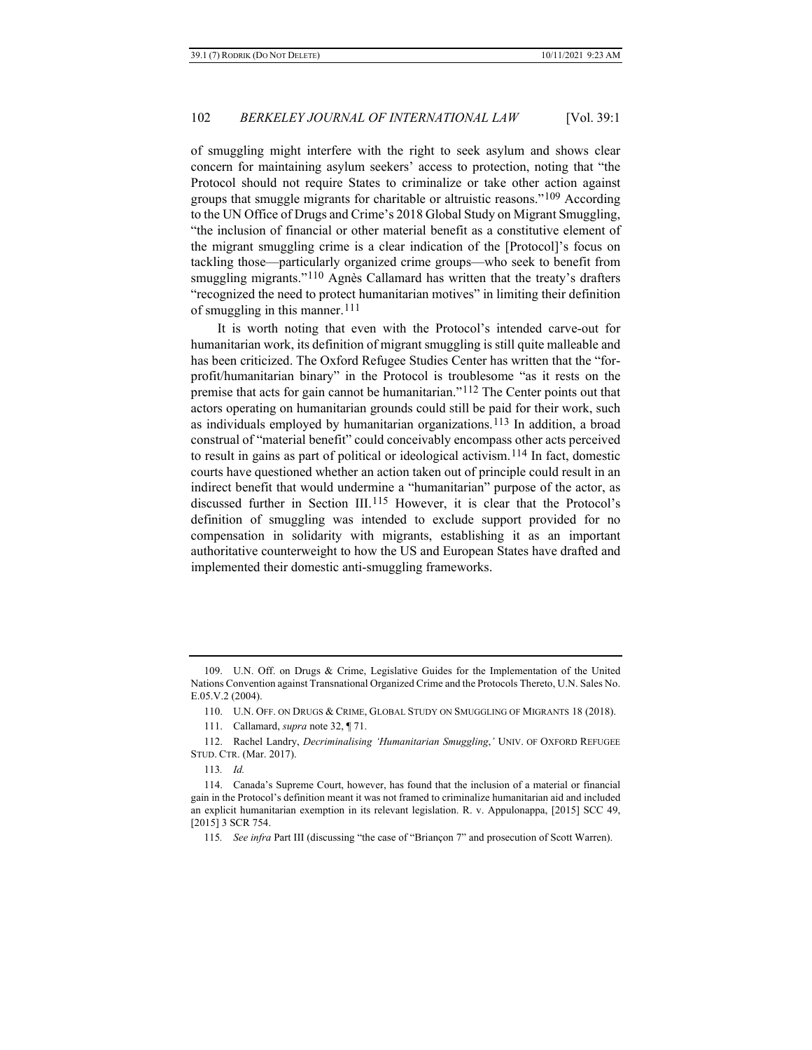of smuggling might interfere with the right to seek asylum and shows clear concern for maintaining asylum seekers' access to protection, noting that "the Protocol should not require States to criminalize or take other action against groups that smuggle migrants for charitable or altruistic reasons."[109](#page-21-0) According to the UN Office of Drugs and Crime's 2018 Global Study on Migrant Smuggling, "the inclusion of financial or other material benefit as a constitutive element of the migrant smuggling crime is a clear indication of the [Protocol]'s focus on tackling those—particularly organized crime groups—who seek to benefit from smuggling migrants."[110](#page-21-1) Agnès Callamard has written that the treaty's drafters "recognized the need to protect humanitarian motives" in limiting their definition of smuggling in this manner.[111](#page-21-2)

It is worth noting that even with the Protocol's intended carve-out for humanitarian work, its definition of migrant smuggling is still quite malleable and has been criticized. The Oxford Refugee Studies Center has written that the "forprofit/humanitarian binary" in the Protocol is troublesome "as it rests on the premise that acts for gain cannot be humanitarian."[112](#page-21-3) The Center points out that actors operating on humanitarian grounds could still be paid for their work, such as individuals employed by humanitarian organizations.[113](#page-21-4) In addition, a broad construal of "material benefit" could conceivably encompass other acts perceived to result in gains as part of political or ideological activism.[114](#page-21-5) In fact, domestic courts have questioned whether an action taken out of principle could result in an indirect benefit that would undermine a "humanitarian" purpose of the actor, as discussed further in Section III.[115](#page-21-6) However, it is clear that the Protocol's definition of smuggling was intended to exclude support provided for no compensation in solidarity with migrants, establishing it as an important authoritative counterweight to how the US and European States have drafted and implemented their domestic anti-smuggling frameworks.

<span id="page-21-0"></span><sup>109.</sup> U.N. Off. on Drugs & Crime, Legislative Guides for the Implementation of the United Nations Convention against Transnational Organized Crime and the Protocols Thereto, U.N. Sales No. E.05.V.2 (2004).

<sup>110.</sup> U.N. OFF. ON DRUGS & CRIME, GLOBAL STUDY ON SMUGGLING OF MIGRANTS 18 (2018).

<sup>111.</sup> Callamard, *supra* not[e 32,](#page-6-6) ¶ 71.

<span id="page-21-3"></span><span id="page-21-2"></span><span id="page-21-1"></span><sup>112.</sup> Rachel Landry, *Decriminalising 'Humanitarian Smuggling*,*'* UNIV. OF OXFORD REFUGEE STUD. CTR. (Mar. 2017).

<sup>113</sup>*. Id.*

<span id="page-21-6"></span><span id="page-21-5"></span><span id="page-21-4"></span><sup>114.</sup> Canada's Supreme Court, however, has found that the inclusion of a material or financial gain in the Protocol's definition meant it was not framed to criminalize humanitarian aid and included an explicit humanitarian exemption in its relevant legislation. R. v. Appulonappa, [2015] SCC 49, [2015] 3 SCR 754.

<sup>115</sup>*. See infra* Part III (discussing "the case of "Briançon 7" and prosecution of Scott Warren).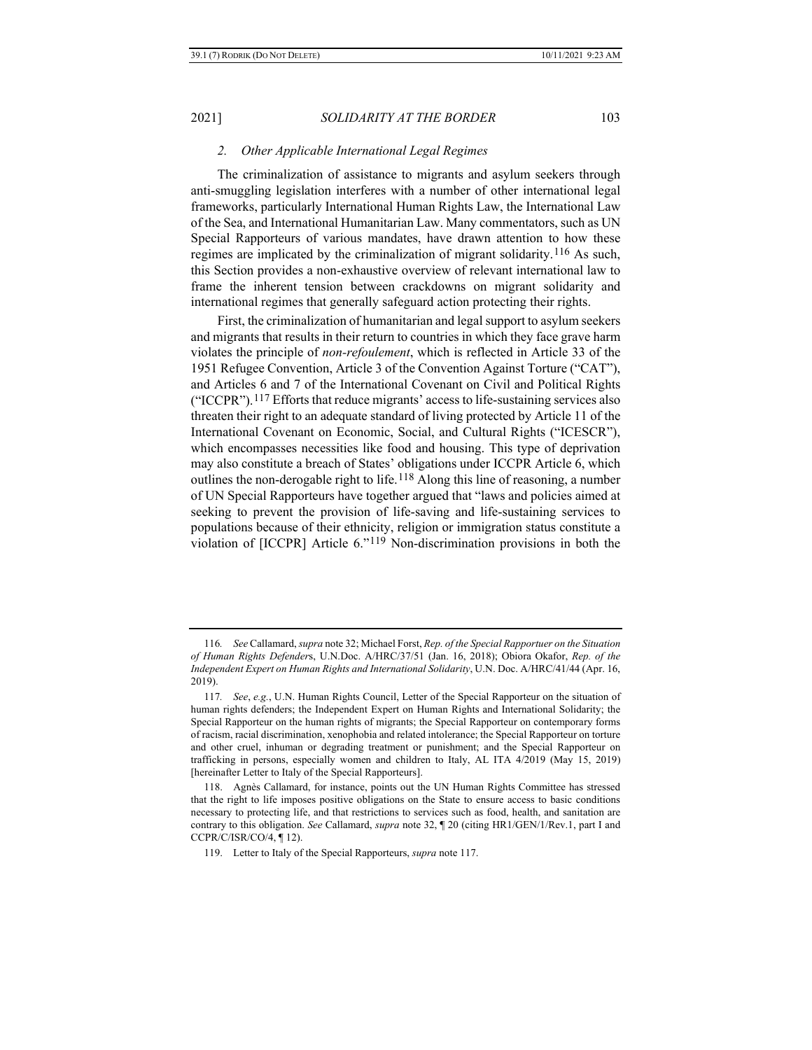### <span id="page-22-5"></span>*2. Other Applicable International Legal Regimes*

The criminalization of assistance to migrants and asylum seekers through anti-smuggling legislation interferes with a number of other international legal frameworks, particularly International Human Rights Law, the International Law of the Sea, and International Humanitarian Law. Many commentators, such as UN Special Rapporteurs of various mandates, have drawn attention to how these regimes are implicated by the criminalization of migrant solidarity.[116](#page-22-1) As such, this Section provides a non-exhaustive overview of relevant international law to frame the inherent tension between crackdowns on migrant solidarity and international regimes that generally safeguard action protecting their rights.

<span id="page-22-0"></span>First, the criminalization of humanitarian and legal support to asylum seekers and migrants that results in their return to countries in which they face grave harm violates the principle of *non-refoulement*, which is reflected in Article 33 of the 1951 Refugee Convention, Article 3 of the Convention Against Torture ("CAT"), and Articles 6 and 7 of the International Covenant on Civil and Political Rights ("ICCPR").[117](#page-22-2) Efforts that reduce migrants' access to life-sustaining services also threaten their right to an adequate standard of living protected by Article 11 of the International Covenant on Economic, Social, and Cultural Rights ("ICESCR"), which encompasses necessities like food and housing. This type of deprivation may also constitute a breach of States' obligations under ICCPR Article 6, which outlines the non-derogable right to life.<sup>[118](#page-22-3)</sup> Along this line of reasoning, a number of UN Special Rapporteurs have together argued that "laws and policies aimed at seeking to prevent the provision of life-saving and life-sustaining services to populations because of their ethnicity, religion or immigration status constitute a violation of [ICCPR] Article 6."[119](#page-22-4) Non-discrimination provisions in both the

<span id="page-22-1"></span><sup>116</sup>*. See* Callamard, *supra* not[e 32;](#page-6-6) Michael Forst, *Rep. of the Special Rapportuer on the Situation of Human Rights Defender*s, U.N.Doc. A/HRC/37/51 (Jan. 16, 2018); Obiora Okafor, *Rep. of the Independent Expert on Human Rights and International Solidarity*, U.N. Doc. A/HRC/41/44 (Apr. 16, 2019).

<span id="page-22-2"></span><sup>117</sup>*. See*, *e.g.*, U.N. Human Rights Council, Letter of the Special Rapporteur on the situation of human rights defenders; the Independent Expert on Human Rights and International Solidarity; the Special Rapporteur on the human rights of migrants; the Special Rapporteur on contemporary forms of racism, racial discrimination, xenophobia and related intolerance; the Special Rapporteur on torture and other cruel, inhuman or degrading treatment or punishment; and the Special Rapporteur on trafficking in persons, especially women and children to Italy, AL ITA 4/2019 (May 15, 2019) [hereinafter Letter to Italy of the Special Rapporteurs].

<span id="page-22-4"></span><span id="page-22-3"></span><sup>118.</sup> Agnès Callamard, for instance, points out the UN Human Rights Committee has stressed that the right to life imposes positive obligations on the State to ensure access to basic conditions necessary to protecting life, and that restrictions to services such as food, health, and sanitation are contrary to this obligation. *See* Callamard, *supra* not[e 32,](#page-6-6) ¶ 20 (citing HR1/GEN/1/Rev.1, part I and CCPR/C/ISR/CO/4, ¶ 12).

<sup>119.</sup> Letter to Italy of the Special Rapporteurs, *supra* not[e 117.](#page-22-0)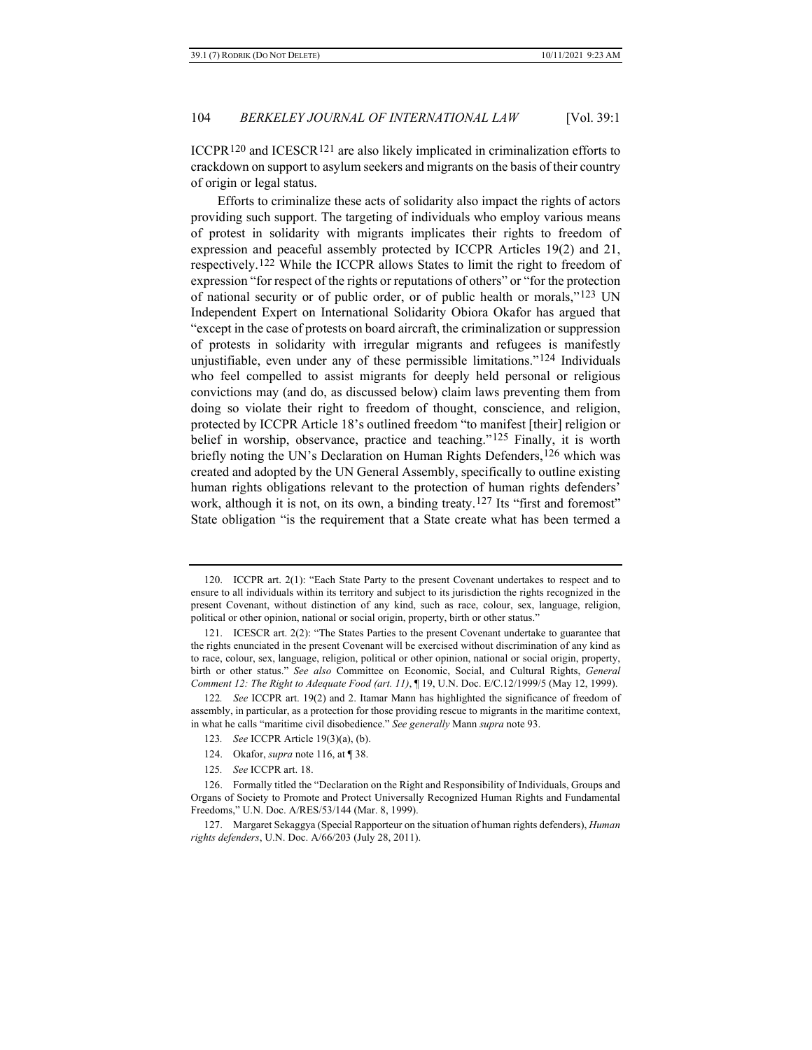ICCPR<sup>[120](#page-23-0)</sup> and ICESCR<sup>[121](#page-23-1)</sup> are also likely implicated in criminalization efforts to crackdown on support to asylum seekers and migrants on the basis of their country of origin or legal status.

Efforts to criminalize these acts of solidarity also impact the rights of actors providing such support. The targeting of individuals who employ various means of protest in solidarity with migrants implicates their rights to freedom of expression and peaceful assembly protected by ICCPR Articles 19(2) and 21, respectively.[122](#page-23-2) While the ICCPR allows States to limit the right to freedom of expression "for respect of the rights or reputations of others" or "for the protection of national security or of public order, or of public health or morals,"[123](#page-23-3) UN Independent Expert on International Solidarity Obiora Okafor has argued that "except in the case of protests on board aircraft, the criminalization or suppression of protests in solidarity with irregular migrants and refugees is manifestly unjustifiable, even under any of these permissible limitations."[124](#page-23-4) Individuals who feel compelled to assist migrants for deeply held personal or religious convictions may (and do, as discussed below) claim laws preventing them from doing so violate their right to freedom of thought, conscience, and religion, protected by ICCPR Article 18's outlined freedom "to manifest [their] religion or belief in worship, observance, practice and teaching."<sup>[125](#page-23-5)</sup> Finally, it is worth briefly noting the UN's Declaration on Human Rights Defenders, <sup>[126](#page-23-6)</sup> which was created and adopted by the UN General Assembly, specifically to outline existing human rights obligations relevant to the protection of human rights defenders' work, although it is not, on its own, a binding treaty.<sup>[127](#page-23-7)</sup> Its "first and foremost" State obligation "is the requirement that a State create what has been termed a

- 123*. See* ICCPR Article 19(3)(a), (b).
- 124. Okafor, *supra* not[e 116,](#page-22-5) at ¶ 38.
- 125*. See* ICCPR art. 18.

<span id="page-23-0"></span><sup>120.</sup> ICCPR art. 2(1): "Each State Party to the present Covenant undertakes to respect and to ensure to all individuals within its territory and subject to its jurisdiction the rights recognized in the present Covenant, without distinction of any kind, such as race, colour, sex, language, religion, political or other opinion, national or social origin, property, birth or other status."

<span id="page-23-1"></span><sup>121.</sup> ICESCR art. 2(2): "The States Parties to the present Covenant undertake to guarantee that the rights enunciated in the present Covenant will be exercised without discrimination of any kind as to race, colour, sex, language, religion, political or other opinion, national or social origin, property, birth or other status." *See also* Committee on Economic, Social, and Cultural Rights, *General Comment 12: The Right to Adequate Food (art. 11)*, ¶ 19, U.N. Doc. E/C.12/1999/5 (May 12, 1999).

<span id="page-23-3"></span><span id="page-23-2"></span><sup>122</sup>*. See* ICCPR art. 19(2) and 2. Itamar Mann has highlighted the significance of freedom of assembly, in particular, as a protection for those providing rescue to migrants in the maritime context, in what he calls "maritime civil disobedience." *See generally* Mann *supra* note 93.

<span id="page-23-6"></span><span id="page-23-5"></span><span id="page-23-4"></span><sup>126.</sup> Formally titled the "Declaration on the Right and Responsibility of Individuals, Groups and Organs of Society to Promote and Protect Universally Recognized Human Rights and Fundamental Freedoms," U.N. Doc. A/RES/53/144 (Mar. 8, 1999).

<span id="page-23-7"></span><sup>127.</sup> Margaret Sekaggya (Special Rapporteur on the situation of human rights defenders), *Human rights defenders*, U.N. Doc. A/66/203 (July 28, 2011).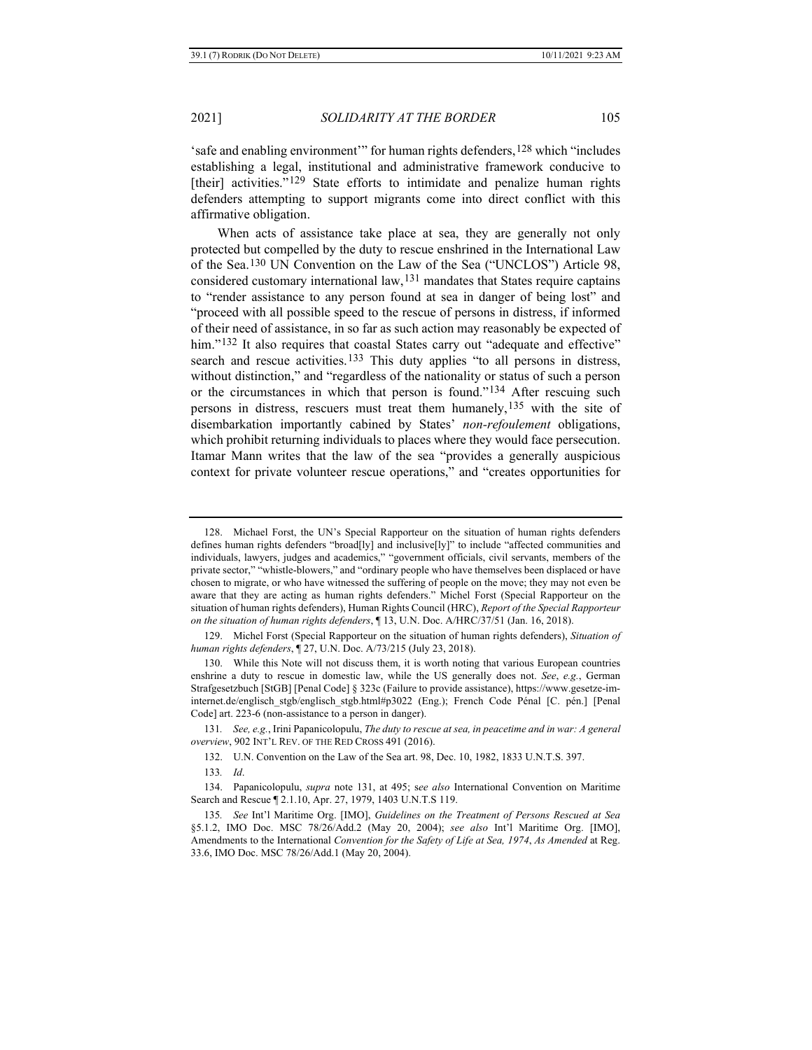'safe and enabling environment'" for human rights defenders,  $128$  which "includes" establishing a legal, institutional and administrative framework conducive to [their] activities."<sup>[129](#page-24-2)</sup> State efforts to intimidate and penalize human rights defenders attempting to support migrants come into direct conflict with this affirmative obligation.

<span id="page-24-0"></span>When acts of assistance take place at sea, they are generally not only protected but compelled by the duty to rescue enshrined in the International Law of the Sea[.130](#page-24-3) UN Convention on the Law of the Sea ("UNCLOS") Article 98, considered customary international law,[131](#page-24-4) mandates that States require captains to "render assistance to any person found at sea in danger of being lost" and "proceed with all possible speed to the rescue of persons in distress, if informed of their need of assistance, in so far as such action may reasonably be expected of him."<sup>[132](#page-24-5)</sup> It also requires that coastal States carry out "adequate and effective" search and rescue activities.[133](#page-24-6) This duty applies "to all persons in distress, without distinction," and "regardless of the nationality or status of such a person or the circumstances in which that person is found."[134](#page-24-7) After rescuing such persons in distress, rescuers must treat them humanely,<sup>[135](#page-24-8)</sup> with the site of disembarkation importantly cabined by States' *non-refoulement* obligations, which prohibit returning individuals to places where they would face persecution. Itamar Mann writes that the law of the sea "provides a generally auspicious context for private volunteer rescue operations," and "creates opportunities for

<span id="page-24-1"></span><sup>128.</sup> Michael Forst, the UN's Special Rapporteur on the situation of human rights defenders defines human rights defenders "broad[ly] and inclusive[ly]" to include "affected communities and individuals, lawyers, judges and academics," "government officials, civil servants, members of the private sector," "whistle-blowers," and "ordinary people who have themselves been displaced or have chosen to migrate, or who have witnessed the suffering of people on the move; they may not even be aware that they are acting as human rights defenders." Michel Forst (Special Rapporteur on the situation of human rights defenders), Human Rights Council (HRC), *Report of the Special Rapporteur on the situation of human rights defenders*, ¶ 13, U.N. Doc. A/HRC/37/51 (Jan. 16, 2018).

<span id="page-24-2"></span><sup>129.</sup> Michel Forst (Special Rapporteur on the situation of human rights defenders), *Situation of human rights defenders*, ¶ 27, U.N. Doc. A/73/215 (July 23, 2018).

<span id="page-24-3"></span><sup>130.</sup> While this Note will not discuss them, it is worth noting that various European countries enshrine a duty to rescue in domestic law, while the US generally does not. *See*, *e.g.*, German Strafgesetzbuch [StGB] [Penal Code] § 323c (Failure to provide assistance), https://www.gesetze-iminternet.de/englisch\_stgb/englisch\_stgb.html#p3022 (Eng.); French Code Pénal [C. pén.] [Penal Code] art. 223-6 (non-assistance to a person in danger).

<span id="page-24-5"></span><span id="page-24-4"></span><sup>131</sup>*. See, e.g.*, Irini Papanicolopulu, *The duty to rescue at sea, in peacetime and in war: A general overview*, 902 INT'L REV. OF THE RED CROSS 491 (2016).

<sup>132.</sup> U.N. Convention on the Law of the Sea art. 98, Dec. 10, 1982, 1833 U.N.T.S. 397.

<sup>133</sup>*. Id*.

<span id="page-24-7"></span><span id="page-24-6"></span><sup>134.</sup> Papanicolopulu, *supra* note [131,](#page-24-0) at 495; s*ee also* International Convention on Maritime Search and Rescue ¶ 2.1.10, Apr. 27, 1979, 1403 U.N.T.S 119.

<span id="page-24-8"></span><sup>135</sup>*. See* Int'l Maritime Org. [IMO], *Guidelines on the Treatment of Persons Rescued at Sea* §5.1.2, IMO Doc. MSC 78/26/Add.2 (May 20, 2004); *see also* Int'l Maritime Org. [IMO], Amendments to the International *Convention for the Safety of Life at Sea, 1974*, *As Amended* at Reg. 33.6, IMO Doc. MSC 78/26/Add.1 (May 20, 2004).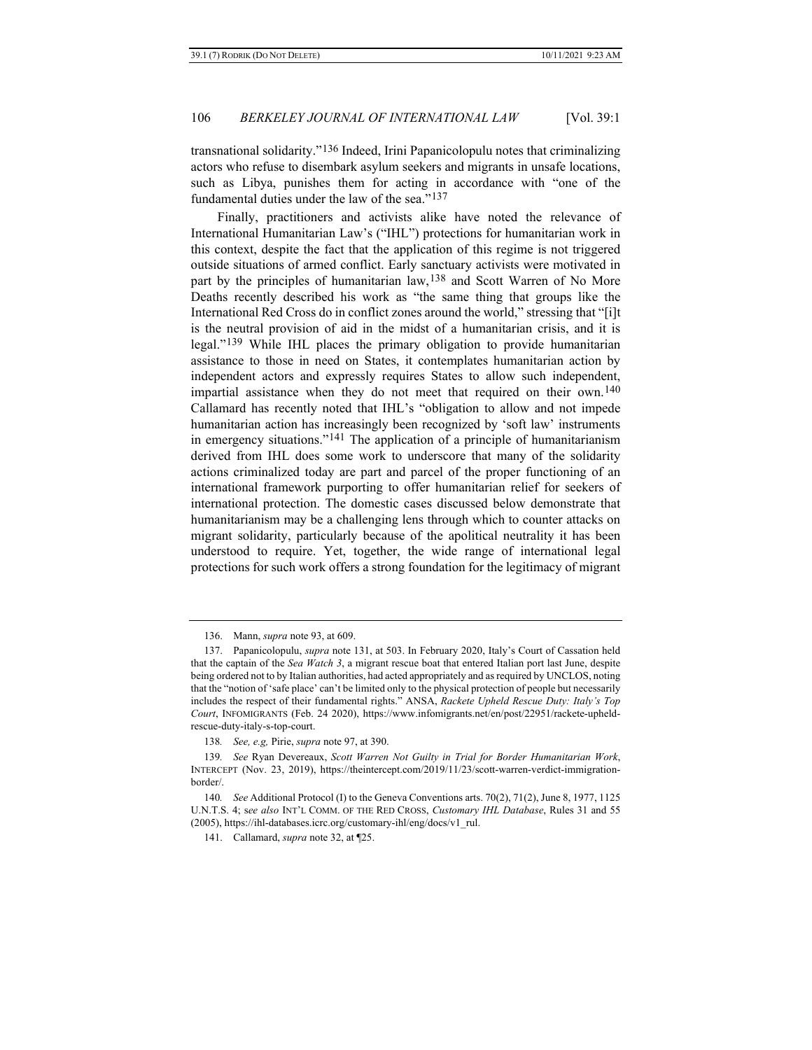transnational solidarity."[136](#page-25-0) Indeed, Irini Papanicolopulu notes that criminalizing actors who refuse to disembark asylum seekers and migrants in unsafe locations, such as Libya, punishes them for acting in accordance with "one of the fundamental duties under the law of the sea."[137](#page-25-1)

Finally, practitioners and activists alike have noted the relevance of International Humanitarian Law's ("IHL") protections for humanitarian work in this context, despite the fact that the application of this regime is not triggered outside situations of armed conflict. Early sanctuary activists were motivated in part by the principles of humanitarian law,<sup>[138](#page-25-2)</sup> and Scott Warren of No More Deaths recently described his work as "the same thing that groups like the International Red Cross do in conflict zones around the world," stressing that "[i]t is the neutral provision of aid in the midst of a humanitarian crisis, and it is legal."[139](#page-25-3) While IHL places the primary obligation to provide humanitarian assistance to those in need on States, it contemplates humanitarian action by independent actors and expressly requires States to allow such independent, impartial assistance when they do not meet that required on their own.<sup>[140](#page-25-4)</sup> Callamard has recently noted that IHL's "obligation to allow and not impede humanitarian action has increasingly been recognized by 'soft law' instruments in emergency situations."<sup>[141](#page-25-5)</sup> The application of a principle of humanitarianism derived from IHL does some work to underscore that many of the solidarity actions criminalized today are part and parcel of the proper functioning of an international framework purporting to offer humanitarian relief for seekers of international protection. The domestic cases discussed below demonstrate that humanitarianism may be a challenging lens through which to counter attacks on migrant solidarity, particularly because of the apolitical neutrality it has been understood to require. Yet, together, the wide range of international legal protections for such work offers a strong foundation for the legitimacy of migrant

<sup>136.</sup> Mann, *supra* not[e 93,](#page-17-4) at 609.

<span id="page-25-1"></span><span id="page-25-0"></span><sup>137.</sup> Papanicolopulu, *supra* note [131,](#page-24-0) at 503. In February 2020, Italy's Court of Cassation held that the captain of the *Sea Watch 3*, a migrant rescue boat that entered Italian port last June, despite being ordered not to by Italian authorities, had acted appropriately and as required by UNCLOS, noting that the "notion of 'safe place' can't be limited only to the physical protection of people but necessarily includes the respect of their fundamental rights." ANSA, *Rackete Upheld Rescue Duty: Italy's Top Court*, INFOMIGRANTS (Feb. 24 2020), https://www.infomigrants.net/en/post/22951/rackete-upheldrescue-duty-italy-s-top-court.

<sup>138</sup>*. See, e.g,* Pirie, *supra* note [97,](#page-18-4) at 390.

<span id="page-25-3"></span><span id="page-25-2"></span><sup>139</sup>*. See* Ryan Devereaux, *Scott Warren Not Guilty in Trial for Border Humanitarian Work*, INTERCEPT (Nov. 23, 2019), https://theintercept.com/2019/11/23/scott-warren-verdict-immigrationborder/.

<span id="page-25-5"></span><span id="page-25-4"></span><sup>140</sup>*. See* Additional Protocol (I) to the Geneva Conventions arts. 70(2), 71(2), June 8, 1977, 1125 U.N.T.S. 4; s*ee also* INT'L COMM. OF THE RED CROSS, *Customary IHL Database*, Rules 31 and 55 (2005), https://ihl-databases.icrc.org/customary-ihl/eng/docs/v1\_rul.

<sup>141.</sup> Callamard, *supra* not[e 32,](#page-6-6) at ¶25.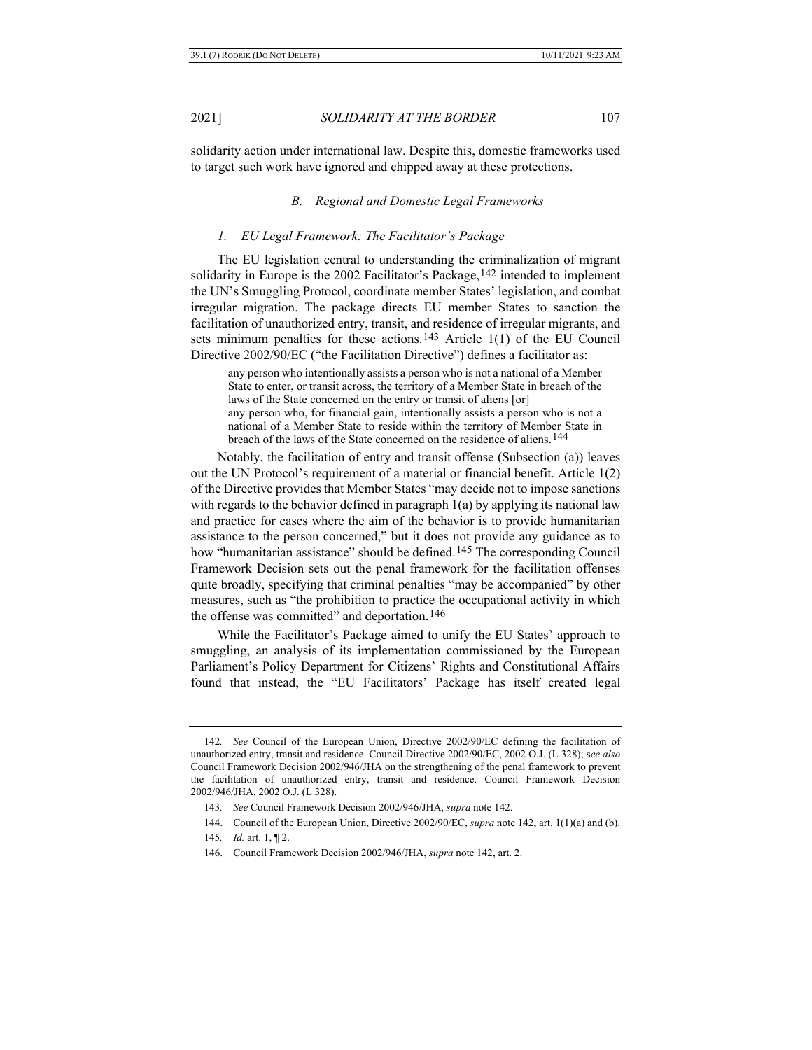<span id="page-26-0"></span>

solidarity action under international law. Despite this, domestic frameworks used to target such work have ignored and chipped away at these protections.

#### *B. Regional and Domestic Legal Frameworks*

#### *1. EU Legal Framework: The Facilitator's Package*

The EU legislation central to understanding the criminalization of migrant solidarity in Europe is the 2002 Facilitator's Package,  $142$  intended to implement the UN's Smuggling Protocol, coordinate member States' legislation, and combat irregular migration. The package directs EU member States to sanction the facilitation of unauthorized entry, transit, and residence of irregular migrants, and sets minimum penalties for these actions.<sup>[143](#page-26-2)</sup> Article 1(1) of the EU Council Directive 2002/90/EC ("the Facilitation Directive") defines a facilitator as:

any person who intentionally assists a person who is not a national of a Member State to enter, or transit across, the territory of a Member State in breach of the laws of the State concerned on the entry or transit of aliens [or] any person who, for financial gain, intentionally assists a person who is not a national of a Member State to reside within the territory of Member State in breach of the laws of the State concerned on the residence of aliens.[144](#page-26-3)

Notably, the facilitation of entry and transit offense (Subsection (a)) leaves out the UN Protocol's requirement of a material or financial benefit. Article 1(2) of the Directive provides that Member States "may decide not to impose sanctions with regards to the behavior defined in paragraph  $1(a)$  by applying its national law and practice for cases where the aim of the behavior is to provide humanitarian assistance to the person concerned," but it does not provide any guidance as to how "humanitarian assistance" should be defined.[145](#page-26-4) The corresponding Council Framework Decision sets out the penal framework for the facilitation offenses quite broadly, specifying that criminal penalties "may be accompanied" by other measures, such as "the prohibition to practice the occupational activity in which the offense was committed" and deportation.<sup>[146](#page-26-5)</sup>

While the Facilitator's Package aimed to unify the EU States' approach to smuggling, an analysis of its implementation commissioned by the European Parliament's Policy Department for Citizens' Rights and Constitutional Affairs found that instead, the "EU Facilitators' Package has itself created legal

<span id="page-26-2"></span><span id="page-26-1"></span><sup>142</sup>*. See* Council of the European Union, Directive 2002/90/EC defining the facilitation of unauthorized entry, transit and residence. Council Directive 2002/90/EC, 2002 O.J. (L 328); s*ee also* Council Framework Decision 2002/946/JHA on the strengthening of the penal framework to prevent the facilitation of unauthorized entry, transit and residence. Council Framework Decision 2002/946/JHA, 2002 O.J. (L 328).

<sup>143</sup>*. See* Council Framework Decision 2002/946/JHA, *supra* note [142.](#page-26-0)

<span id="page-26-3"></span><sup>144.</sup> Council of the European Union, Directive 2002/90/EC, *supra* not[e 142,](#page-26-0) art. 1(1)(a) and (b).

<span id="page-26-4"></span><sup>145</sup>*. Id.* art. 1, ¶ 2.

<span id="page-26-5"></span><sup>146.</sup> Council Framework Decision 2002/946/JHA, *supra* note [142,](#page-26-0) art. 2.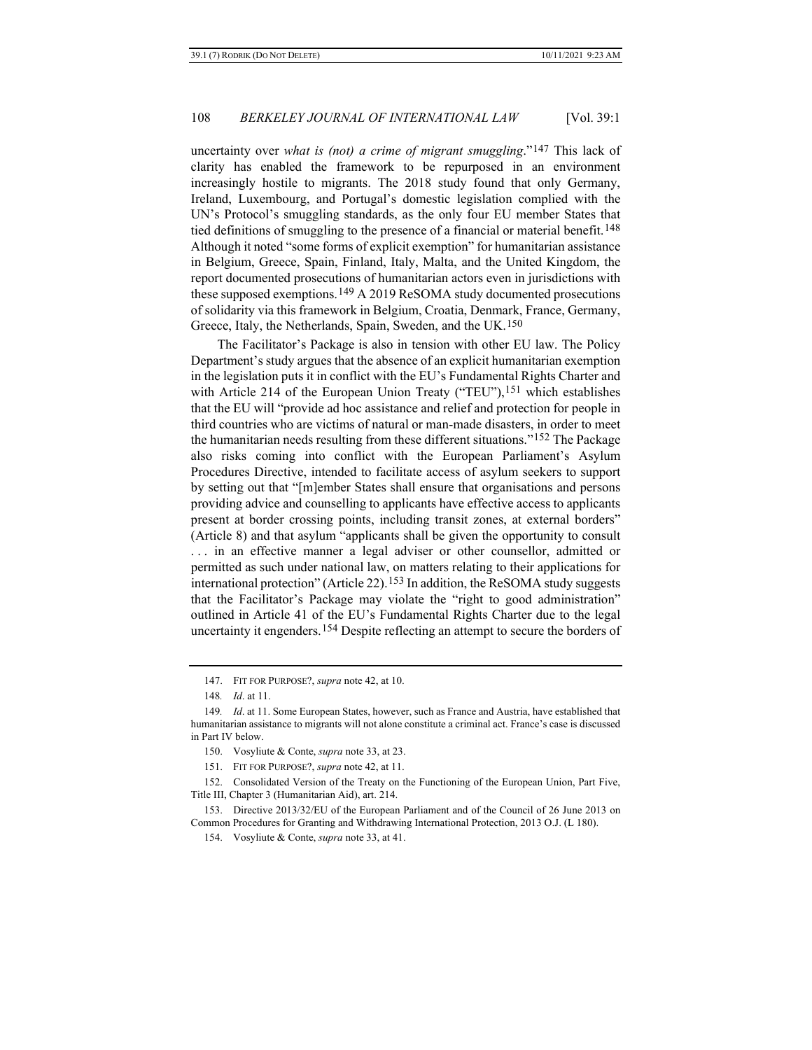uncertainty over *what is (not) a crime of migrant smuggling*."[147](#page-27-0) This lack of clarity has enabled the framework to be repurposed in an environment increasingly hostile to migrants. The 2018 study found that only Germany, Ireland, Luxembourg, and Portugal's domestic legislation complied with the UN's Protocol's smuggling standards, as the only four EU member States that tied definitions of smuggling to the presence of a financial or material benefit.[148](#page-27-1) Although it noted "some forms of explicit exemption" for humanitarian assistance in Belgium, Greece, Spain, Finland, Italy, Malta, and the United Kingdom, the report documented prosecutions of humanitarian actors even in jurisdictions with these supposed exemptions.<sup>[149](#page-27-2)</sup> A 2019 ReSOMA study documented prosecutions of solidarity via this framework in Belgium, Croatia, Denmark, France, Germany, Greece, Italy, the Netherlands, Spain, Sweden, and the UK.[150](#page-27-3)

The Facilitator's Package is also in tension with other EU law. The Policy Department's study argues that the absence of an explicit humanitarian exemption in the legislation puts it in conflict with the EU's Fundamental Rights Charter and with Article 214 of the European Union Treaty ("TEU"),<sup>[151](#page-27-4)</sup> which establishes that the EU will "provide ad hoc assistance and relief and protection for people in third countries who are victims of natural or man-made disasters, in order to meet the humanitarian needs resulting from these different situations."[152](#page-27-5) The Package also risks coming into conflict with the European Parliament's Asylum Procedures Directive, intended to facilitate access of asylum seekers to support by setting out that "[m]ember States shall ensure that organisations and persons providing advice and counselling to applicants have effective access to applicants present at border crossing points, including transit zones, at external borders" (Article 8) and that asylum "applicants shall be given the opportunity to consult . . . in an effective manner a legal adviser or other counsellor, admitted or permitted as such under national law, on matters relating to their applications for international protection" (Article 22).<sup>[153](#page-27-6)</sup> In addition, the ReSOMA study suggests that the Facilitator's Package may violate the "right to good administration" outlined in Article 41 of the EU's Fundamental Rights Charter due to the legal uncertainty it engenders.[154](#page-27-7) Despite reflecting an attempt to secure the borders of

<sup>147.</sup> FIT FOR PURPOSE?, *supra* not[e 42,](#page-9-0) at 10.

<sup>148</sup>*. Id*. at 11.

<span id="page-27-2"></span><span id="page-27-1"></span><span id="page-27-0"></span><sup>149</sup>*. Id*. at 11. Some European States, however, such as France and Austria, have established that humanitarian assistance to migrants will not alone constitute a criminal act. France's case is discussed in Part IV below.

<sup>150.</sup> Vosyliute & Conte, *supra* not[e 33,](#page-6-0) at 23.

<sup>151.</sup> FIT FOR PURPOSE?, *supra* not[e 42,](#page-9-0) at 11.

<span id="page-27-5"></span><span id="page-27-4"></span><span id="page-27-3"></span><sup>152.</sup> Consolidated Version of the Treaty on the Functioning of the European Union, Part Five, Title III, Chapter 3 (Humanitarian Aid), art. 214.

<span id="page-27-7"></span><span id="page-27-6"></span><sup>153.</sup> Directive 2013/32/EU of the European Parliament and of the Council of 26 June 2013 on Common Procedures for Granting and Withdrawing International Protection, 2013 O.J. (L 180).

<sup>154.</sup> Vosyliute & Conte, *supra* note 33, at 41.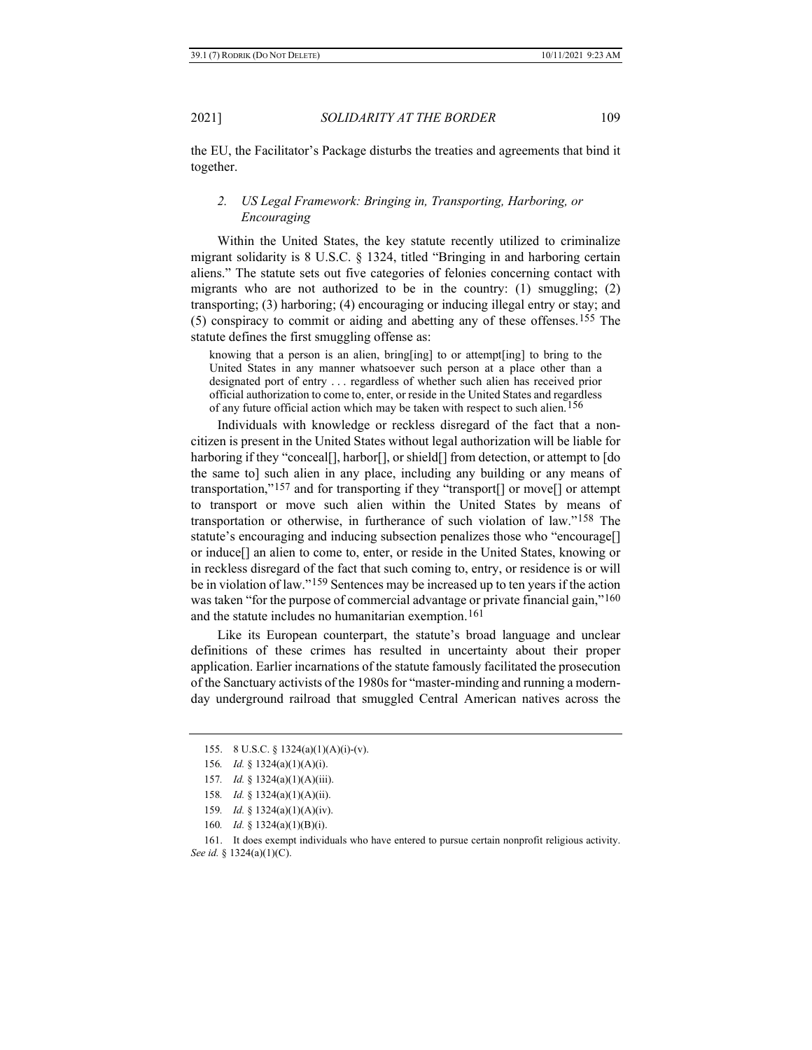the EU, the Facilitator's Package disturbs the treaties and agreements that bind it together.

# *2. US Legal Framework: Bringing in, Transporting, Harboring, or Encouraging*

Within the United States, the key statute recently utilized to criminalize migrant solidarity is 8 U.S.C. § 1324, titled "Bringing in and harboring certain aliens." The statute sets out five categories of felonies concerning contact with migrants who are not authorized to be in the country: (1) smuggling; (2) transporting; (3) harboring; (4) encouraging or inducing illegal entry or stay; and (5) conspiracy to commit or aiding and abetting any of these offenses.[155](#page-28-0) The statute defines the first smuggling offense as:

knowing that a person is an alien, bring[ing] to or attempt[ing] to bring to the United States in any manner whatsoever such person at a place other than a designated port of entry . . . regardless of whether such alien has received prior official authorization to come to, enter, or reside in the United States and regardless of any future official action which may be taken with respect to such alien.[156](#page-28-1)

Individuals with knowledge or reckless disregard of the fact that a noncitizen is present in the United States without legal authorization will be liable for harboring if they "conceal[], harbor[], or shield[] from detection, or attempt to [do] the same to] such alien in any place, including any building or any means of transportation,"[157](#page-28-2) and for transporting if they "transport[] or move[] or attempt to transport or move such alien within the United States by means of transportation or otherwise, in furtherance of such violation of law."[158](#page-28-3) The statute's encouraging and inducing subsection penalizes those who "encourage[] or induce[] an alien to come to, enter, or reside in the United States, knowing or in reckless disregard of the fact that such coming to, entry, or residence is or will be in violation of law."[159](#page-28-4) Sentences may be increased up to ten years if the action was taken "for the purpose of commercial advantage or private financial gain,"<sup>[160](#page-28-5)</sup> and the statute includes no humanitarian exemption.[161](#page-28-6)

Like its European counterpart, the statute's broad language and unclear definitions of these crimes has resulted in uncertainty about their proper application. Earlier incarnations of the statute famously facilitated the prosecution of the Sanctuary activists of the 1980s for "master-minding and running a modernday underground railroad that smuggled Central American natives across the

<span id="page-28-0"></span><sup>155.</sup> 8 U.S.C. § 1324(a)(1)(A)(i)-(v).

<span id="page-28-1"></span><sup>156</sup>*. Id.* § 1324(a)(1)(A)(i).

<sup>157</sup>*. Id.* § 1324(a)(1)(A)(iii).

<sup>158</sup>*. Id.* § 1324(a)(1)(A)(ii).

<sup>159</sup>*. Id.* § 1324(a)(1)(A)(iv).

<sup>160</sup>*. Id.* § 1324(a)(1)(B)(i).

<span id="page-28-6"></span><span id="page-28-5"></span><span id="page-28-4"></span><span id="page-28-3"></span><span id="page-28-2"></span><sup>161.</sup> It does exempt individuals who have entered to pursue certain nonprofit religious activity. *See id.* § 1324(a)(1)(C).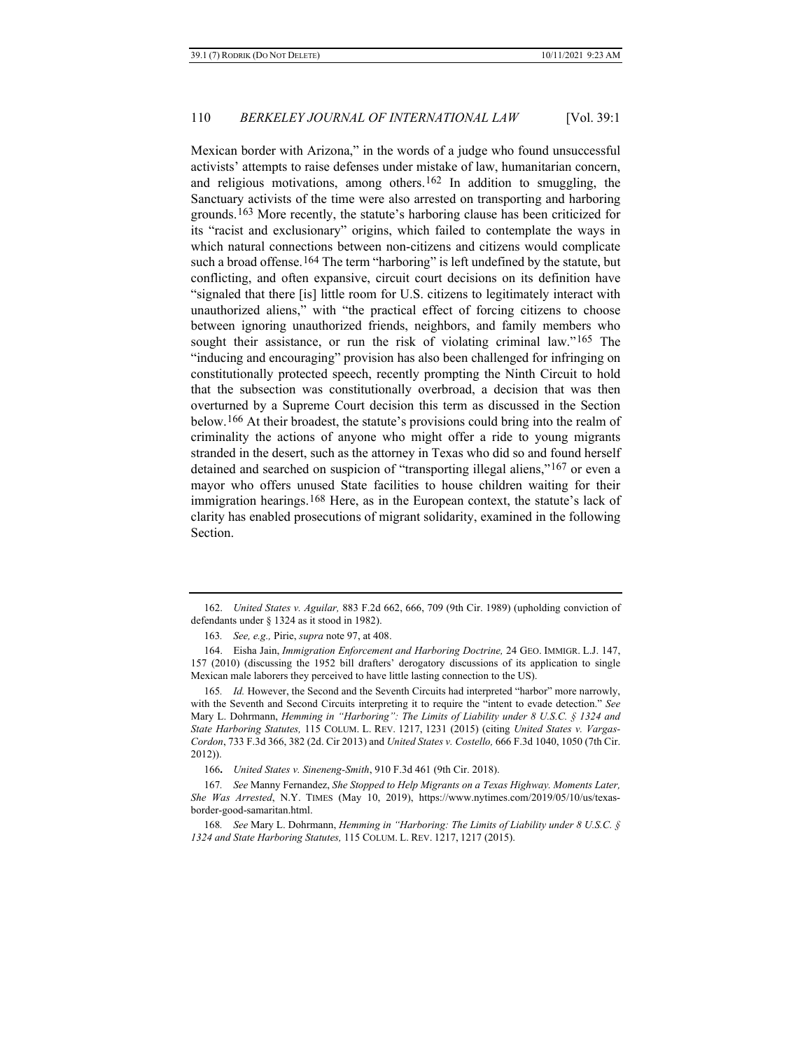Mexican border with Arizona," in the words of a judge who found unsuccessful activists' attempts to raise defenses under mistake of law, humanitarian concern, and religious motivations, among others.[162](#page-29-0) In addition to smuggling, the Sanctuary activists of the time were also arrested on transporting and harboring grounds.[163](#page-29-1) More recently, the statute's harboring clause has been criticized for its "racist and exclusionary" origins, which failed to contemplate the ways in which natural connections between non-citizens and citizens would complicate such a broad offense.<sup>[164](#page-29-2)</sup> The term "harboring" is left undefined by the statute, but conflicting, and often expansive, circuit court decisions on its definition have "signaled that there [is] little room for U.S. citizens to legitimately interact with unauthorized aliens," with "the practical effect of forcing citizens to choose between ignoring unauthorized friends, neighbors, and family members who sought their assistance, or run the risk of violating criminal law."[165](#page-29-3) The "inducing and encouraging" provision has also been challenged for infringing on constitutionally protected speech, recently prompting the Ninth Circuit to hold that the subsection was constitutionally overbroad, a decision that was then overturned by a Supreme Court decision this term as discussed in the Section below.[166](#page-29-4) At their broadest, the statute's provisions could bring into the realm of criminality the actions of anyone who might offer a ride to young migrants stranded in the desert, such as the attorney in Texas who did so and found herself detained and searched on suspicion of "transporting illegal aliens,"[167](#page-29-5) or even a mayor who offers unused State facilities to house children waiting for their immigration hearings[.168](#page-29-6) Here, as in the European context, the statute's lack of clarity has enabled prosecutions of migrant solidarity, examined in the following Section.

<span id="page-29-0"></span><sup>162.</sup> *United States v. Aguilar,* 883 F.2d 662, 666, 709 (9th Cir. 1989) (upholding conviction of defendants under § 1324 as it stood in 1982).

<sup>163</sup>*. See, e.g.,* Pirie, *supra* note [97,](#page-18-4) at 408.

<span id="page-29-2"></span><span id="page-29-1"></span><sup>164.</sup> Eisha Jain, *Immigration Enforcement and Harboring Doctrine,* 24 GEO. IMMIGR. L.J. 147, 157 (2010) (discussing the 1952 bill drafters' derogatory discussions of its application to single Mexican male laborers they perceived to have little lasting connection to the US).

<span id="page-29-3"></span><sup>165.</sup> *Id.* However, the Second and the Seventh Circuits had interpreted "harbor" more narrowly, with the Seventh and Second Circuits interpreting it to require the "intent to evade detection." *See*  Mary L. Dohrmann, *Hemming in "Harboring": The Limits of Liability under 8 U.S.C. § 1324 and State Harboring Statutes,* 115 COLUM. L. REV. 1217, 1231 (2015) (citing *United States v. Vargas-Cordon*, 733 F.3d 366, 382 (2d. Cir 2013) and *United States v. Costello,* 666 F.3d 1040, 1050 (7th Cir. 2012)).

<sup>166</sup>**.** *United States v. Sineneng-Smith*, 910 F.3d 461 (9th Cir. 2018).

<span id="page-29-5"></span><span id="page-29-4"></span><sup>167</sup>*. See* Manny Fernandez, *She Stopped to Help Migrants on a Texas Highway. Moments Later, She Was Arrested*, N.Y. TIMES (May 10, 2019), https://www.nytimes.com/2019/05/10/us/texasborder-good-samaritan.html.

<span id="page-29-6"></span><sup>168</sup>*. See* Mary L. Dohrmann, *Hemming in "Harboring: The Limits of Liability under 8 U.S.C. § 1324 and State Harboring Statutes,* 115 COLUM. L. REV. 1217, 1217 (2015).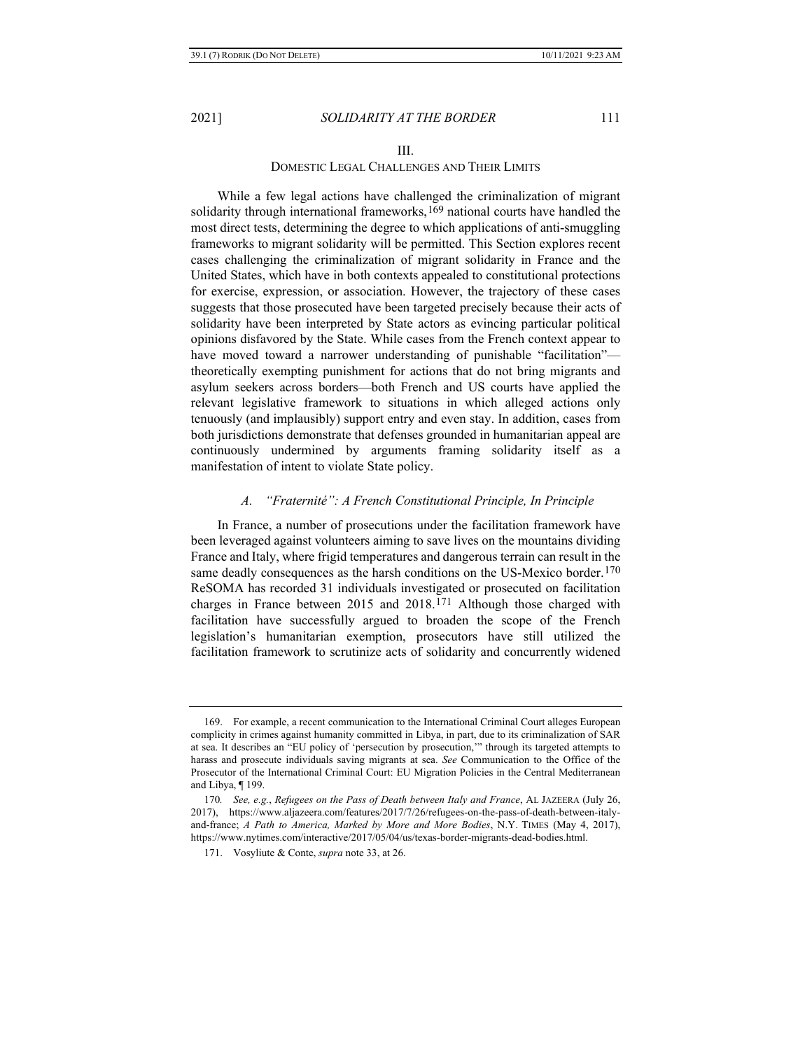### III.

#### DOMESTIC LEGAL CHALLENGES AND THEIR LIMITS

While a few legal actions have challenged the criminalization of migrant solidarity through international frameworks,<sup>[169](#page-30-0)</sup> national courts have handled the most direct tests, determining the degree to which applications of anti-smuggling frameworks to migrant solidarity will be permitted. This Section explores recent cases challenging the criminalization of migrant solidarity in France and the United States, which have in both contexts appealed to constitutional protections for exercise, expression, or association. However, the trajectory of these cases suggests that those prosecuted have been targeted precisely because their acts of solidarity have been interpreted by State actors as evincing particular political opinions disfavored by the State. While cases from the French context appear to have moved toward a narrower understanding of punishable "facilitation"theoretically exempting punishment for actions that do not bring migrants and asylum seekers across borders—both French and US courts have applied the relevant legislative framework to situations in which alleged actions only tenuously (and implausibly) support entry and even stay. In addition, cases from both jurisdictions demonstrate that defenses grounded in humanitarian appeal are continuously undermined by arguments framing solidarity itself as a manifestation of intent to violate State policy.

#### *A. "Fraternité": A French Constitutional Principle, In Principle*

In France, a number of prosecutions under the facilitation framework have been leveraged against volunteers aiming to save lives on the mountains dividing France and Italy, where frigid temperatures and dangerous terrain can result in the same deadly consequences as the harsh conditions on the US-Mexico border.<sup>[170](#page-30-1)</sup> ReSOMA has recorded 31 individuals investigated or prosecuted on facilitation charges in France between 2015 and 2018.[171](#page-30-2) Although those charged with facilitation have successfully argued to broaden the scope of the French legislation's humanitarian exemption, prosecutors have still utilized the facilitation framework to scrutinize acts of solidarity and concurrently widened

<span id="page-30-0"></span><sup>169.</sup> For example, a recent communication to the International Criminal Court alleges European complicity in crimes against humanity committed in Libya, in part, due to its criminalization of SAR at sea. It describes an "EU policy of 'persecution by prosecution,'" through its targeted attempts to harass and prosecute individuals saving migrants at sea. *See* Communication to the Office of the Prosecutor of the International Criminal Court: EU Migration Policies in the Central Mediterranean and Libya, ¶ 199.

<span id="page-30-2"></span><span id="page-30-1"></span><sup>170</sup>*. See, e.g.*, *Refugees on the Pass of Death between Italy and France*, AL JAZEERA (July 26, 2017), https://www.aljazeera.com/features/2017/7/26/refugees-on-the-pass-of-death-between-italyand-france; *A Path to America, Marked by More and More Bodies*, N.Y. TIMES (May 4, 2017), https://www.nytimes.com/interactive/2017/05/04/us/texas-border-migrants-dead-bodies.html.

<sup>171.</sup> Vosyliute & Conte, *supra* note 33, at 26.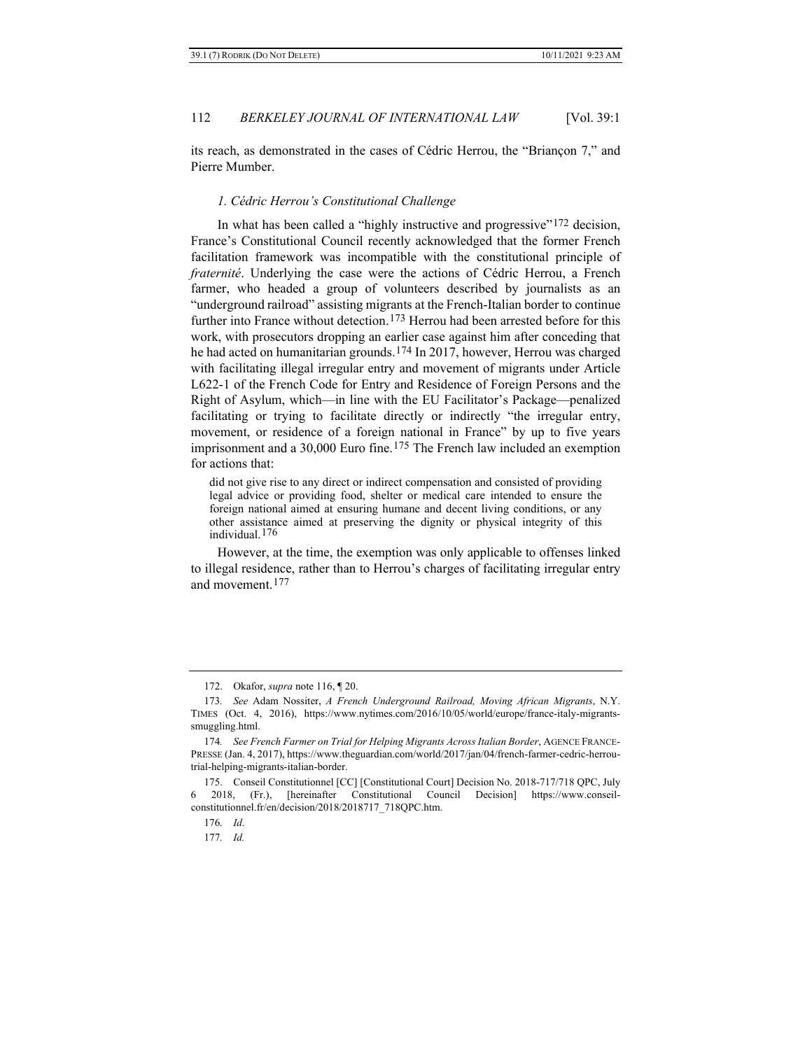its reach, as demonstrated in the cases of Cédric Herrou, the "Briançon 7," and Pierre Mumber.

#### *1. Cédric Herrou's Constitutional Challenge*

In what has been called a "highly instructive and progressive"<sup>[172](#page-31-0)</sup> decision, France's Constitutional Council recently acknowledged that the former French facilitation framework was incompatible with the constitutional principle of *fraternité*. Underlying the case were the actions of Cédric Herrou, a French farmer, who headed a group of volunteers described by journalists as an "underground railroad" assisting migrants at the French-Italian border to continue further into France without detection.<sup>[173](#page-31-1)</sup> Herrou had been arrested before for this work, with prosecutors dropping an earlier case against him after conceding that he had acted on humanitarian grounds.[174](#page-31-2) In 2017, however, Herrou was charged with facilitating illegal irregular entry and movement of migrants under Article L622-1 of the French Code for Entry and Residence of Foreign Persons and the Right of Asylum, which—in line with the EU Facilitator's Package—penalized facilitating or trying to facilitate directly or indirectly "the irregular entry, movement, or residence of a foreign national in France" by up to five years imprisonment and a  $30,000$  Euro fine.<sup>[175](#page-31-3)</sup> The French law included an exemption for actions that:

<span id="page-31-6"></span>did not give rise to any direct or indirect compensation and consisted of providing legal advice or providing food, shelter or medical care intended to ensure the foreign national aimed at ensuring humane and decent living conditions, or any other assistance aimed at preserving the dignity or physical integrity of this individual.[176](#page-31-4)

However, at the time, the exemption was only applicable to offenses linked to illegal residence, rather than to Herrou's charges of facilitating irregular entry and movement.[177](#page-31-5)

177*. Id.*

<sup>172.</sup> Okafor, *supra* not[e 116,](#page-22-5) ¶ 20.

<span id="page-31-1"></span><span id="page-31-0"></span><sup>173</sup>*. See* Adam Nossiter, *A French Underground Railroad, Moving African Migrants*, N.Y. TIMES (Oct. 4, 2016), https://www.nytimes.com/2016/10/05/world/europe/france-italy-migrantssmuggling.html.

<span id="page-31-2"></span><sup>174</sup>*. See French Farmer on Trial for Helping Migrants Across Italian Border*, AGENCE FRANCE-PRESSE (Jan. 4, 2017), https://www.theguardian.com/world/2017/jan/04/french-farmer-cedric-herroutrial-helping-migrants-italian-border.

<span id="page-31-5"></span><span id="page-31-4"></span><span id="page-31-3"></span><sup>175.</sup> Conseil Constitutionnel [CC] [Constitutional Court] Decision No. 2018-717/718 QPC, July 6 2018, (Fr.), [hereinafter Constitutional Council Decision] https://www.conseilconstitutionnel.fr/en/decision/2018/2018717\_718QPC.htm.

<sup>176</sup>*. Id*.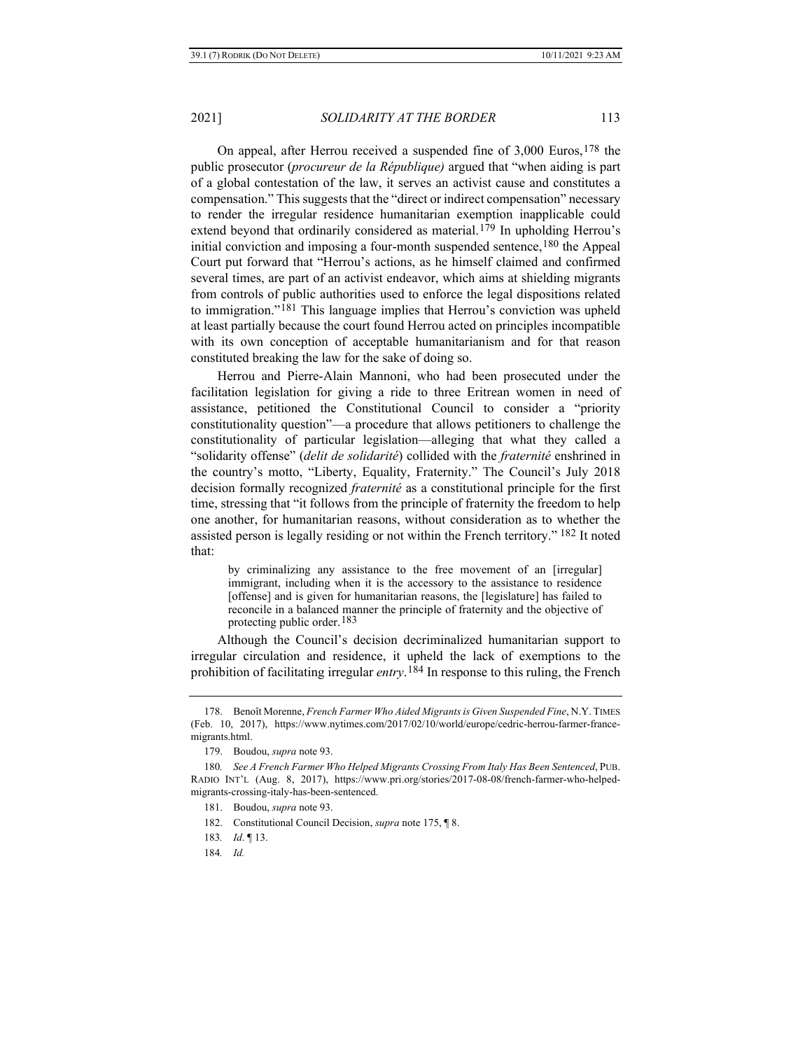On appeal, after Herrou received a suspended fine of 3,000 Euros,[178](#page-32-0) the public prosecutor (*procureur de la République)* argued that "when aiding is part of a global contestation of the law, it serves an activist cause and constitutes a compensation." This suggests that the "direct or indirect compensation" necessary to render the irregular residence humanitarian exemption inapplicable could extend beyond that ordinarily considered as material.[179](#page-32-1) In upholding Herrou's initial conviction and imposing a four-month suspended sentence,<sup>[180](#page-32-2)</sup> the Appeal Court put forward that "Herrou's actions, as he himself claimed and confirmed several times, are part of an activist endeavor, which aims at shielding migrants from controls of public authorities used to enforce the legal dispositions related to immigration."[181](#page-32-3) This language implies that Herrou's conviction was upheld at least partially because the court found Herrou acted on principles incompatible with its own conception of acceptable humanitarianism and for that reason constituted breaking the law for the sake of doing so.

Herrou and Pierre-Alain Mannoni, who had been prosecuted under the facilitation legislation for giving a ride to three Eritrean women in need of assistance, petitioned the Constitutional Council to consider a "priority constitutionality question"—a procedure that allows petitioners to challenge the constitutionality of particular legislation—alleging that what they called a "solidarity offense" (*delit de solidarité*) collided with the *fraternité* enshrined in the country's motto, "Liberty, Equality, Fraternity." The Council's July 2018 decision formally recognized *fraternité* as a constitutional principle for the first time, stressing that "it follows from the principle of fraternity the freedom to help one another, for humanitarian reasons, without consideration as to whether the assisted person is legally residing or not within the French territory." [182](#page-32-4) It noted that:

by criminalizing any assistance to the free movement of an [irregular] immigrant, including when it is the accessory to the assistance to residence [offense] and is given for humanitarian reasons, the [legislature] has failed to reconcile in a balanced manner the principle of fraternity and the objective of protecting public order.<sup>[183](#page-32-5)</sup>

Although the Council's decision decriminalized humanitarian support to irregular circulation and residence, it upheld the lack of exemptions to the prohibition of facilitating irregular *entry*.[184](#page-32-6) In response to this ruling, the French

<span id="page-32-0"></span><sup>178.</sup> Benoît Morenne, *French Farmer Who Aided Migrants is Given Suspended Fine*, N.Y. TIMES (Feb. 10, 2017), https://www.nytimes.com/2017/02/10/world/europe/cedric-herrou-farmer-francemigrants.html.

<sup>179.</sup> Boudou, *supra* not[e 93.](#page-17-4)

<span id="page-32-5"></span><span id="page-32-4"></span><span id="page-32-3"></span><span id="page-32-2"></span><span id="page-32-1"></span><sup>180</sup>*. See A French Farmer Who Helped Migrants Crossing From Italy Has Been Sentenced*, PUB. RADIO INT'L (Aug. 8, 2017), https://www.pri.org/stories/2017-08-08/french-farmer-who-helpedmigrants-crossing-italy-has-been-sentenced.

<sup>181.</sup> Boudou, *supra* not[e 93.](#page-17-4)

<sup>182.</sup> Constitutional Council Decision, *supra* not[e 175,](#page-31-6) ¶ 8.

<span id="page-32-6"></span><sup>183</sup>*. Id*. ¶ 13.

<sup>184</sup>*. Id.*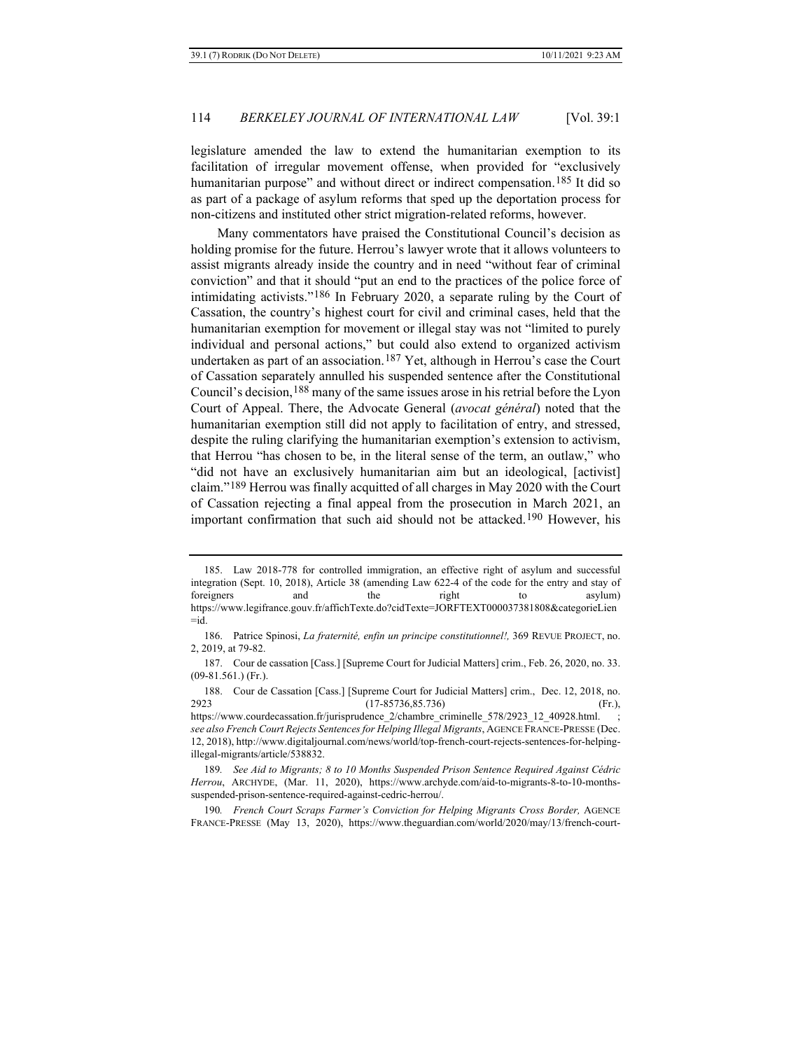legislature amended the law to extend the humanitarian exemption to its facilitation of irregular movement offense, when provided for "exclusively humanitarian purpose" and without direct or indirect compensation.<sup>[185](#page-33-0)</sup> It did so as part of a package of asylum reforms that sped up the deportation process for non-citizens and instituted other strict migration-related reforms, however.

Many commentators have praised the Constitutional Council's decision as holding promise for the future. Herrou's lawyer wrote that it allows volunteers to assist migrants already inside the country and in need "without fear of criminal conviction" and that it should "put an end to the practices of the police force of intimidating activists."[186](#page-33-1) In February 2020, a separate ruling by the Court of Cassation, the country's highest court for civil and criminal cases, held that the humanitarian exemption for movement or illegal stay was not "limited to purely individual and personal actions," but could also extend to organized activism undertaken as part of an association.<sup>[187](#page-33-2)</sup> Yet, although in Herrou's case the Court of Cassation separately annulled his suspended sentence after the Constitutional Council's decision,<sup>[188](#page-33-3)</sup> many of the same issues arose in his retrial before the Lyon Court of Appeal. There, the Advocate General (*avocat général*) noted that the humanitarian exemption still did not apply to facilitation of entry, and stressed, despite the ruling clarifying the humanitarian exemption's extension to activism, that Herrou "has chosen to be, in the literal sense of the term, an outlaw," who "did not have an exclusively humanitarian aim but an ideological, [activist] claim."[189](#page-33-4) Herrou was finally acquitted of all charges in May 2020 with the Court of Cassation rejecting a final appeal from the prosecution in March 2021, an important confirmation that such aid should not be attacked.<sup>[190](#page-33-5)</sup> However, his

<span id="page-33-3"></span>188. Cour de Cassation [Cass.] [Supreme Court for Judicial Matters] crim., Dec. 12, 2018, no. 2923 (17-85736,85.736) (Fr.),

<span id="page-33-0"></span><sup>185.</sup> Law 2018-778 for controlled immigration, an effective right of asylum and successful integration (Sept. 10, 2018), Article 38 (amending Law 622-4 of the code for the entry and stay of foreigners and the right to asylum) https://www.legifrance.gouv.fr/affichTexte.do?cidTexte=JORFTEXT000037381808&categorieLien  $= id.$ 

<span id="page-33-1"></span><sup>186.</sup> Patrice Spinosi, *La fraternité, enfin un principe constitutionnel!,* 369 REVUE PROJECT, no. 2, 2019, at 79-82.

<span id="page-33-2"></span><sup>187.</sup> Cour de cassation [Cass.] [Supreme Court for Judicial Matters] crim., Feb. 26, 2020, no. 33. (09-81.561.) (Fr.).

https://www.courdecassation.fr/jurisprudence\_2/chambre\_criminelle\_578/2923\_12\_40928.html. *see also French Court Rejects Sentences for Helping Illegal Migrants*, AGENCE FRANCE-PRESSE (Dec. 12, 2018), http://www.digitaljournal.com/news/world/top-french-court-rejects-sentences-for-helpingillegal-migrants/article/538832.

<span id="page-33-4"></span><sup>189</sup>*. See Aid to Migrants; 8 to 10 Months Suspended Prison Sentence Required Against Cédric Herrou*, ARCHYDE, (Mar. 11, 2020), https://www.archyde.com/aid-to-migrants-8-to-10-monthssuspended-prison-sentence-required-against-cedric-herrou/.

<span id="page-33-5"></span><sup>190</sup>*. French Court Scraps Farmer's Conviction for Helping Migrants Cross Border,* AGENCE FRANCE-PRESSE (May 13, 2020), https://www.theguardian.com/world/2020/may/13/french-court-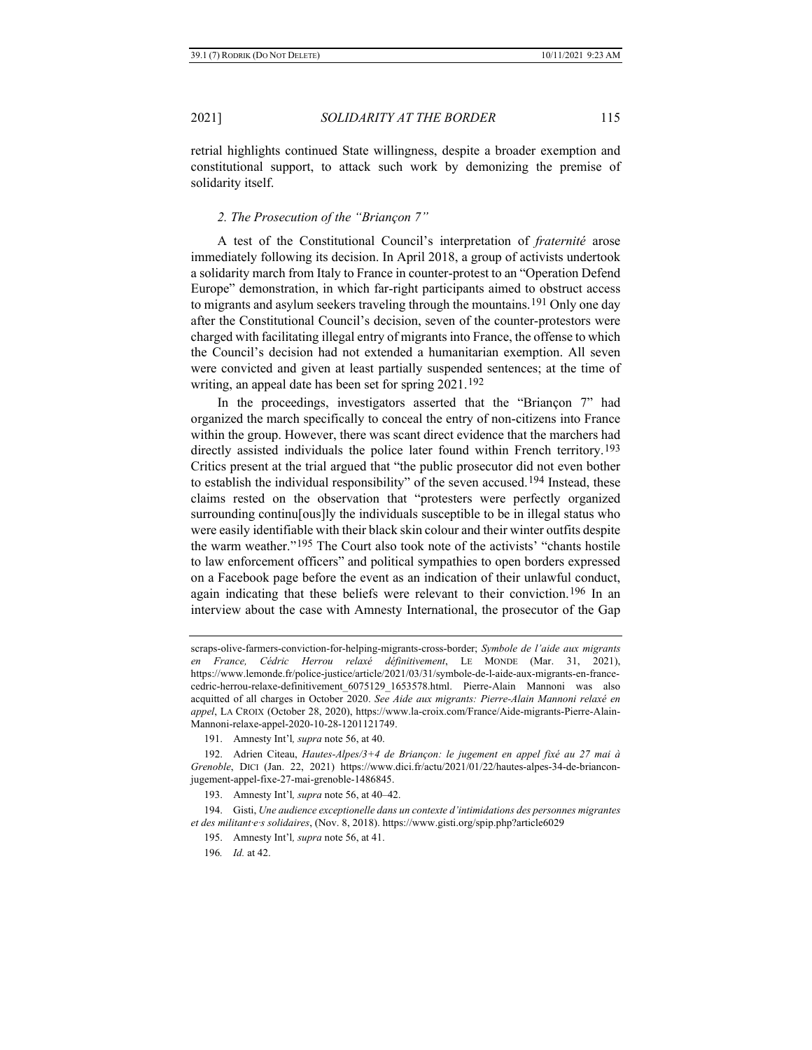retrial highlights continued State willingness, despite a broader exemption and constitutional support, to attack such work by demonizing the premise of solidarity itself.

#### *2. The Prosecution of the "Briançon 7"*

A test of the Constitutional Council's interpretation of *fraternité* arose immediately following its decision. In April 2018, a group of activists undertook a solidarity march from Italy to France in counter-protest to an "Operation Defend Europe" demonstration, in which far-right participants aimed to obstruct access to migrants and asylum seekers traveling through the mountains.<sup>[191](#page-34-0)</sup> Only one day after the Constitutional Council's decision, seven of the counter-protestors were charged with facilitating illegal entry of migrants into France, the offense to which the Council's decision had not extended a humanitarian exemption. All seven were convicted and given at least partially suspended sentences; at the time of writing, an appeal date has been set for spring 2021.<sup>[192](#page-34-1)</sup>

In the proceedings, investigators asserted that the "Briançon 7" had organized the march specifically to conceal the entry of non-citizens into France within the group. However, there was scant direct evidence that the marchers had directly assisted individuals the police later found within French territory.<sup>[193](#page-34-2)</sup> Critics present at the trial argued that "the public prosecutor did not even bother to establish the individual responsibility" of the seven accused.<sup>[194](#page-34-3)</sup> Instead, these claims rested on the observation that "protesters were perfectly organized surrounding continu[ous]ly the individuals susceptible to be in illegal status who were easily identifiable with their black skin colour and their winter outfits despite the warm weather."[195](#page-34-4) The Court also took note of the activists' "chants hostile to law enforcement officers" and political sympathies to open borders expressed on a Facebook page before the event as an indication of their unlawful conduct, again indicating that these beliefs were relevant to their conviction.<sup>[196](#page-34-5)</sup> In an interview about the case with Amnesty International, the prosecutor of the Gap

scraps-olive-farmers-conviction-for-helping-migrants-cross-border; *Symbole de l'aide aux migrants en France, Cédric Herrou relaxé définitivement*, LE MONDE (Mar. 31, 2021), https://www.lemonde.fr/police-justice/article/2021/03/31/symbole-de-l-aide-aux-migrants-en-francecedric-herrou-relaxe-definitivement\_6075129\_1653578.html. Pierre-Alain Mannoni was also acquitted of all charges in October 2020. *See Aide aux migrants: Pierre-Alain Mannoni relaxé en appel*, LA CROIX (October 28, 2020), https://www.la-croix.com/France/Aide-migrants-Pierre-Alain-Mannoni-relaxe-appel-2020-10-28-1201121749.

<sup>191.</sup> Amnesty Int'l*, supra* not[e 56,](#page-11-4) at 40.

<span id="page-34-1"></span><span id="page-34-0"></span><sup>192.</sup> Adrien Citeau, *Hautes-Alpes/3+4 de Briançon: le jugement en appel fixé au 27 mai à Grenoble*, DICI (Jan. 22, 2021) https://www.dici.fr/actu/2021/01/22/hautes-alpes-34-de-brianconjugement-appel-fixe-27-mai-grenoble-1486845.

<sup>193.</sup> Amnesty Int'l*, supra* not[e 56,](#page-11-4) at 40–42.

<span id="page-34-5"></span><span id="page-34-4"></span><span id="page-34-3"></span><span id="page-34-2"></span><sup>194.</sup> Gisti, *Une audience exceptionelle dans un contexte d'intimidations des personnes migrantes et des militant·e·s solidaires*, (Nov. 8, 2018). https://www.gisti.org/spip.php?article6029

<sup>195.</sup> Amnesty Int'l*, supra* not[e 56,](#page-11-4) at 41.

<sup>196</sup>*. Id.* at 42.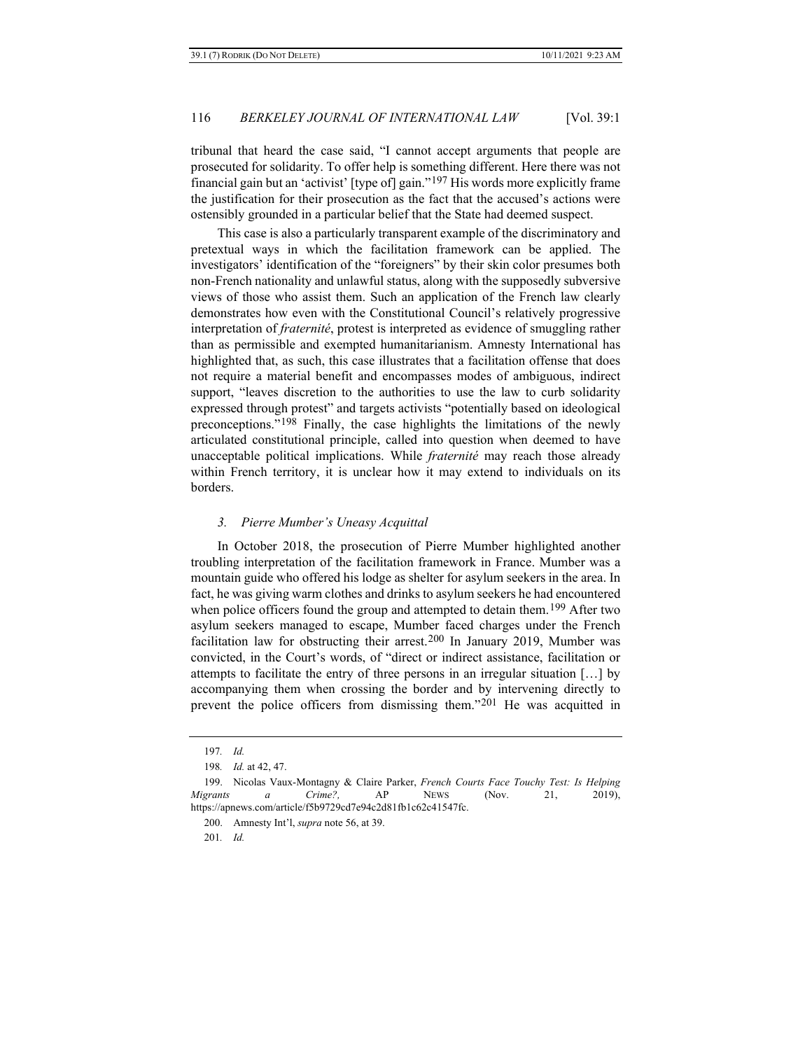tribunal that heard the case said, "I cannot accept arguments that people are prosecuted for solidarity. To offer help is something different. Here there was not financial gain but an 'activist' [type of] gain."[197](#page-35-0) His words more explicitly frame the justification for their prosecution as the fact that the accused's actions were ostensibly grounded in a particular belief that the State had deemed suspect.

This case is also a particularly transparent example of the discriminatory and pretextual ways in which the facilitation framework can be applied. The investigators' identification of the "foreigners" by their skin color presumes both non-French nationality and unlawful status, along with the supposedly subversive views of those who assist them. Such an application of the French law clearly demonstrates how even with the Constitutional Council's relatively progressive interpretation of *fraternité*, protest is interpreted as evidence of smuggling rather than as permissible and exempted humanitarianism. Amnesty International has highlighted that, as such, this case illustrates that a facilitation offense that does not require a material benefit and encompasses modes of ambiguous, indirect support, "leaves discretion to the authorities to use the law to curb solidarity expressed through protest" and targets activists "potentially based on ideological preconceptions."[198](#page-35-1) Finally, the case highlights the limitations of the newly articulated constitutional principle, called into question when deemed to have unacceptable political implications. While *fraternité* may reach those already within French territory, it is unclear how it may extend to individuals on its borders.

#### *3. Pierre Mumber's Uneasy Acquittal*

In October 2018, the prosecution of Pierre Mumber highlighted another troubling interpretation of the facilitation framework in France. Mumber was a mountain guide who offered his lodge as shelter for asylum seekers in the area. In fact, he was giving warm clothes and drinks to asylum seekers he had encountered when police officers found the group and attempted to detain them.<sup>[199](#page-35-2)</sup> After two asylum seekers managed to escape, Mumber faced charges under the French facilitation law for obstructing their arrest.[200](#page-35-3) In January 2019, Mumber was convicted, in the Court's words, of "direct or indirect assistance, facilitation or attempts to facilitate the entry of three persons in an irregular situation […] by accompanying them when crossing the border and by intervening directly to prevent the police officers from dismissing them."[201](#page-35-4) He was acquitted in

<sup>197</sup>*. Id.*

<sup>198</sup>*. Id.* at 42, 47.

<span id="page-35-4"></span><span id="page-35-3"></span><span id="page-35-2"></span><span id="page-35-1"></span><span id="page-35-0"></span><sup>199.</sup> Nicolas Vaux-Montagny & Claire Parker, *French Courts Face Touchy Test: Is Helping Migrants a Crime?,* AP NEWS (Nov. 21, 2019), https://apnews.com/article/f5b9729cd7e94c2d81fb1c62c41547fc.

<sup>200.</sup> Amnesty Int'l, *supra* not[e 56,](#page-11-4) at 39.

<sup>201</sup>*. Id.*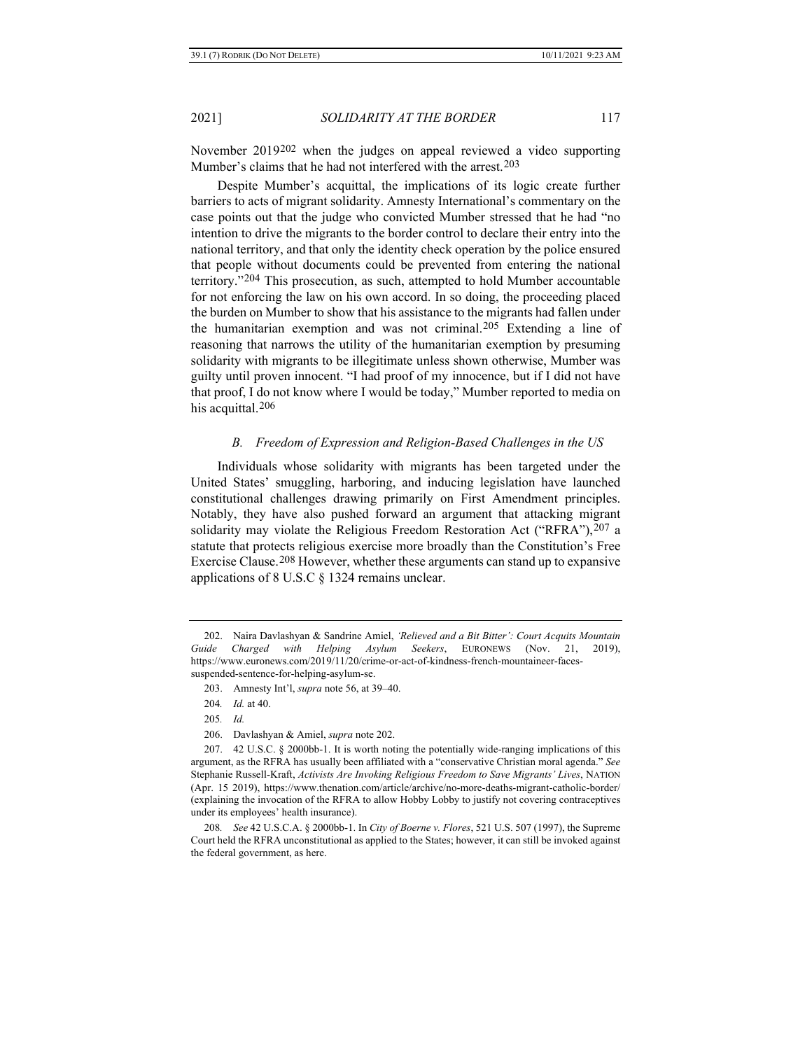<span id="page-36-0"></span>November 2019[202](#page-36-1) when the judges on appeal reviewed a video supporting Mumber's claims that he had not interfered with the arrest.[203](#page-36-2)

Despite Mumber's acquittal, the implications of its logic create further barriers to acts of migrant solidarity. Amnesty International's commentary on the case points out that the judge who convicted Mumber stressed that he had "no intention to drive the migrants to the border control to declare their entry into the national territory, and that only the identity check operation by the police ensured that people without documents could be prevented from entering the national territory."[204](#page-36-3) This prosecution, as such, attempted to hold Mumber accountable for not enforcing the law on his own accord. In so doing, the proceeding placed the burden on Mumber to show that his assistance to the migrants had fallen under the humanitarian exemption and was not criminal.<sup>[205](#page-36-4)</sup> Extending a line of reasoning that narrows the utility of the humanitarian exemption by presuming solidarity with migrants to be illegitimate unless shown otherwise, Mumber was guilty until proven innocent. "I had proof of my innocence, but if I did not have that proof, I do not know where I would be today," Mumber reported to media on his acquittal.<sup>[206](#page-36-5)</sup>

### *B. Freedom of Expression and Religion-Based Challenges in the US*

Individuals whose solidarity with migrants has been targeted under the United States' smuggling, harboring, and inducing legislation have launched constitutional challenges drawing primarily on First Amendment principles. Notably, they have also pushed forward an argument that attacking migrant solidarity may violate the Religious Freedom Restoration Act ("RFRA"), [207](#page-36-6) a statute that protects religious exercise more broadly than the Constitution's Free Exercise Clause.[208](#page-36-7) However, whether these arguments can stand up to expansive applications of 8 U.S.C § 1324 remains unclear.

205*. Id.*

206. Davlashyan & Amiel, *supra* note [202.](#page-36-0) 

<span id="page-36-7"></span>208*. See* 42 U.S.C.A. § 2000bb-1. In *City of Boerne v. Flores*, 521 U.S. 507 (1997), the Supreme Court held the RFRA unconstitutional as applied to the States; however, it can still be invoked against the federal government, as here.

<span id="page-36-2"></span><span id="page-36-1"></span><sup>202.</sup> Naira Davlashyan & Sandrine Amiel, *'Relieved and a Bit Bitter': Court Acquits Mountain Guide Charged with Helping Asylum Seekers*, EURONEWS (Nov. 21, 2019), https://www.euronews.com/2019/11/20/crime-or-act-of-kindness-french-mountaineer-facessuspended-sentence-for-helping-asylum-se.

<sup>203.</sup> Amnesty Int'l, *supra* not[e 56,](#page-11-4) at 39–40.

<sup>204</sup>*. Id.* at 40.

<span id="page-36-6"></span><span id="page-36-5"></span><span id="page-36-4"></span><span id="page-36-3"></span><sup>207.</sup> 42 U.S.C. § 2000bb-1. It is worth noting the potentially wide-ranging implications of this argument, as the RFRA has usually been affiliated with a "conservative Christian moral agenda." *See* Stephanie Russell-Kraft, *Activists Are Invoking Religious Freedom to Save Migrants' Lives*, NATION (Apr. 15 2019), https://www.thenation.com/article/archive/no-more-deaths-migrant-catholic-border/ (explaining the invocation of the RFRA to allow Hobby Lobby to justify not covering contraceptives under its employees' health insurance).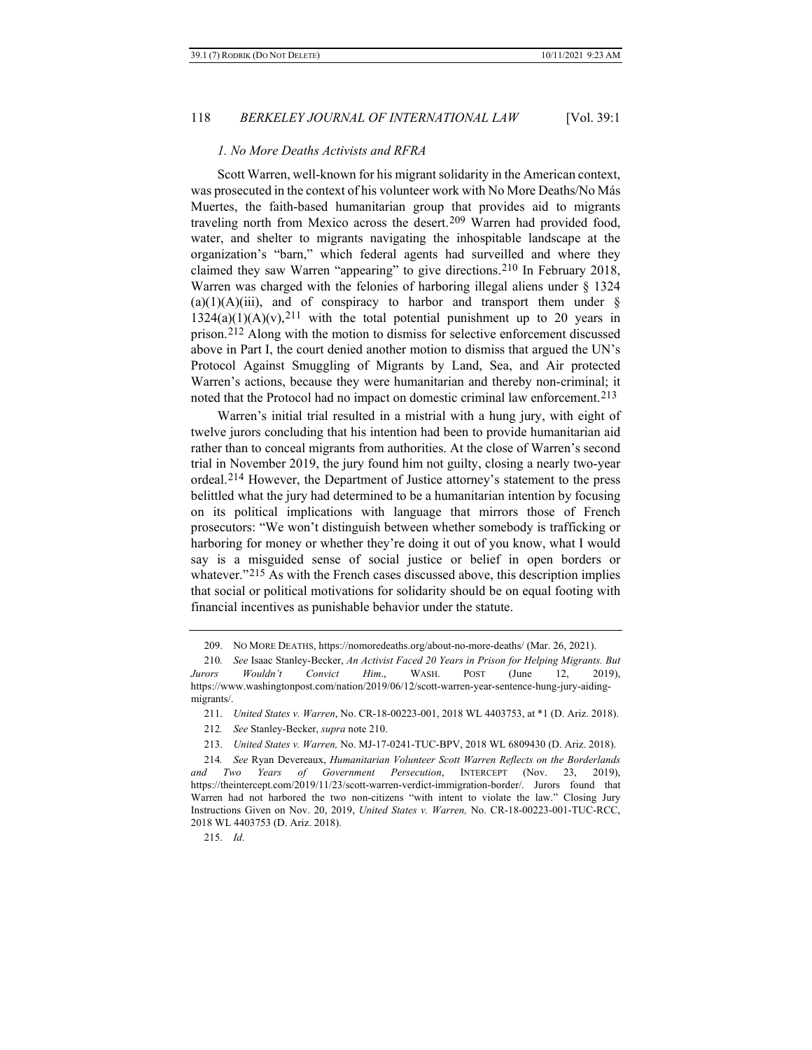#### <span id="page-37-0"></span>*1. No More Deaths Activists and RFRA*

Scott Warren, well-known for his migrant solidarity in the American context, was prosecuted in the context of his volunteer work with No More Deaths/No Más Muertes, the faith-based humanitarian group that provides aid to migrants traveling north from Mexico across the desert.[209](#page-37-1) Warren had provided food, water, and shelter to migrants navigating the inhospitable landscape at the organization's "barn," which federal agents had surveilled and where they claimed they saw Warren "appearing" to give directions.[210](#page-37-2) In February 2018, Warren was charged with the felonies of harboring illegal aliens under § 1324  $(a)(1)(A)(iii)$ , and of conspiracy to harbor and transport them under §  $1324(a)(1)(A)(v)$ ,<sup>[211](#page-37-3)</sup> with the total potential punishment up to 20 years in prison.[212](#page-37-4) Along with the motion to dismiss for selective enforcement discussed above in Part I, the court denied another motion to dismiss that argued the UN's Protocol Against Smuggling of Migrants by Land, Sea, and Air protected Warren's actions, because they were humanitarian and thereby non-criminal; it noted that the Protocol had no impact on domestic criminal law enforcement.[213](#page-37-5)

Warren's initial trial resulted in a mistrial with a hung jury, with eight of twelve jurors concluding that his intention had been to provide humanitarian aid rather than to conceal migrants from authorities. At the close of Warren's second trial in November 2019, the jury found him not guilty, closing a nearly two-year ordeal.[214](#page-37-6) However, the Department of Justice attorney's statement to the press belittled what the jury had determined to be a humanitarian intention by focusing on its political implications with language that mirrors those of French prosecutors: "We won't distinguish between whether somebody is trafficking or harboring for money or whether they're doing it out of you know, what I would say is a misguided sense of social justice or belief in open borders or whatever."<sup>[215](#page-37-7)</sup> As with the French cases discussed above, this description implies that social or political motivations for solidarity should be on equal footing with financial incentives as punishable behavior under the statute.

<span id="page-37-7"></span>215. *Id*.

<sup>209.</sup> NO MORE DEATHS, https://nomoredeaths.org/about-no-more-deaths/ (Mar. 26, 2021).

<span id="page-37-2"></span><span id="page-37-1"></span><sup>210</sup>*. See* Isaac Stanley-Becker, *An Activist Faced 20 Years in Prison for Helping Migrants. But Jurors Wouldn't Convict Him*., WASH. POST (June 12, 2019), https://www.washingtonpost.com/nation/2019/06/12/scott-warren-year-sentence-hung-jury-aidingmigrants/.

<sup>211.</sup> *United States v. Warren*, No. CR-18-00223-001, 2018 WL 4403753, at \*1 (D. Ariz. 2018).

<sup>212</sup>*. See* Stanley-Becker, *supra* not[e 210.](#page-37-0)

<sup>213.</sup> *United States v. Warren,* No. MJ-17-0241-TUC-BPV, 2018 WL 6809430 (D. Ariz. 2018).

<span id="page-37-6"></span><span id="page-37-5"></span><span id="page-37-4"></span><span id="page-37-3"></span><sup>214</sup>*. See* Ryan Devereaux, *Humanitarian Volunteer Scott Warren Reflects on the Borderlands and Two Years of Government Persecution*, INTERCEPT (Nov. 23, 2019), https://theintercept.com/2019/11/23/scott-warren-verdict-immigration-border/. Jurors found that Warren had not harbored the two non-citizens "with intent to violate the law." Closing Jury Instructions Given on Nov. 20, 2019, *United States v. Warren,* No. CR-18-00223-001-TUC-RCC, 2018 WL 4403753 (D. Ariz. 2018).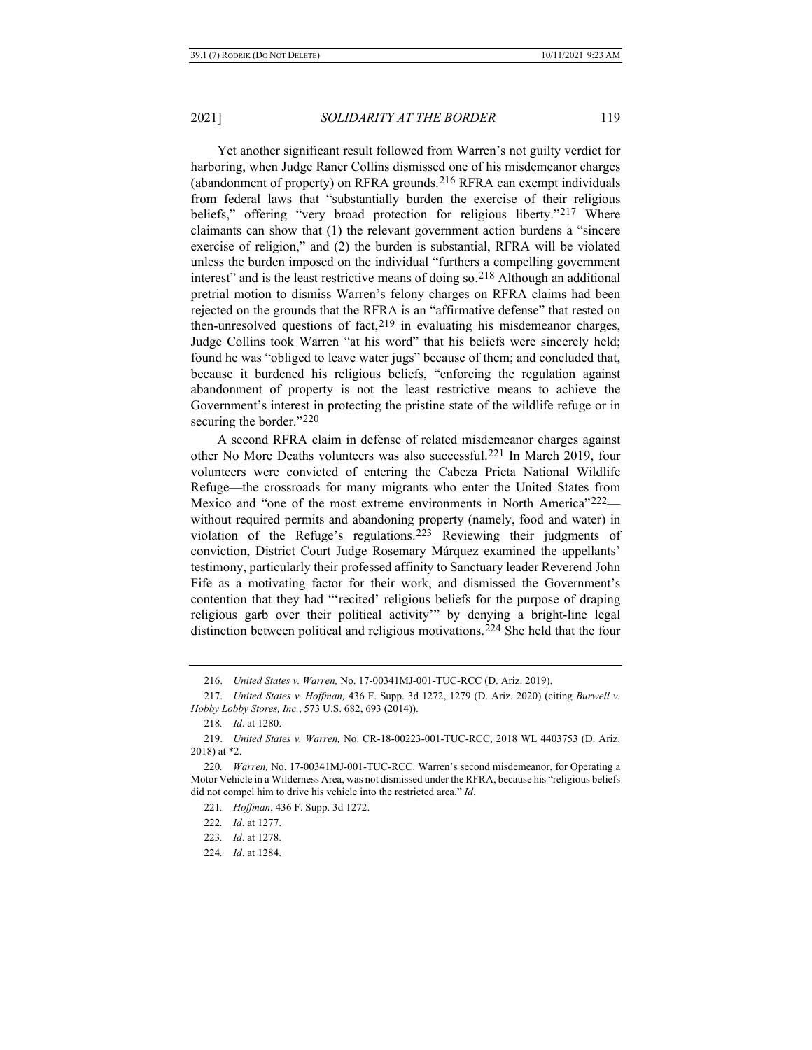Yet another significant result followed from Warren's not guilty verdict for harboring, when Judge Raner Collins dismissed one of his misdemeanor charges (abandonment of property) on RFRA grounds.[216](#page-38-0) RFRA can exempt individuals from federal laws that "substantially burden the exercise of their religious beliefs," offering "very broad protection for religious liberty."[217](#page-38-1) Where claimants can show that (1) the relevant government action burdens a "sincere exercise of religion," and (2) the burden is substantial, RFRA will be violated unless the burden imposed on the individual "furthers a compelling government interest" and is the least restrictive means of doing so.[218](#page-38-2) Although an additional pretrial motion to dismiss Warren's felony charges on RFRA claims had been rejected on the grounds that the RFRA is an "affirmative defense" that rested on then-unresolved questions of fact,  $219$  in evaluating his misdemeanor charges, Judge Collins took Warren "at his word" that his beliefs were sincerely held; found he was "obliged to leave water jugs" because of them; and concluded that, because it burdened his religious beliefs, "enforcing the regulation against abandonment of property is not the least restrictive means to achieve the Government's interest in protecting the pristine state of the wildlife refuge or in securing the border."[220](#page-38-4)

A second RFRA claim in defense of related misdemeanor charges against other No More Deaths volunteers was also successful.[221](#page-38-5) In March 2019, four volunteers were convicted of entering the Cabeza Prieta National Wildlife Refuge—the crossroads for many migrants who enter the United States from Mexico and "one of the most extreme environments in North America"<sup>222</sup>– without required permits and abandoning property (namely, food and water) in violation of the Refuge's regulations.[223](#page-38-7) Reviewing their judgments of conviction, District Court Judge Rosemary Márquez examined the appellants' testimony, particularly their professed affinity to Sanctuary leader Reverend John Fife as a motivating factor for their work, and dismissed the Government's contention that they had "'recited' religious beliefs for the purpose of draping religious garb over their political activity'" by denying a bright-line legal distinction between political and religious motivations.[224](#page-38-8) She held that the four

<span id="page-38-8"></span>224*. Id*. at 1284.

<sup>216.</sup> *United States v. Warren,* No. 17-00341MJ-001-TUC-RCC (D. Ariz. 2019).

<span id="page-38-1"></span><span id="page-38-0"></span><sup>217.</sup> *United States v. Hoffman,* 436 F. Supp. 3d 1272, 1279 (D. Ariz. 2020) (citing *Burwell v. Hobby Lobby Stores, Inc.*, 573 U.S. 682, 693 (2014)).

<sup>218</sup>*. Id*. at 1280.

<span id="page-38-3"></span><span id="page-38-2"></span><sup>219.</sup> *United States v. Warren,* No. CR-18-00223-001-TUC-RCC, 2018 WL 4403753 (D. Ariz. 2018) at \*2.

<span id="page-38-7"></span><span id="page-38-6"></span><span id="page-38-5"></span><span id="page-38-4"></span><sup>220</sup>*. Warren,* No. 17-00341MJ-001-TUC-RCC. Warren's second misdemeanor, for Operating a Motor Vehicle in a Wilderness Area, was not dismissed under the RFRA, because his "religious beliefs did not compel him to drive his vehicle into the restricted area." *Id*.

<sup>221</sup>*. Hoffman*, 436 F. Supp. 3d 1272.

<sup>222</sup>*. Id*. at 1277.

<sup>223</sup>*. Id*. at 1278.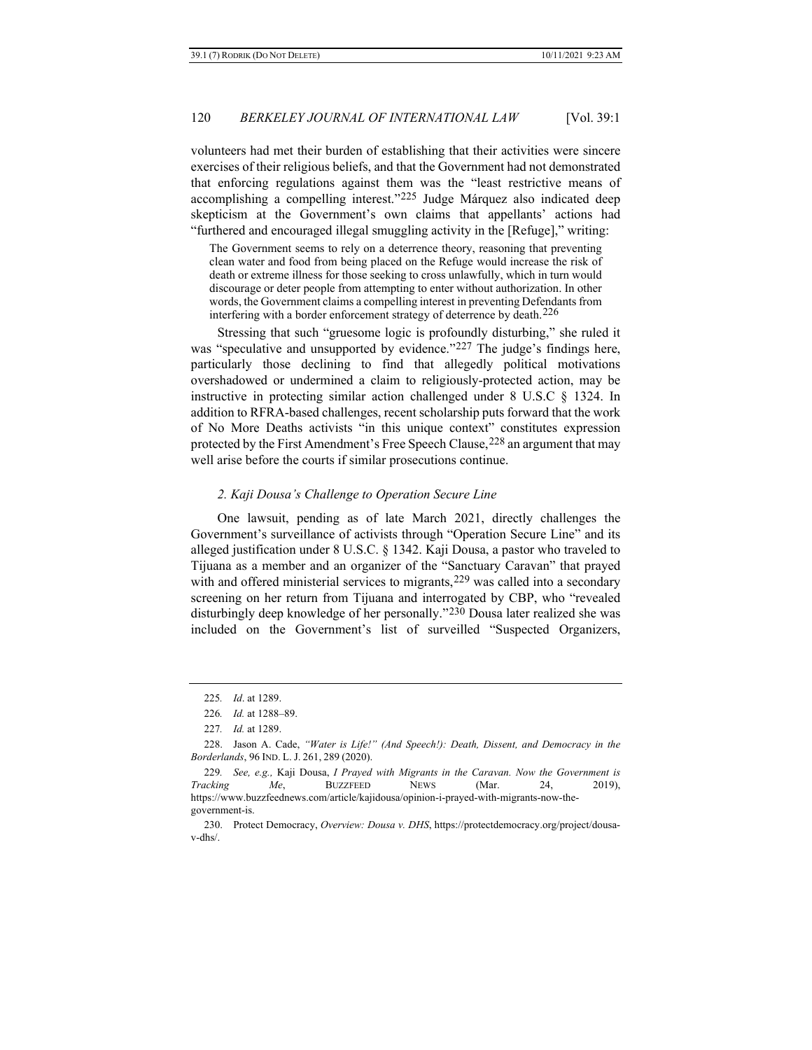volunteers had met their burden of establishing that their activities were sincere exercises of their religious beliefs, and that the Government had not demonstrated that enforcing regulations against them was the "least restrictive means of accomplishing a compelling interest."[225](#page-39-0) Judge Márquez also indicated deep skepticism at the Government's own claims that appellants' actions had "furthered and encouraged illegal smuggling activity in the [Refuge]," writing:

The Government seems to rely on a deterrence theory, reasoning that preventing clean water and food from being placed on the Refuge would increase the risk of death or extreme illness for those seeking to cross unlawfully, which in turn would discourage or deter people from attempting to enter without authorization. In other words, the Government claims a compelling interest in preventing Defendants from interfering with a border enforcement strategy of deterrence by death.[226](#page-39-1)

Stressing that such "gruesome logic is profoundly disturbing," she ruled it was "speculative and unsupported by evidence."<sup>[227](#page-39-2)</sup> The judge's findings here, particularly those declining to find that allegedly political motivations overshadowed or undermined a claim to religiously-protected action, may be instructive in protecting similar action challenged under 8 U.S.C § 1324. In addition to RFRA-based challenges, recent scholarship puts forward that the work of No More Deaths activists "in this unique context" constitutes expression protected by the First Amendment's Free Speech Clause,[228](#page-39-3) an argument that may well arise before the courts if similar prosecutions continue.

#### *2. Kaji Dousa's Challenge to Operation Secure Line*

One lawsuit, pending as of late March 2021, directly challenges the Government's surveillance of activists through "Operation Secure Line" and its alleged justification under 8 U.S.C. § 1342. Kaji Dousa, a pastor who traveled to Tijuana as a member and an organizer of the "Sanctuary Caravan" that prayed with and offered ministerial services to migrants, <sup>[229](#page-39-4)</sup> was called into a secondary screening on her return from Tijuana and interrogated by CBP, who "revealed disturbingly deep knowledge of her personally."[230](#page-39-5) Dousa later realized she was included on the Government's list of surveilled "Suspected Organizers,

<sup>225</sup>*. Id*. at 1289.

<sup>226</sup>*. Id.* at 1288–89.

<sup>227</sup>*. Id.* at 1289.

<span id="page-39-3"></span><span id="page-39-2"></span><span id="page-39-1"></span><span id="page-39-0"></span><sup>228.</sup> Jason A. Cade, *"Water is Life!" (And Speech!): Death, Dissent, and Democracy in the Borderlands*, 96 IND. L. J. 261, 289 (2020).

<span id="page-39-4"></span><sup>229</sup>*. See, e.g.,* Kaji Dousa, *I Prayed with Migrants in the Caravan. Now the Government is Tracking Me*, BUZZFEED NEWS (Mar. 24, 2019), https://www.buzzfeednews.com/article/kajidousa/opinion-i-prayed-with-migrants-now-thegovernment-is.

<span id="page-39-5"></span><sup>230.</sup> Protect Democracy, *Overview: Dousa v. DHS*, https://protectdemocracy.org/project/dousav-dhs/.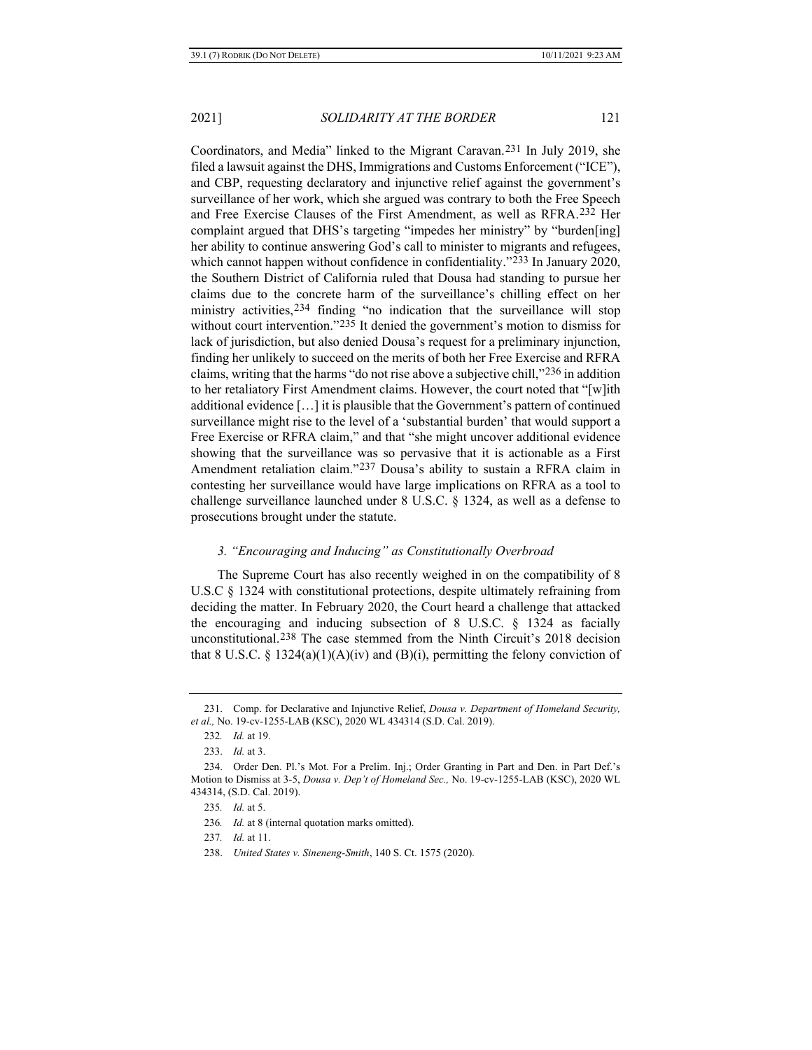Coordinators, and Media" linked to the Migrant Caravan.[231](#page-40-0) In July 2019, she filed a lawsuit against the DHS, Immigrations and Customs Enforcement ("ICE"), and CBP, requesting declaratory and injunctive relief against the government's surveillance of her work, which she argued was contrary to both the Free Speech and Free Exercise Clauses of the First Amendment, as well as RFRA.[232](#page-40-1) Her complaint argued that DHS's targeting "impedes her ministry" by "burden[ing] her ability to continue answering God's call to minister to migrants and refugees, which cannot happen without confidence in confidentiality."<sup>[233](#page-40-2)</sup> In January 2020, the Southern District of California ruled that Dousa had standing to pursue her claims due to the concrete harm of the surveillance's chilling effect on her ministry activities,[234](#page-40-3) finding "no indication that the surveillance will stop without court intervention."[235](#page-40-4) It denied the government's motion to dismiss for lack of jurisdiction, but also denied Dousa's request for a preliminary injunction, finding her unlikely to succeed on the merits of both her Free Exercise and RFRA claims, writing that the harms "do not rise above a subjective chill,"[236](#page-40-5) in addition to her retaliatory First Amendment claims. However, the court noted that "[w]ith additional evidence […] it is plausible that the Government's pattern of continued surveillance might rise to the level of a 'substantial burden' that would support a Free Exercise or RFRA claim," and that "she might uncover additional evidence showing that the surveillance was so pervasive that it is actionable as a First Amendment retaliation claim."[237](#page-40-6) Dousa's ability to sustain a RFRA claim in contesting her surveillance would have large implications on RFRA as a tool to challenge surveillance launched under 8 U.S.C. § 1324, as well as a defense to prosecutions brought under the statute.

#### *3. "Encouraging and Inducing" as Constitutionally Overbroad*

The Supreme Court has also recently weighed in on the compatibility of 8 U.S.C § 1324 with constitutional protections, despite ultimately refraining from deciding the matter. In February 2020, the Court heard a challenge that attacked the encouraging and inducing subsection of 8 U.S.C.  $\S$  1324 as facially unconstitutional.[238](#page-40-7) The case stemmed from the Ninth Circuit's 2018 decision that 8 U.S.C. § 1324(a)(1)(A)(iv) and (B)(i), permitting the felony conviction of

<span id="page-40-0"></span><sup>231.</sup> Comp. for Declarative and Injunctive Relief, *Dousa v. Department of Homeland Security, et al.,* No. 19-cv-1255-LAB (KSC), 2020 WL 434314 (S.D. Cal. 2019).

<sup>232</sup>*. Id.* at 19.

<sup>233.</sup> *Id.* at 3.

<span id="page-40-6"></span><span id="page-40-5"></span><span id="page-40-4"></span><span id="page-40-3"></span><span id="page-40-2"></span><span id="page-40-1"></span><sup>234.</sup> Order Den. Pl.'s Mot. For a Prelim. Inj.; Order Granting in Part and Den. in Part Def.'s Motion to Dismiss at 3-5, *Dousa v. Dep't of Homeland Sec.,* No. 19-cv-1255-LAB (KSC), 2020 WL 434314, (S.D. Cal. 2019).

<sup>235</sup>*. Id.* at 5.

<sup>236</sup>*. Id.* at 8 (internal quotation marks omitted).

<sup>237</sup>*. Id.* at 11.

<span id="page-40-7"></span><sup>238.</sup> *United States v. Sineneng-Smith*, 140 S. Ct. 1575 (2020).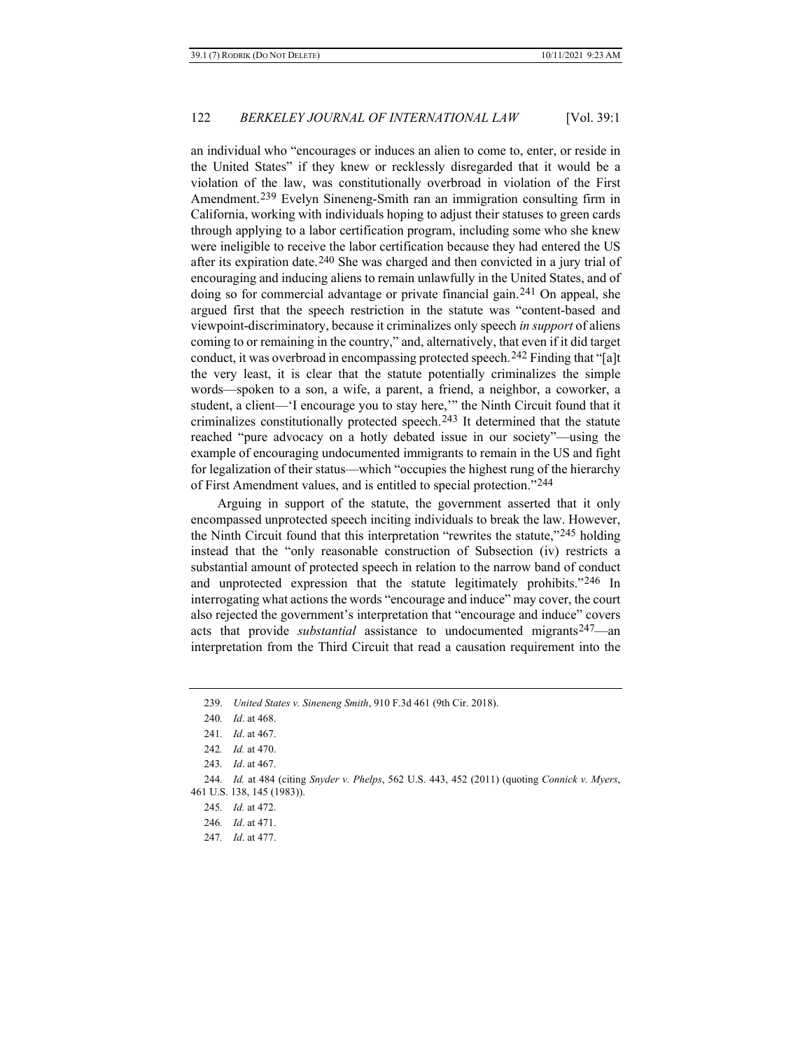an individual who "encourages or induces an alien to come to, enter, or reside in the United States" if they knew or recklessly disregarded that it would be a violation of the law, was constitutionally overbroad in violation of the First Amendment[.239](#page-41-0) Evelyn Sineneng-Smith ran an immigration consulting firm in California, working with individuals hoping to adjust their statuses to green cards through applying to a labor certification program, including some who she knew were ineligible to receive the labor certification because they had entered the US after its expiration date.[240](#page-41-1) She was charged and then convicted in a jury trial of encouraging and inducing aliens to remain unlawfully in the United States, and of doing so for commercial advantage or private financial gain.[241](#page-41-2) On appeal, she argued first that the speech restriction in the statute was "content-based and viewpoint-discriminatory, because it criminalizes only speech *in support* of aliens coming to or remaining in the country," and, alternatively, that even if it did target conduct, it was overbroad in encompassing protected speech.[242](#page-41-3) Finding that "[a]t the very least, it is clear that the statute potentially criminalizes the simple words—spoken to a son, a wife, a parent, a friend, a neighbor, a coworker, a student, a client—'I encourage you to stay here,'" the Ninth Circuit found that it criminalizes constitutionally protected speech.[243](#page-41-4) It determined that the statute reached "pure advocacy on a hotly debated issue in our society"—using the example of encouraging undocumented immigrants to remain in the US and fight for legalization of their status—which "occupies the highest rung of the hierarchy of First Amendment values, and is entitled to special protection."[244](#page-41-5)

Arguing in support of the statute, the government asserted that it only encompassed unprotected speech inciting individuals to break the law. However, the Ninth Circuit found that this interpretation "rewrites the statute,"[245](#page-41-6) holding instead that the "only reasonable construction of Subsection (iv) restricts a substantial amount of protected speech in relation to the narrow band of conduct and unprotected expression that the statute legitimately prohibits."<sup>[246](#page-41-7)</sup> In interrogating what actions the words "encourage and induce" may cover, the court also rejected the government's interpretation that "encourage and induce" covers acts that provide *substantial* assistance to undocumented migrants<sup>247</sup>—an interpretation from the Third Circuit that read a causation requirement into the

<span id="page-41-0"></span><sup>239.</sup> *United States v. Sineneng Smith*, 910 F.3d 461 (9th Cir. 2018).

<sup>240</sup>*. Id*. at 468.

<sup>241</sup>*. Id*. at 467.

<sup>242</sup>*. Id.* at 470.

<sup>243</sup>*. Id*. at 467.

<span id="page-41-8"></span><span id="page-41-7"></span><span id="page-41-6"></span><span id="page-41-5"></span><span id="page-41-4"></span><span id="page-41-3"></span><span id="page-41-2"></span><span id="page-41-1"></span><sup>244</sup>*. Id.* at 484 (citing *Snyder v. Phelps*, 562 U.S. 443, 452 (2011) (quoting *Connick v. Myers*, 461 U.S. 138, 145 (1983)).

<sup>245</sup>*. Id.* at 472.

<sup>246</sup>*. Id*. at 471.

<sup>247</sup>*. Id*. at 477.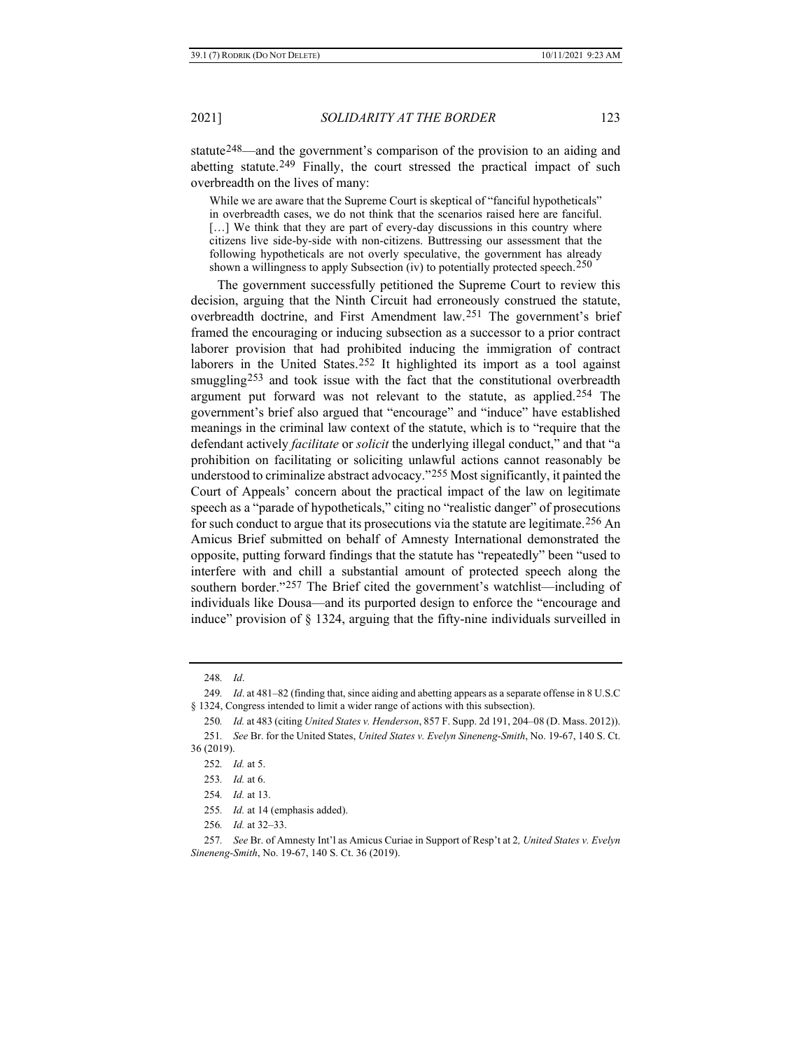statute<sup>248</sup>—and the government's comparison of the provision to an aiding and abetting statute.<sup>[249](#page-42-1)</sup> Finally, the court stressed the practical impact of such overbreadth on the lives of many:

While we are aware that the Supreme Court is skeptical of "fanciful hypotheticals" in overbreadth cases, we do not think that the scenarios raised here are fanciful. [...] We think that they are part of every-day discussions in this country where citizens live side-by-side with non-citizens. Buttressing our assessment that the following hypotheticals are not overly speculative, the government has already shown a willingness to apply Subsection (iv) to potentially protected speech.[250](#page-42-2)

The government successfully petitioned the Supreme Court to review this decision, arguing that the Ninth Circuit had erroneously construed the statute, overbreadth doctrine, and First Amendment law.[251](#page-42-3) The government's brief framed the encouraging or inducing subsection as a successor to a prior contract laborer provision that had prohibited inducing the immigration of contract laborers in the United States.<sup>[252](#page-42-4)</sup> It highlighted its import as a tool against smuggling<sup>[253](#page-42-5)</sup> and took issue with the fact that the constitutional overbreadth argument put forward was not relevant to the statute, as applied.<sup>[254](#page-42-6)</sup> The government's brief also argued that "encourage" and "induce" have established meanings in the criminal law context of the statute, which is to "require that the defendant actively *facilitate* or *solicit* the underlying illegal conduct," and that "a prohibition on facilitating or soliciting unlawful actions cannot reasonably be understood to criminalize abstract advocacy."[255](#page-42-7) Most significantly, it painted the Court of Appeals' concern about the practical impact of the law on legitimate speech as a "parade of hypotheticals," citing no "realistic danger" of prosecutions for such conduct to argue that its prosecutions via the statute are legitimate.<sup>[256](#page-42-8)</sup> An Amicus Brief submitted on behalf of Amnesty International demonstrated the opposite, putting forward findings that the statute has "repeatedly" been "used to interfere with and chill a substantial amount of protected speech along the southern border."[257](#page-42-9) The Brief cited the government's watchlist—including of individuals like Dousa—and its purported design to enforce the "encourage and induce" provision of § 1324, arguing that the fifty-nine individuals surveilled in

<sup>248</sup>*. Id*.

<span id="page-42-1"></span><span id="page-42-0"></span><sup>249</sup>*. Id*. at 481–82 (finding that, since aiding and abetting appears as a separate offense in 8 U.S.C § 1324, Congress intended to limit a wider range of actions with this subsection).

<sup>250</sup>*. Id.* at 483 (citing *United States v. Henderson*, 857 F. Supp. 2d 191, 204–08 (D. Mass. 2012)).

<span id="page-42-5"></span><span id="page-42-4"></span><span id="page-42-3"></span><span id="page-42-2"></span><sup>251</sup>*. See* Br. for the United States, *United States v. Evelyn Sineneng-Smith*, No. 19-67, 140 S. Ct. 36 (2019).

<sup>252</sup>*. Id.* at 5.

<sup>253</sup>*. Id.* at 6.

<sup>254</sup>*. Id.* at 13.

<sup>255</sup>*. Id.* at 14 (emphasis added).

<sup>256</sup>*. Id.* at 32–33.

<span id="page-42-9"></span><span id="page-42-8"></span><span id="page-42-7"></span><span id="page-42-6"></span><sup>257</sup>*. See* Br. of Amnesty Int'l as Amicus Curiae in Support of Resp't at 2*, United States v. Evelyn Sineneng-Smith*, No. 19-67, 140 S. Ct. 36 (2019).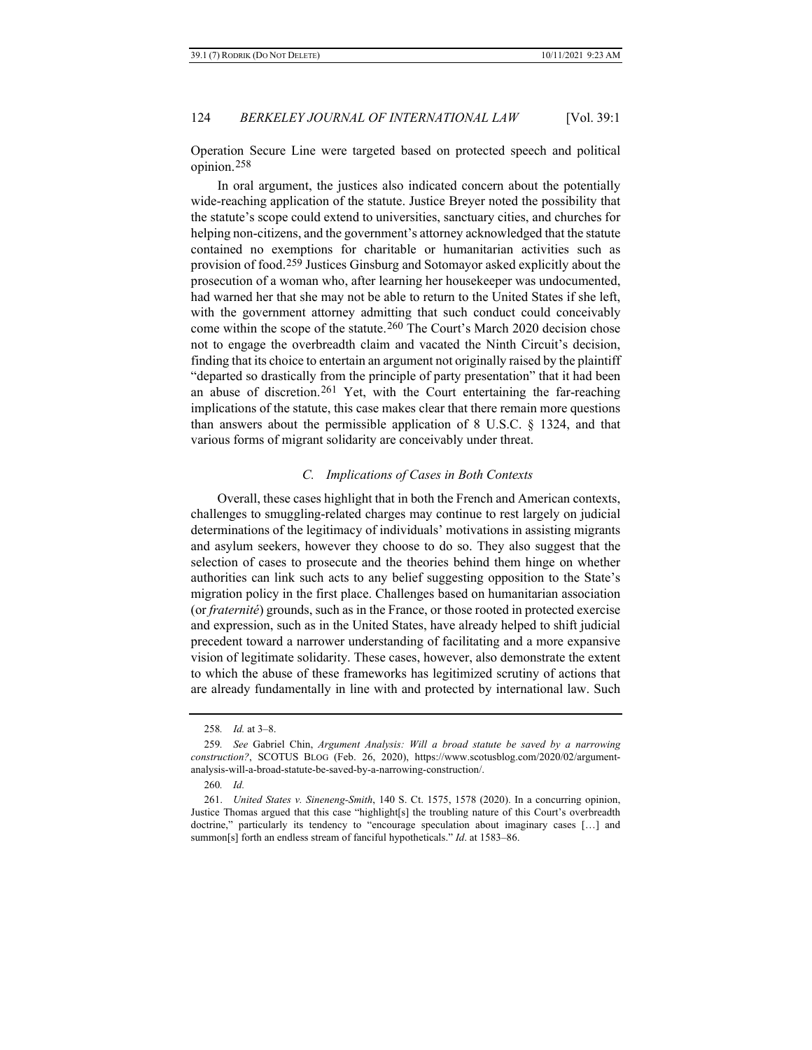Operation Secure Line were targeted based on protected speech and political opinion.[258](#page-43-0)

In oral argument, the justices also indicated concern about the potentially wide-reaching application of the statute. Justice Breyer noted the possibility that the statute's scope could extend to universities, sanctuary cities, and churches for helping non-citizens, and the government's attorney acknowledged that the statute contained no exemptions for charitable or humanitarian activities such as provision of food.[259](#page-43-1) Justices Ginsburg and Sotomayor asked explicitly about the prosecution of a woman who, after learning her housekeeper was undocumented, had warned her that she may not be able to return to the United States if she left, with the government attorney admitting that such conduct could conceivably come within the scope of the statute.<sup>[260](#page-43-2)</sup> The Court's March 2020 decision chose not to engage the overbreadth claim and vacated the Ninth Circuit's decision, finding that its choice to entertain an argument not originally raised by the plaintiff "departed so drastically from the principle of party presentation" that it had been an abuse of discretion.[261](#page-43-3) Yet, with the Court entertaining the far-reaching implications of the statute, this case makes clear that there remain more questions than answers about the permissible application of 8 U.S.C. § 1324, and that various forms of migrant solidarity are conceivably under threat.

#### *C. Implications of Cases in Both Contexts*

Overall, these cases highlight that in both the French and American contexts, challenges to smuggling-related charges may continue to rest largely on judicial determinations of the legitimacy of individuals' motivations in assisting migrants and asylum seekers, however they choose to do so. They also suggest that the selection of cases to prosecute and the theories behind them hinge on whether authorities can link such acts to any belief suggesting opposition to the State's migration policy in the first place. Challenges based on humanitarian association (or *fraternité*) grounds, such as in the France, or those rooted in protected exercise and expression, such as in the United States, have already helped to shift judicial precedent toward a narrower understanding of facilitating and a more expansive vision of legitimate solidarity. These cases, however, also demonstrate the extent to which the abuse of these frameworks has legitimized scrutiny of actions that are already fundamentally in line with and protected by international law. Such

<sup>258</sup>*. Id.* at 3–8.

<span id="page-43-1"></span><span id="page-43-0"></span><sup>259</sup>*. See* Gabriel Chin, *Argument Analysis: Will a broad statute be saved by a narrowing construction?*, SCOTUS BLOG (Feb. 26, 2020), https://www.scotusblog.com/2020/02/argumentanalysis-will-a-broad-statute-be-saved-by-a-narrowing-construction/.

<sup>260</sup>*. Id.*

<span id="page-43-3"></span><span id="page-43-2"></span><sup>261.</sup> *United States v. Sineneng-Smith*, 140 S. Ct. 1575, 1578 (2020). In a concurring opinion, Justice Thomas argued that this case "highlight[s] the troubling nature of this Court's overbreadth doctrine," particularly its tendency to "encourage speculation about imaginary cases […] and summon[s] forth an endless stream of fanciful hypotheticals." *Id*. at 1583–86.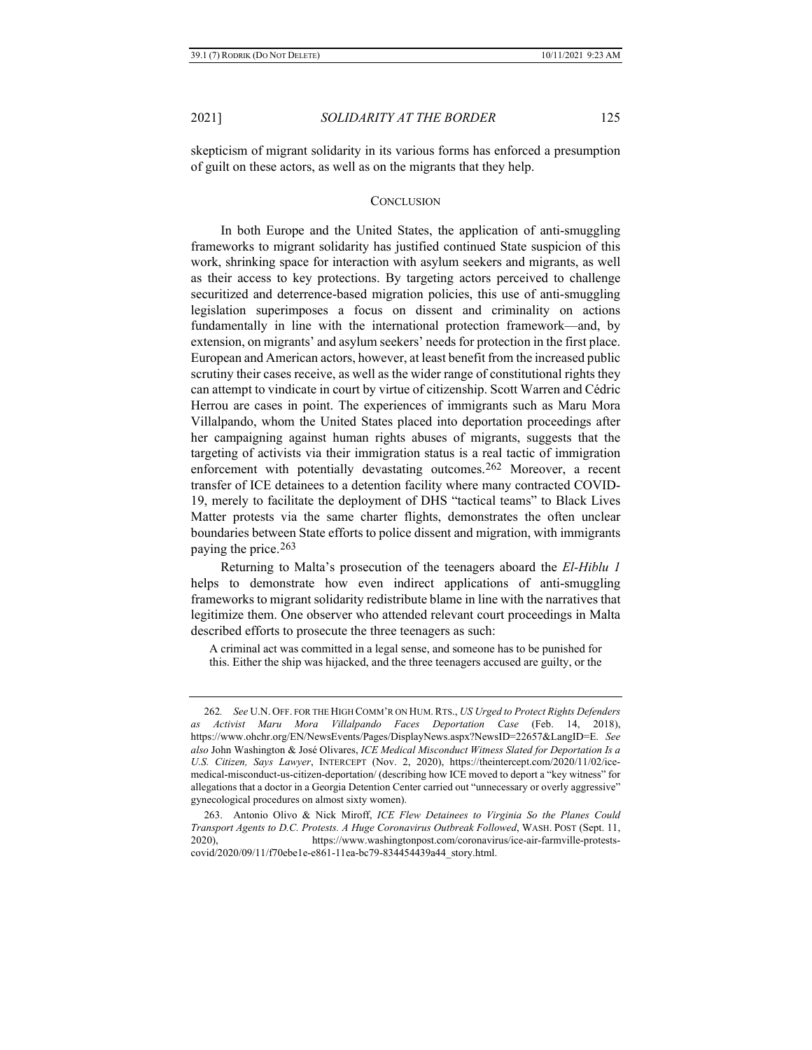skepticism of migrant solidarity in its various forms has enforced a presumption of guilt on these actors, as well as on the migrants that they help.

#### **CONCLUSION**

In both Europe and the United States, the application of anti-smuggling frameworks to migrant solidarity has justified continued State suspicion of this work, shrinking space for interaction with asylum seekers and migrants, as well as their access to key protections. By targeting actors perceived to challenge securitized and deterrence-based migration policies, this use of anti-smuggling legislation superimposes a focus on dissent and criminality on actions fundamentally in line with the international protection framework—and, by extension, on migrants' and asylum seekers' needs for protection in the first place. European and American actors, however, at least benefit from the increased public scrutiny their cases receive, as well as the wider range of constitutional rights they can attempt to vindicate in court by virtue of citizenship. Scott Warren and Cédric Herrou are cases in point. The experiences of immigrants such as Maru Mora Villalpando, whom the United States placed into deportation proceedings after her campaigning against human rights abuses of migrants, suggests that the targeting of activists via their immigration status is a real tactic of immigration enforcement with potentially devastating outcomes.[262](#page-44-0) Moreover, a recent transfer of ICE detainees to a detention facility where many contracted COVID-19, merely to facilitate the deployment of DHS "tactical teams" to Black Lives Matter protests via the same charter flights, demonstrates the often unclear boundaries between State efforts to police dissent and migration, with immigrants paying the price.[263](#page-44-1)

Returning to Malta's prosecution of the teenagers aboard the *El-Hiblu 1* helps to demonstrate how even indirect applications of anti-smuggling frameworks to migrant solidarity redistribute blame in line with the narratives that legitimize them. One observer who attended relevant court proceedings in Malta described efforts to prosecute the three teenagers as such:

A criminal act was committed in a legal sense, and someone has to be punished for this. Either the ship was hijacked, and the three teenagers accused are guilty, or the

<span id="page-44-0"></span><sup>262</sup>*. See* U.N. OFF. FOR THE HIGH COMM'R ON HUM.RTS., *US Urged to Protect Rights Defenders as Activist Maru Mora Villalpando Faces Deportation Case* (Feb. 14, 2018), https://www.ohchr.org/EN/NewsEvents/Pages/DisplayNews.aspx?NewsID=22657&LangID=E. *See also* John Washington & José Olivares, *ICE Medical Misconduct Witness Slated for Deportation Is a U.S. Citizen, Says Lawyer*, INTERCEPT (Nov. 2, 2020), https://theintercept.com/2020/11/02/icemedical-misconduct-us-citizen-deportation/ (describing how ICE moved to deport a "key witness" for allegations that a doctor in a Georgia Detention Center carried out "unnecessary or overly aggressive" gynecological procedures on almost sixty women).

<span id="page-44-1"></span><sup>263.</sup> Antonio Olivo & Nick Miroff, *ICE Flew Detainees to Virginia So the Planes Could Transport Agents to D.C. Protests. A Huge Coronavirus Outbreak Followed*, WASH. POST (Sept. 11, 2020), https://www.washingtonpost.com/coronavirus/ice-air-farmville-protestscovid/2020/09/11/f70ebe1e-e861-11ea-bc79-834454439a44\_story.html.